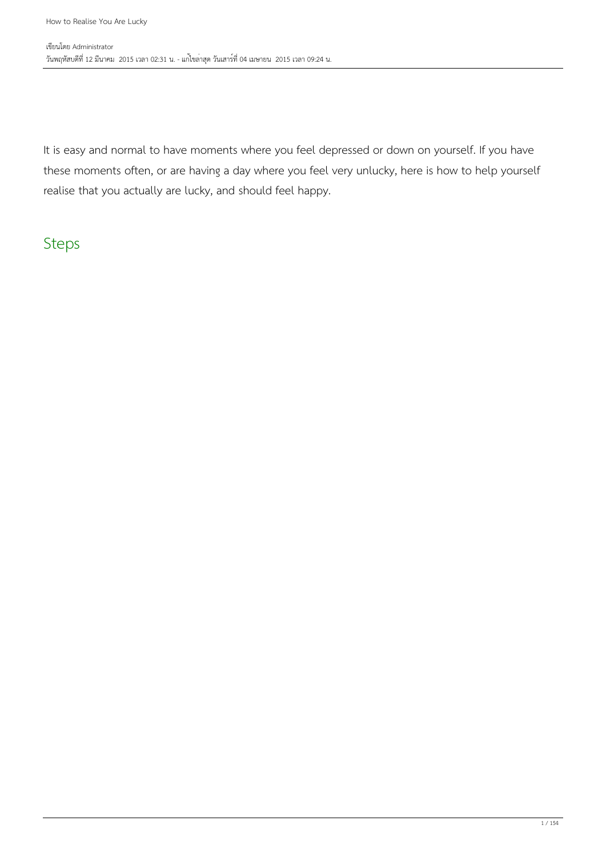It is easy and normal to have moments where you feel depressed or down on yourself. If you have these moments often, or are having a day where you feel very unlucky, here is how to help yourself realise that you actually are lucky, and should feel happy.

#### Steps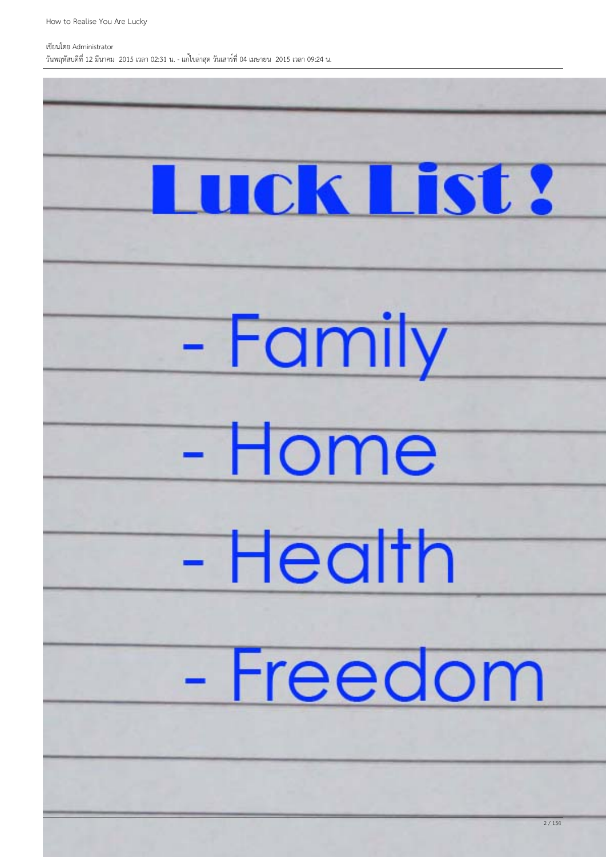How to Realise You Are Lucky

#### เขียนโดย Administrator วันพฤหัสบดีที่ 12 มีนาคม 2015 เวลา 02:31 น. - แก้ไขล่าสุด วันเสาร์ที่ 04 เมษายน 2015 เวลา 09:24 น.

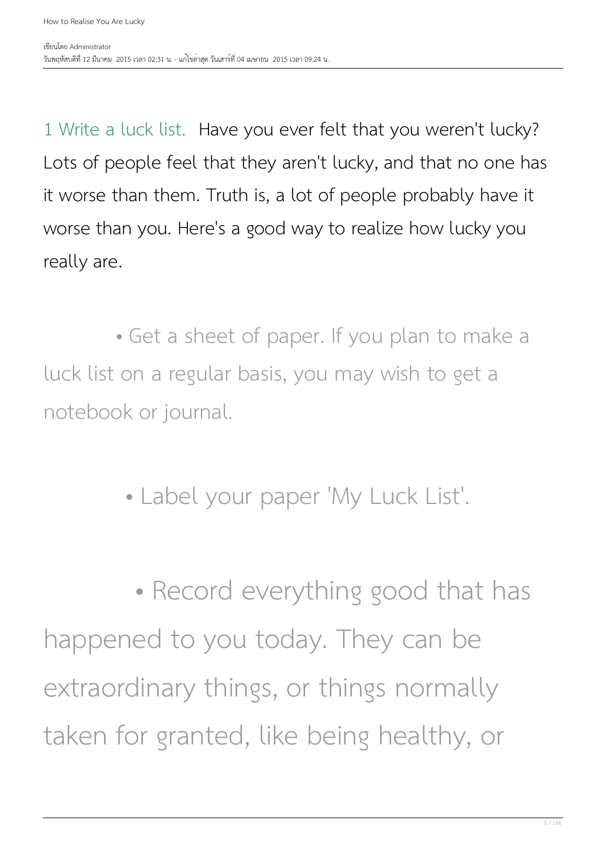Ξ

1 Write a luck list. Have you ever felt that you weren't lucky? Lots of people feel that they aren't lucky, and that no one has it worse than them. Truth is, a lot of people probably have it worse than you. Here's a good way to realize how lucky you really are.

 • Get a sheet of paper. If you plan to make a luck list on a regular basis, you may wish to get a notebook or journal.

• Label your paper 'My Luck List'.

 • Record everything good that has happened to you today. They can be extraordinary things, or things normally taken for granted, like being healthy, or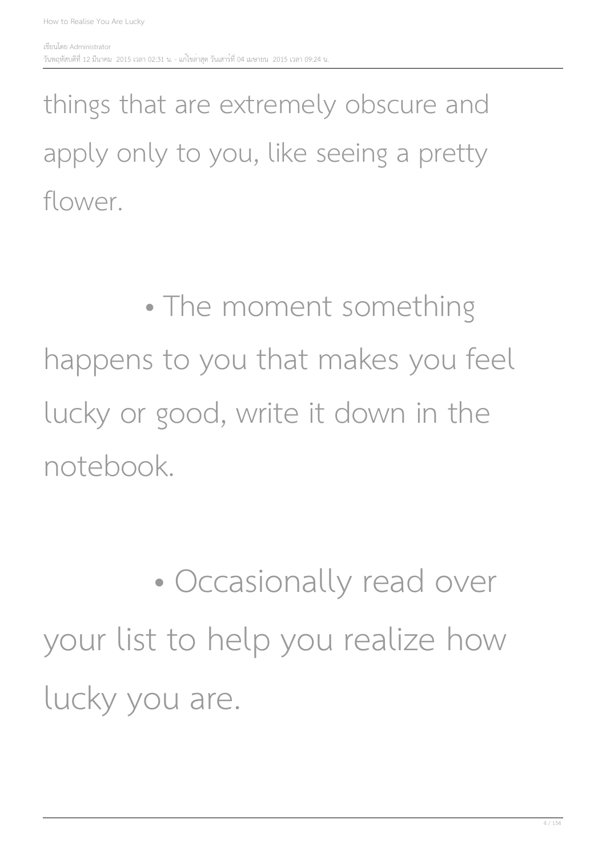things that are extremely obscure and apply only to you, like seeing a pretty flower.

 • The moment something happens to you that makes you feel lucky or good, write it down in the notebook.

 • Occasionally read over your list to help you realize how lucky you are.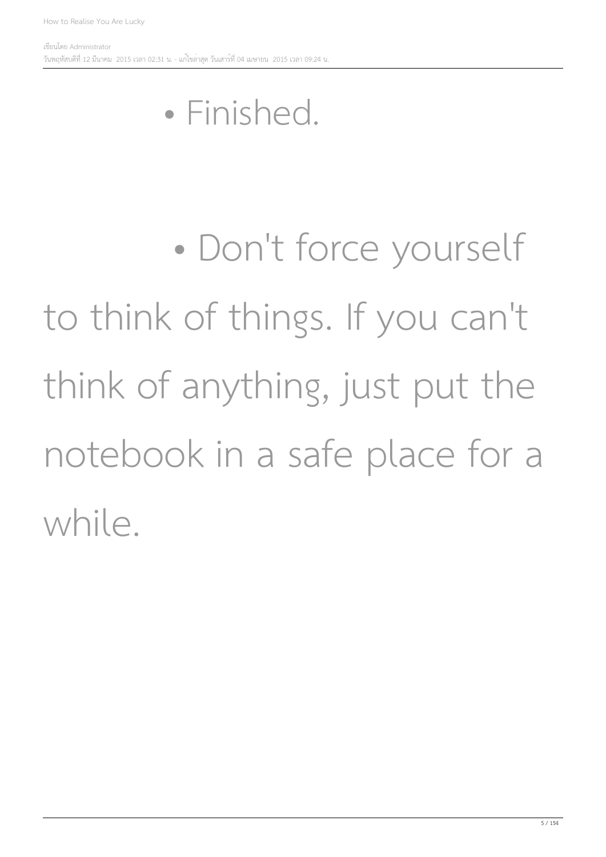#### • Finished.

 • Don't force yourself to think of things. If you can't think of anything, just put the notebook in a safe place for a while.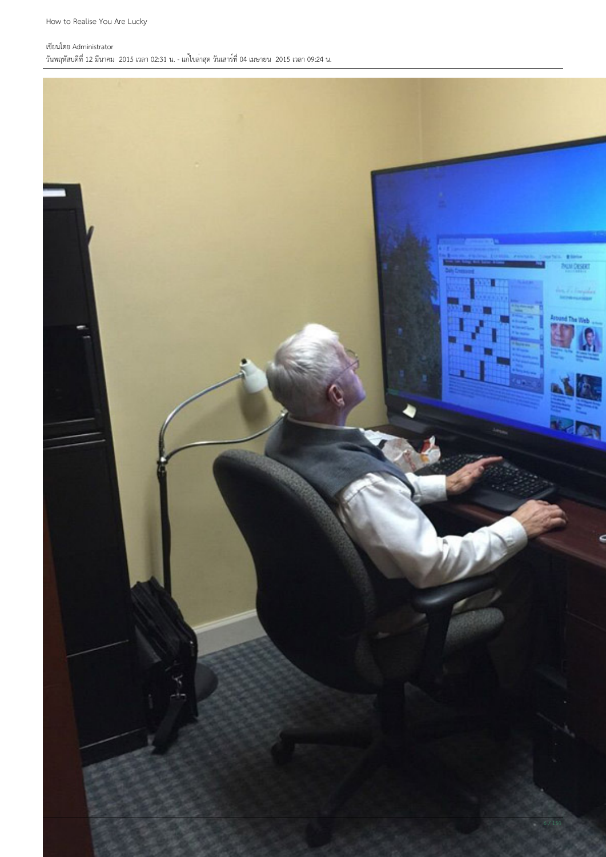#### เขียนโดย Administrator

วันพฤหัสบดีที่ 12 มีนาคม 2015 เวลา 02:31 น. - แก้ไขล่าสุด วันเสาร์ที่ 04 เมษายน 2015 เวลา 09:24 น.

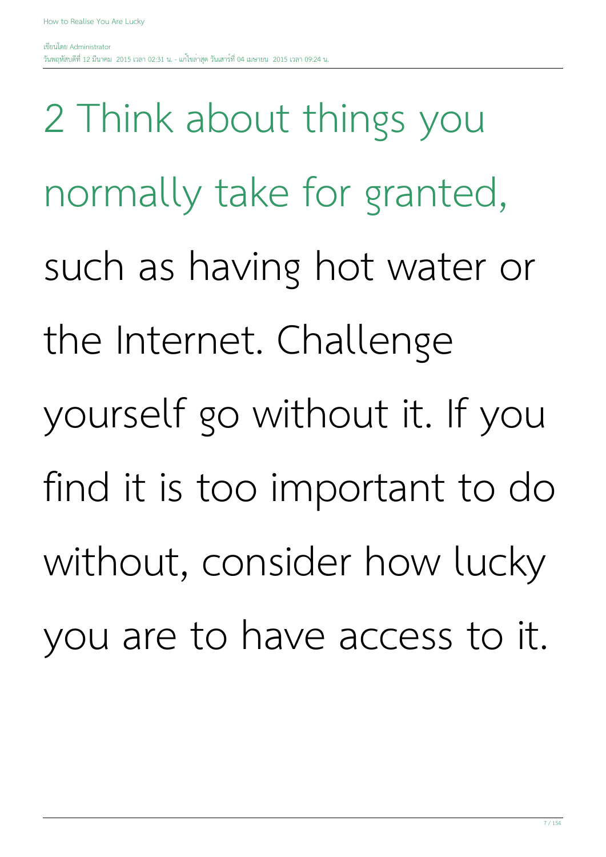2 Think about things you normally take for granted, such as having hot water or the Internet. Challenge yourself go without it. If you find it is too important to do without, consider how lucky you are to have access to it.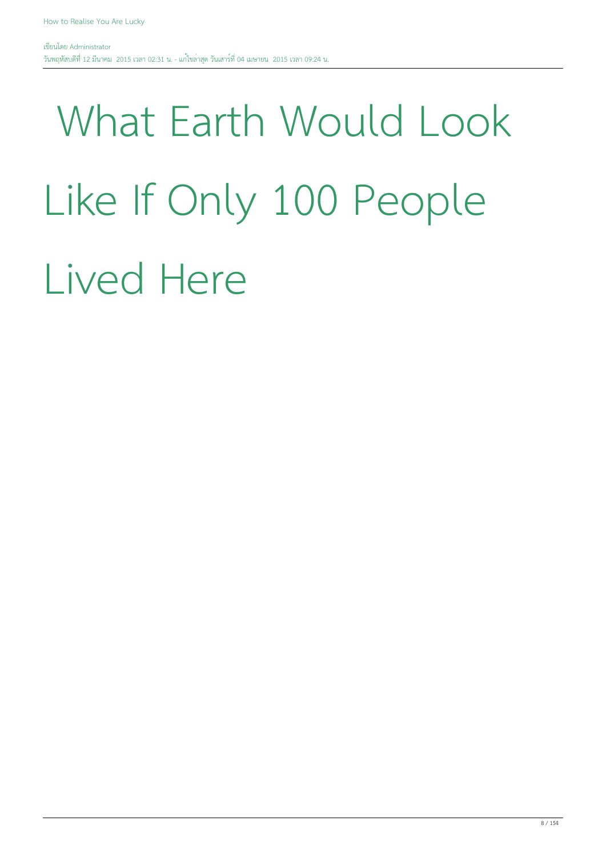#### What Earth Would Look Like If Only 100 People Lived Here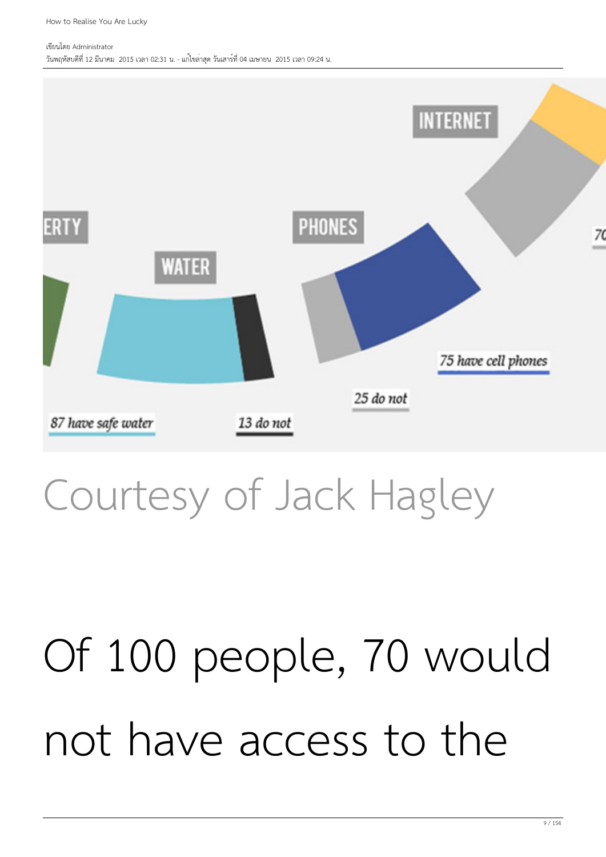

#### เขียนโดย Administrator วันพฤหัสบดีที่ 12 มีนาคม 2015 เวลา 02:31 น. - แก้ไขล่าสุด วันเสาร์ที่ 04 เมษายน 2015 เวลา 09:24 น.



#### Courtesy of Jack Hagley

#### Of 100 people, 70 would not have access to the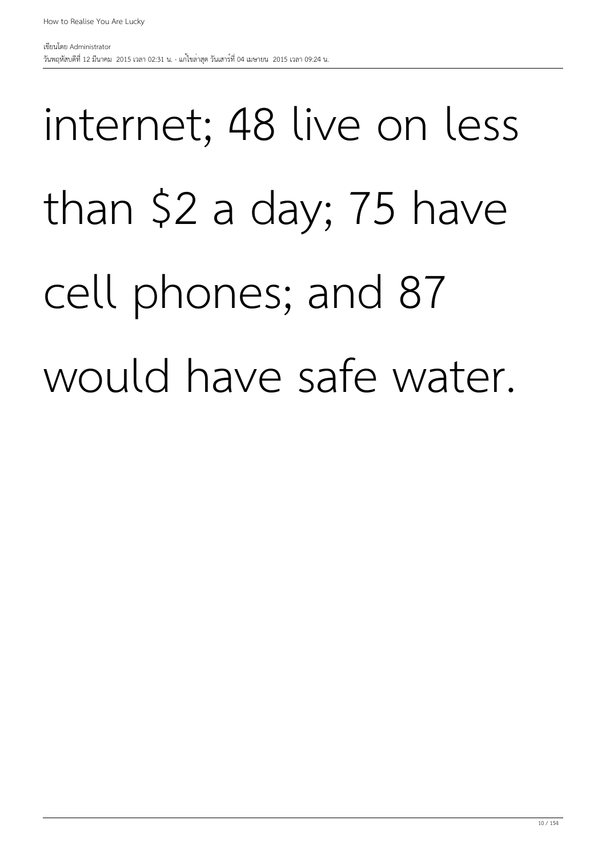#### internet; 48 live on less than \$2 a day; 75 have cell phones; and 87 would have safe water.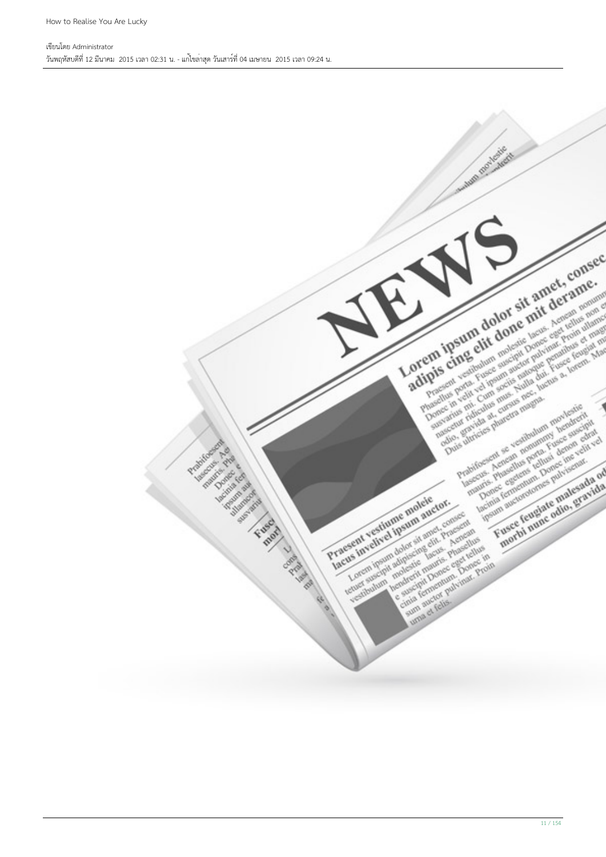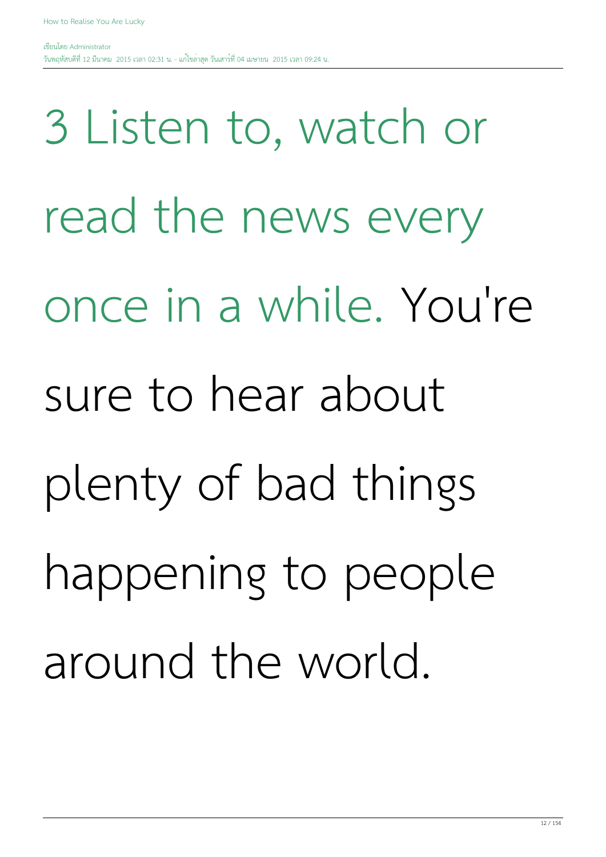3 Listen to, watch or read the news every once in a while. You're sure to hear about plenty of bad things happening to people around the world.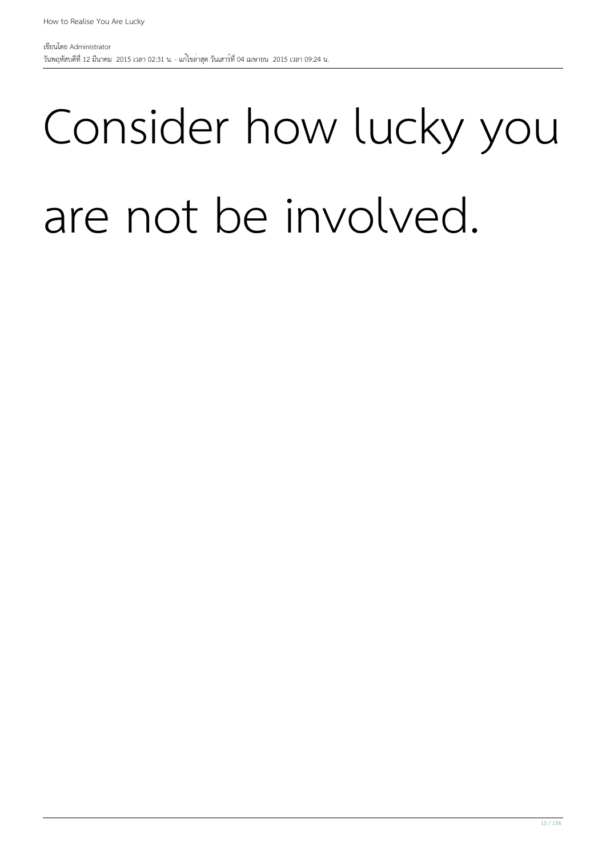#### Consider how lucky you are not be involved.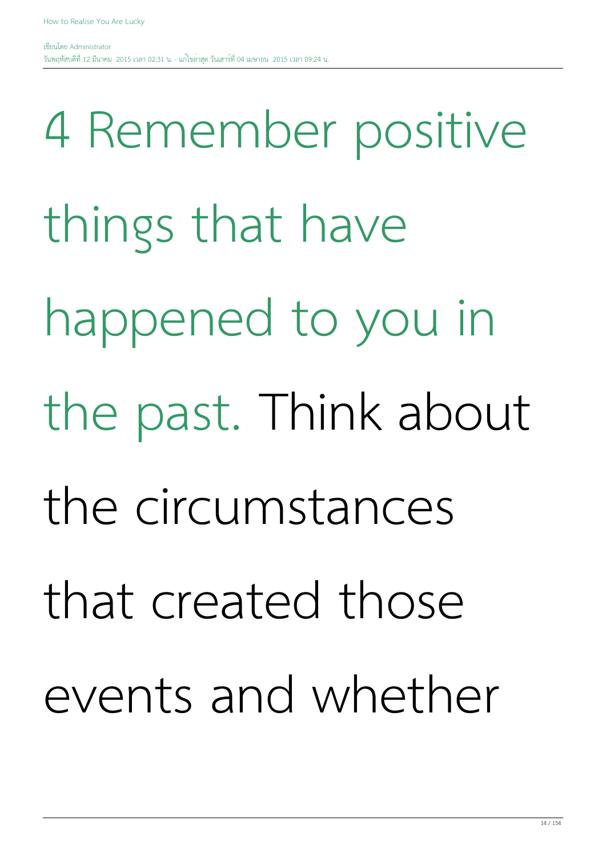4 Remember positive things that have happened to you in the past. Think about the circumstances that created those events and whether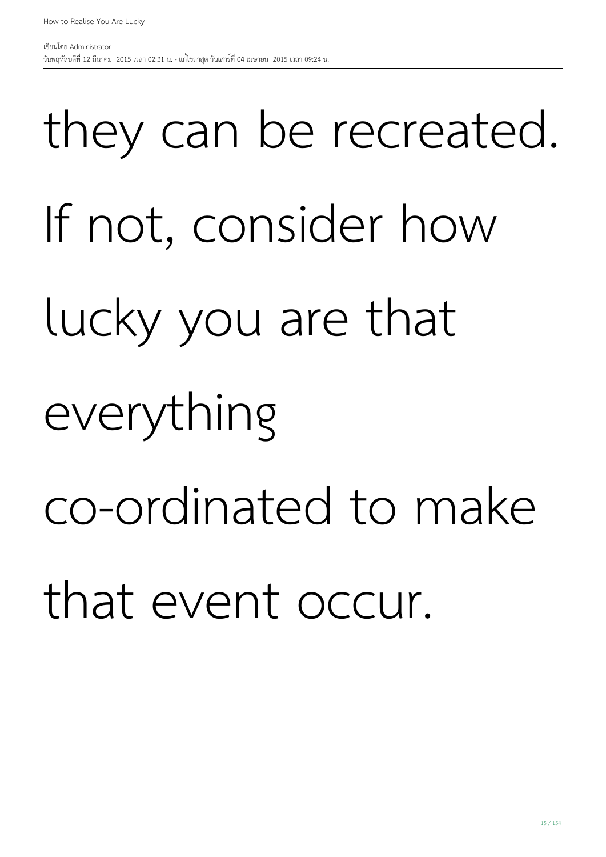### they can be recreated. If not, consider how lucky you are that everything co-ordinated to make that event occur.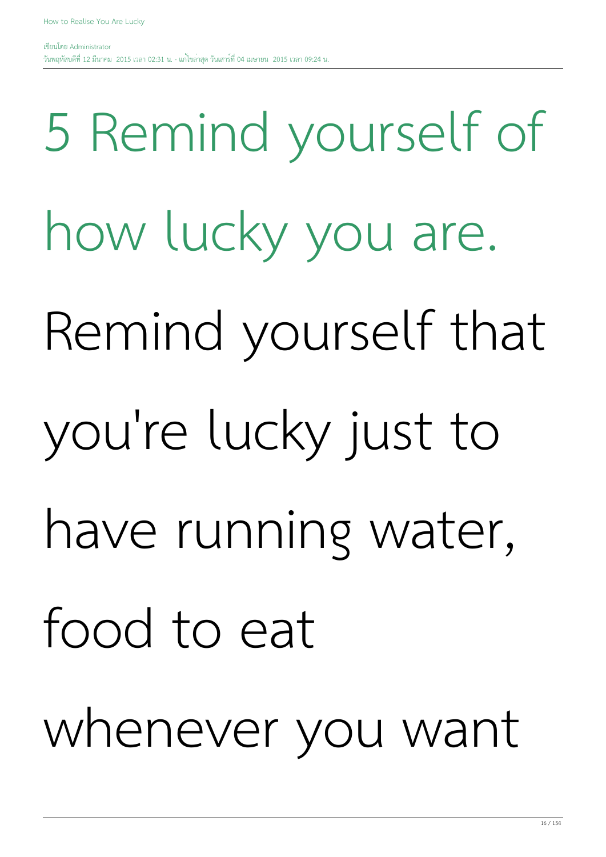5 Remind yourself of how lucky you are. Remind yourself that you're lucky just to have running water, food to eat whenever you want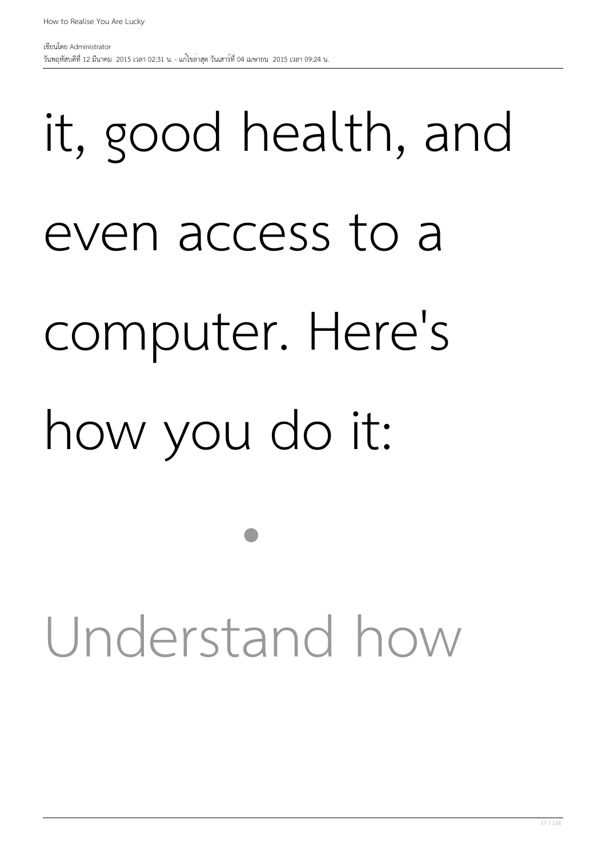### it, good health, and even access to a computer. Here's how you do it: • Understand how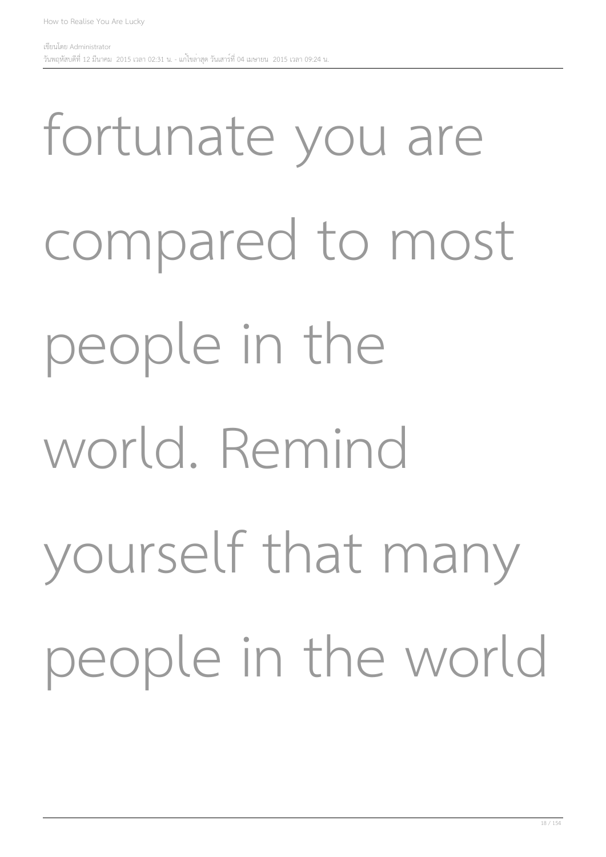## fortunate you are compared to most people in the world. Remind yourself that many people in the world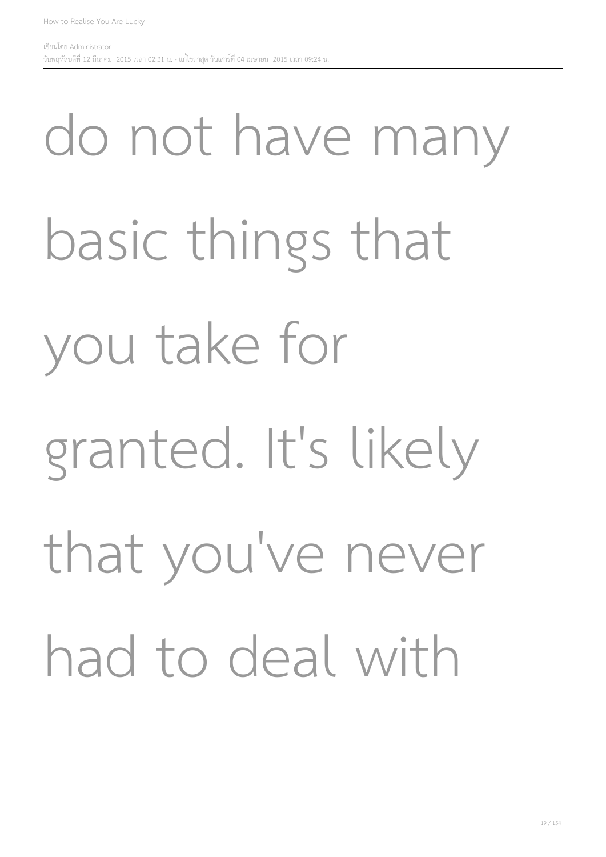## do not have many basic things that you take for granted. It's likely that you've never had to deal with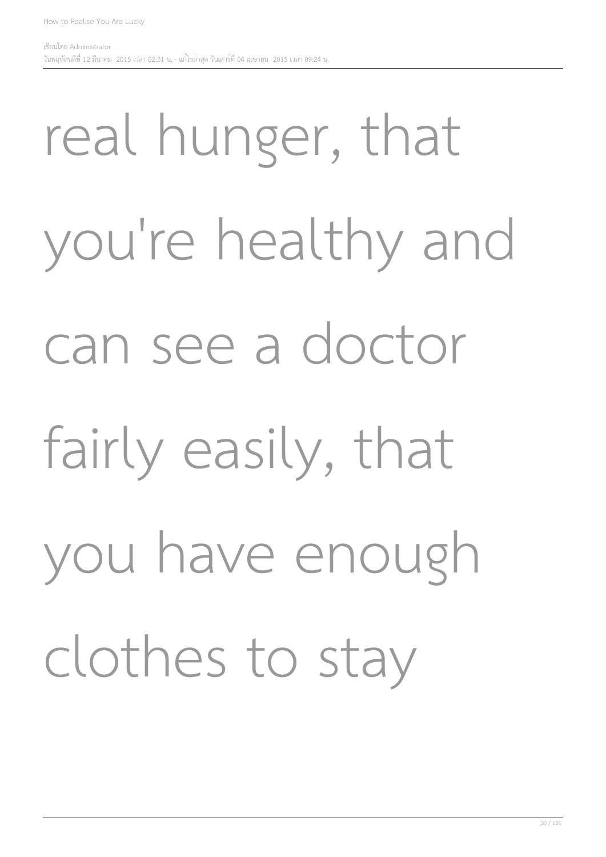## real hunger, that you're healthy and can see a doctor fairly easily, that you have enough clothes to stay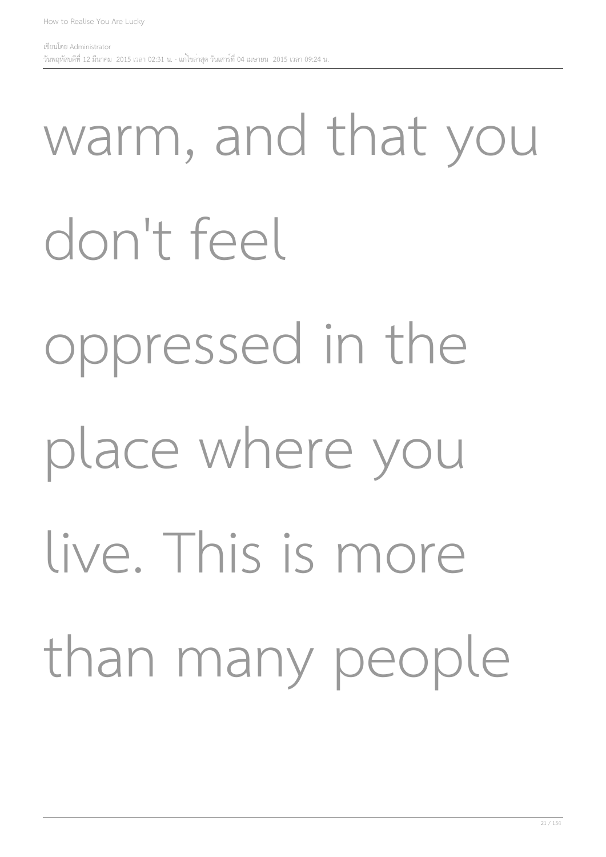### warm, and that you don't feel oppressed in the

#### place where you

#### live. This is more

than many people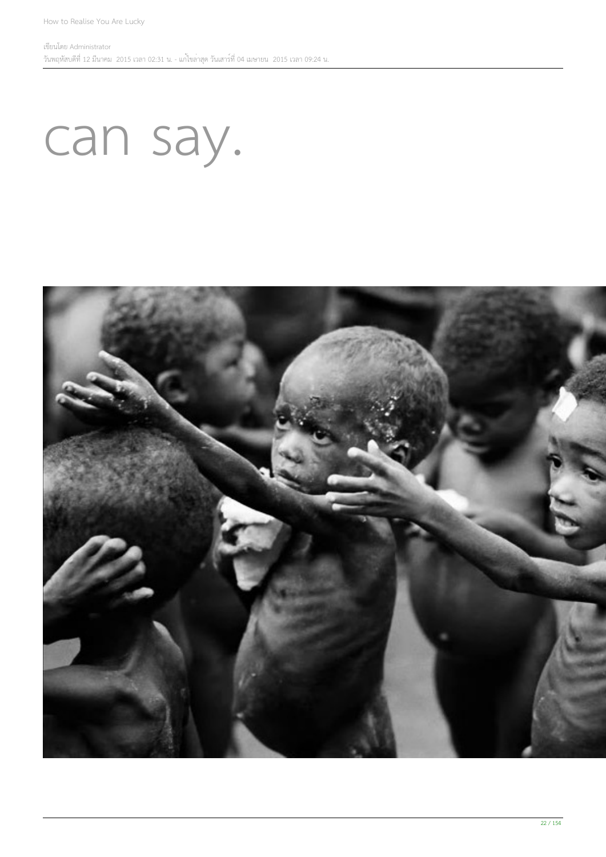#### can say.

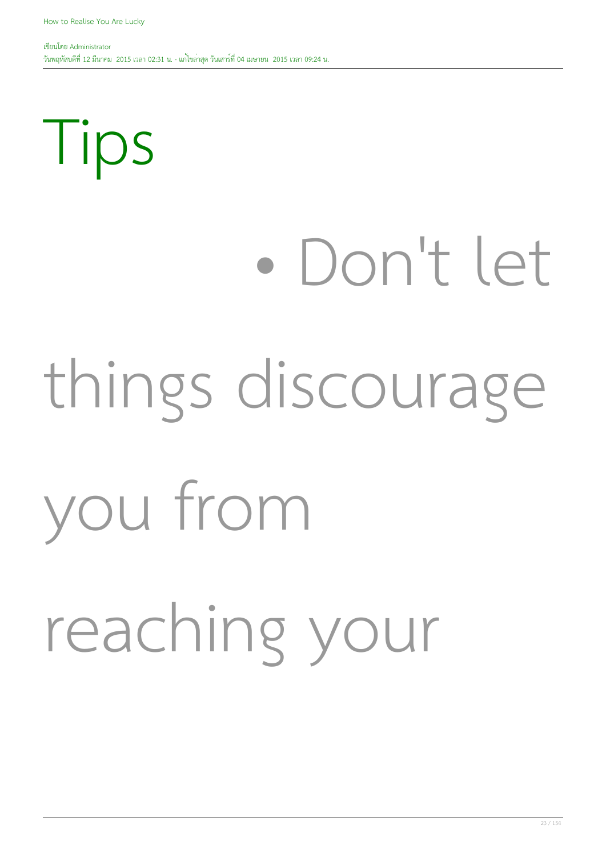How to Realise You Are Lucky

#### Tips

## • Don't let things discourage

#### you from

#### reaching your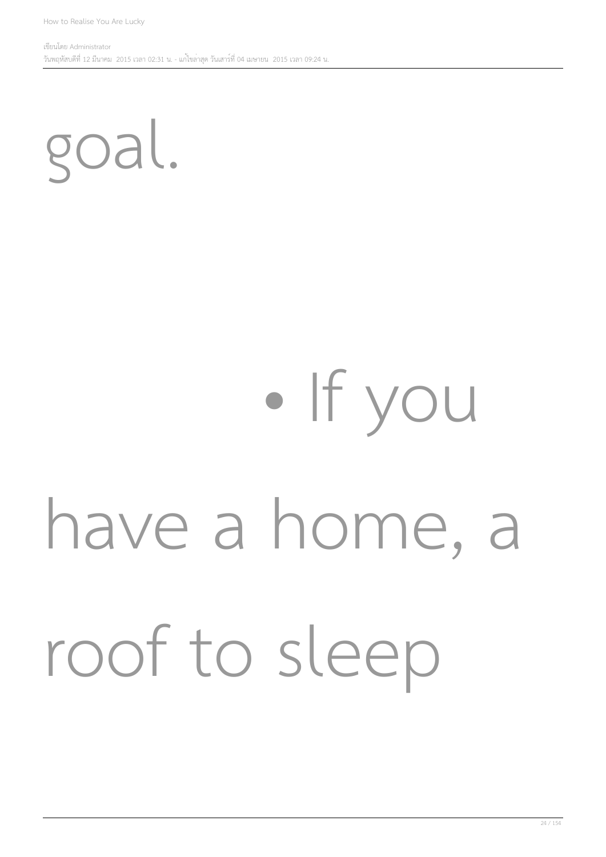How to Realise You Are Lucky

เขียนโดย Administrator วันพฤหัสบดีที่ 12 มีนาคม 2015 เวลา 02:31 น. - แก้ไขล่าสุด วันเสาร์ที่ 04 เมษายน 2015 เวลา 09:24 น.

goal.

## • If you have a home, a roof to sleep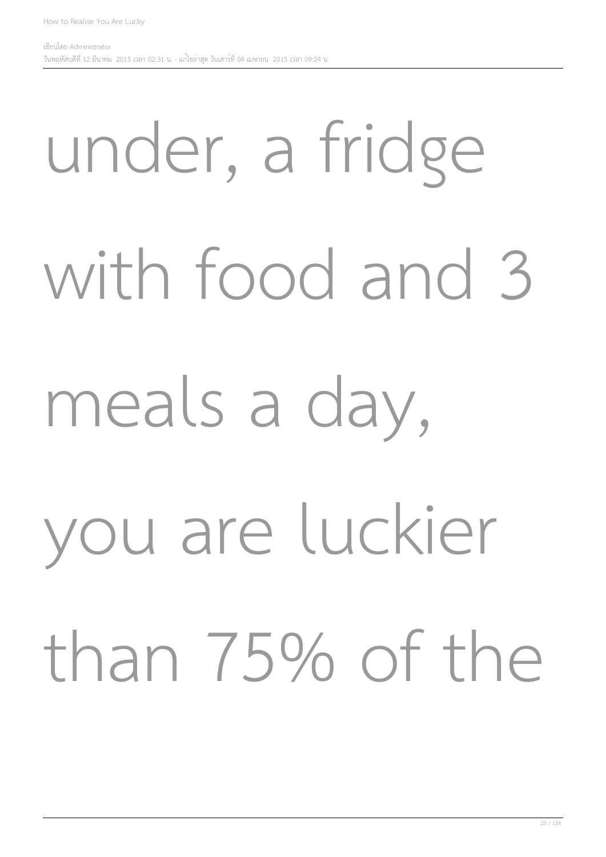## under, a fridge with food and 3 meals a day, you are luckier than 75% of the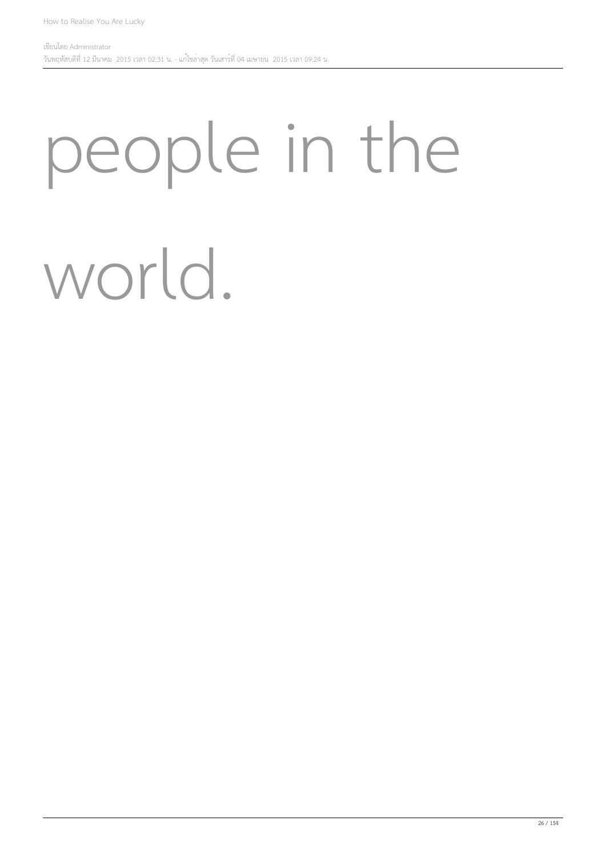### people in the

world.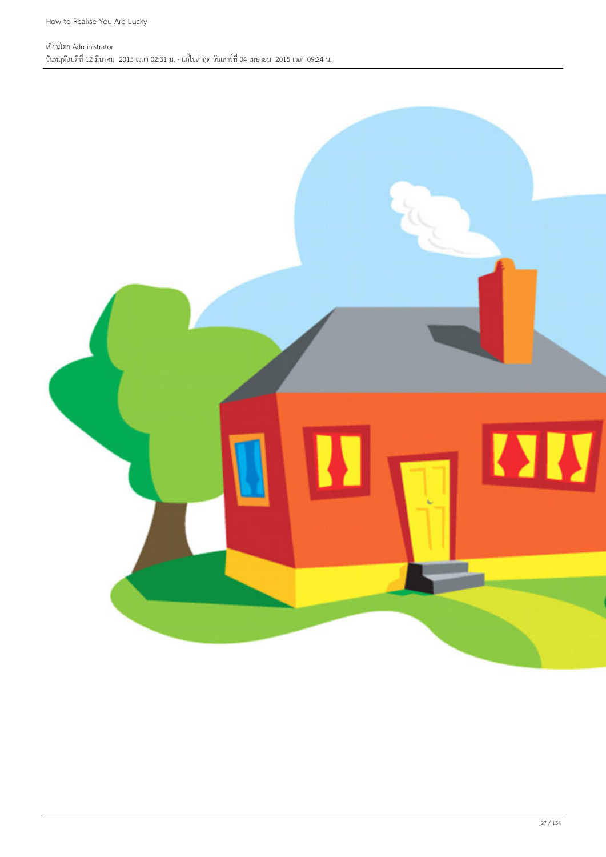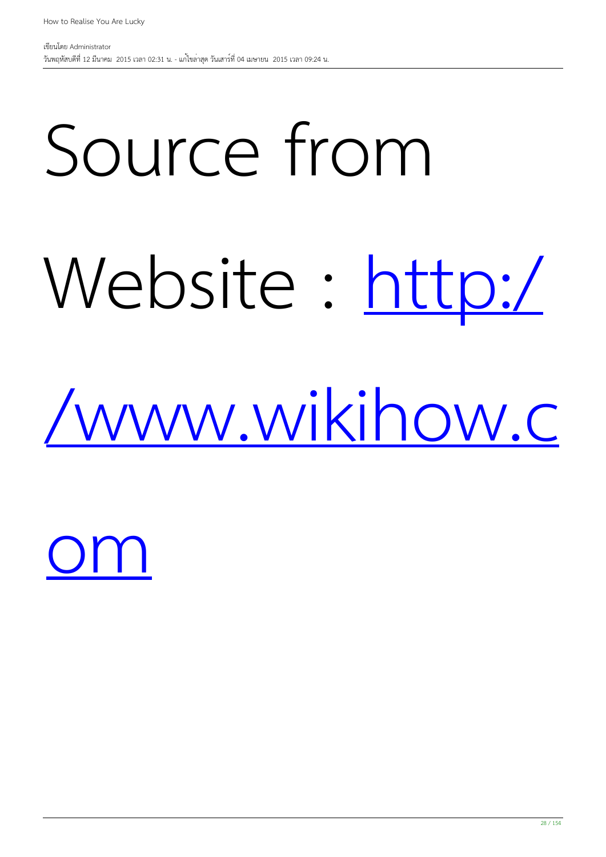### Source from

### Website : [http:/](http://www.wikihow.com/)

#### [/www.wikihow.c](http://www.wikihow.com/)

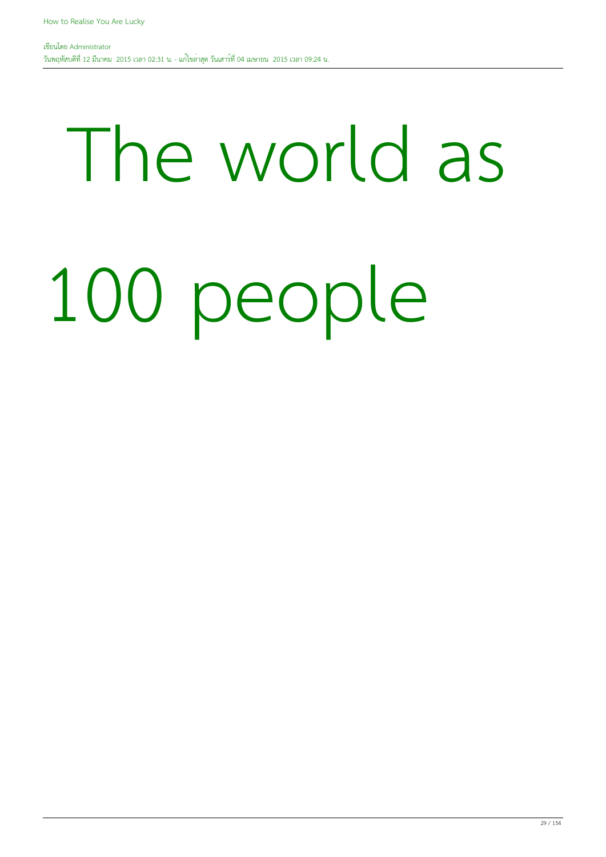### The world as

100 people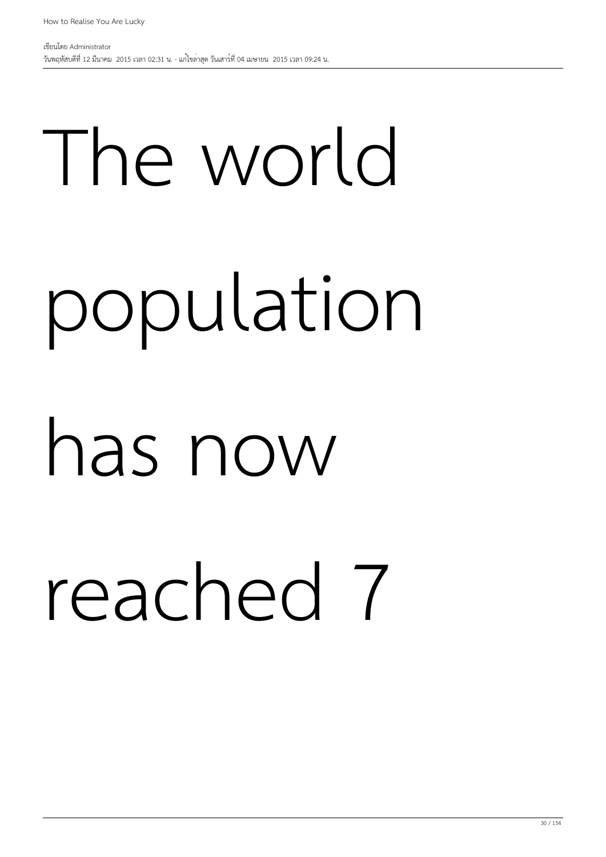# The world population has now reached 7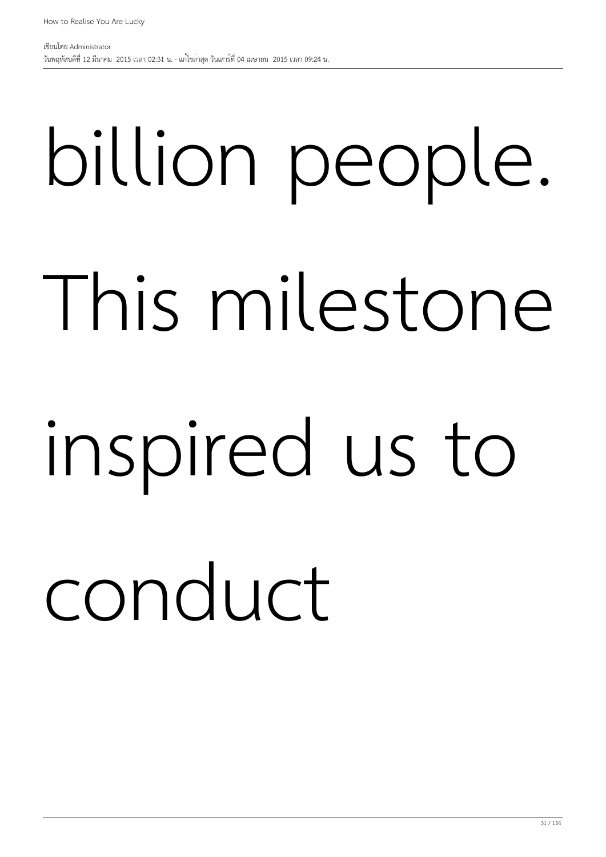# billion people. This milestone inspired us to conduct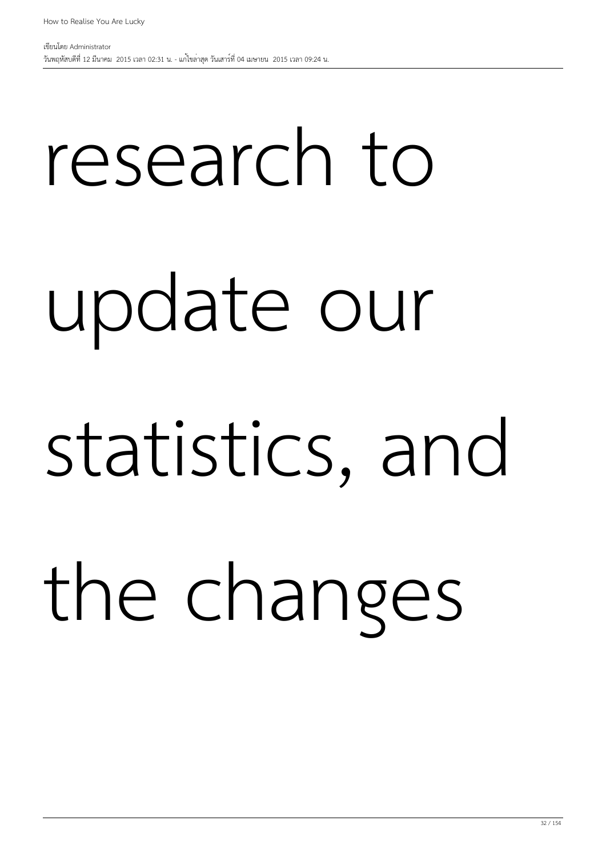# research to

### update our

### statistics, and

### the changes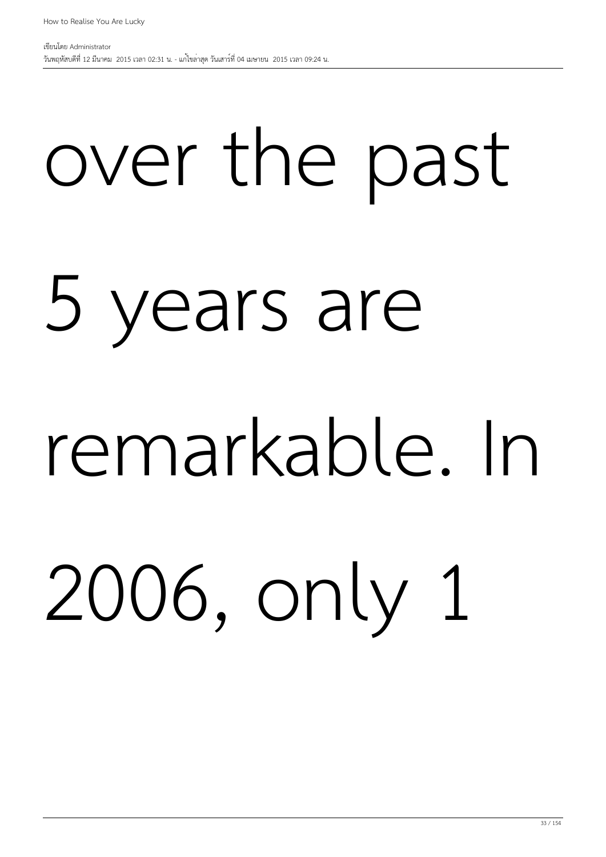# over the past 5 years are remarkable. In 2006, only 1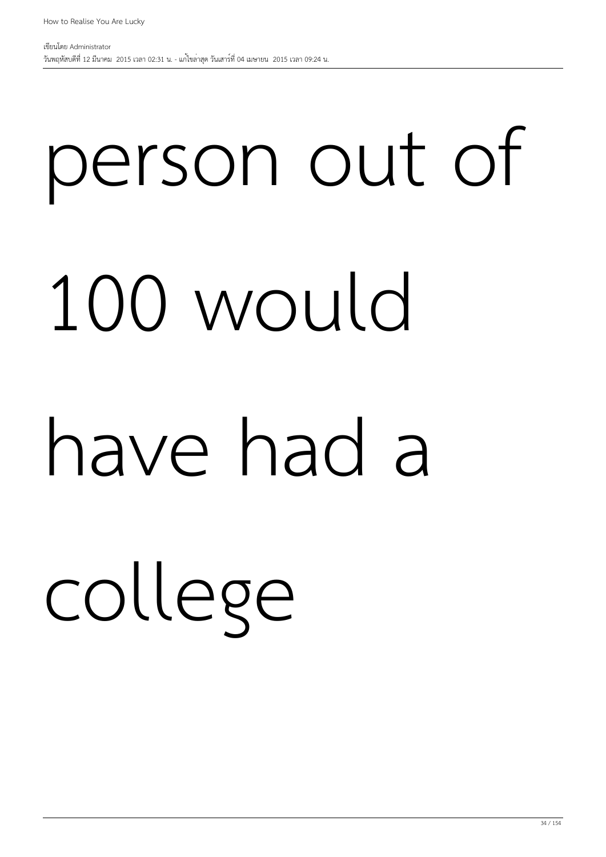# person out of 100 would have had a college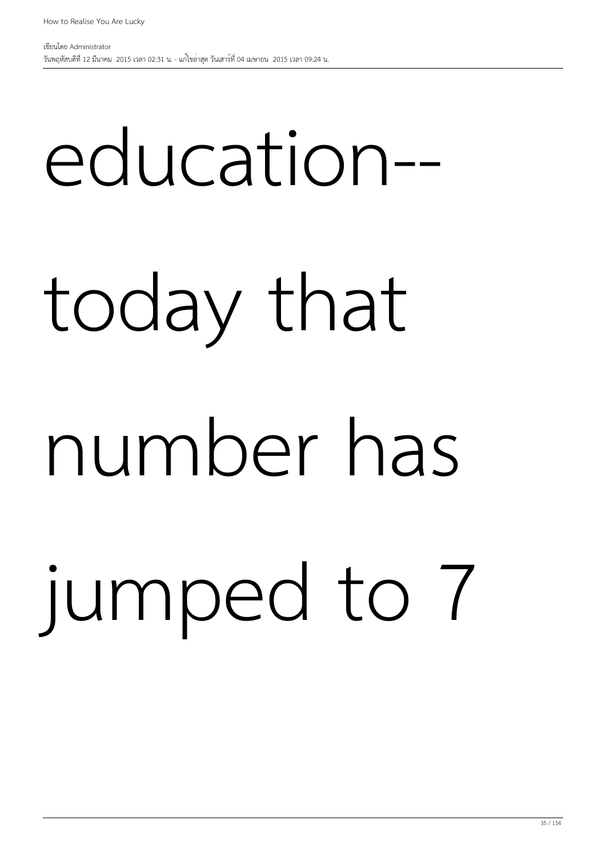# education- today that number has jumped to 7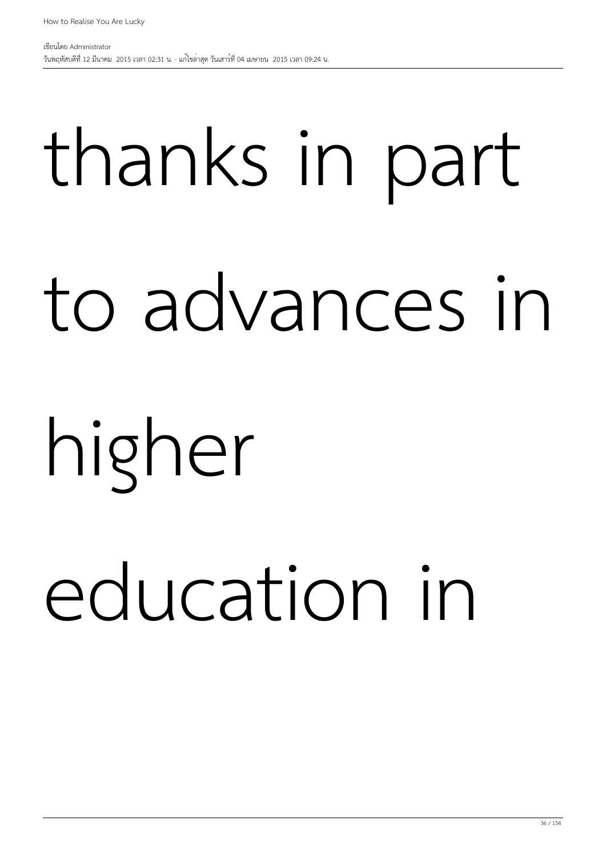# thanks in part to advances in

## higher education in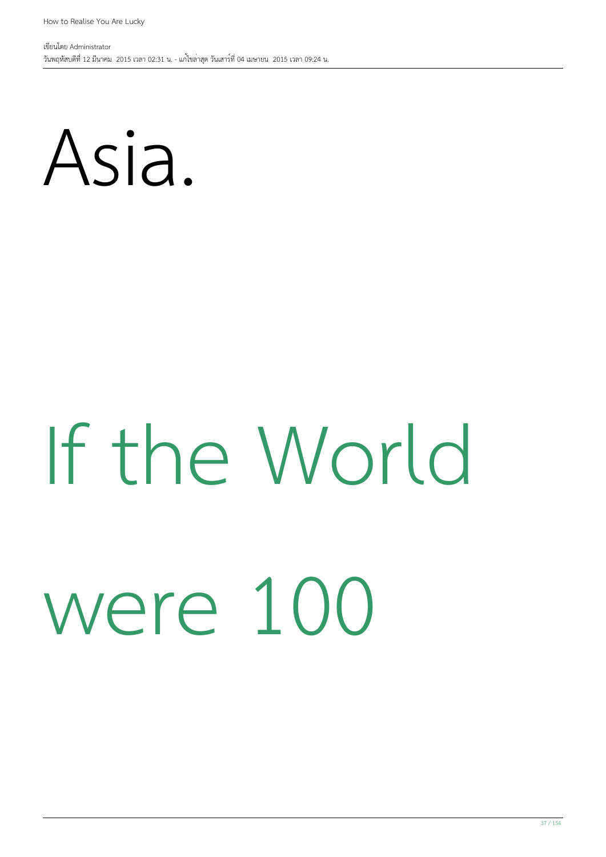#### Asia.

## If the World were 100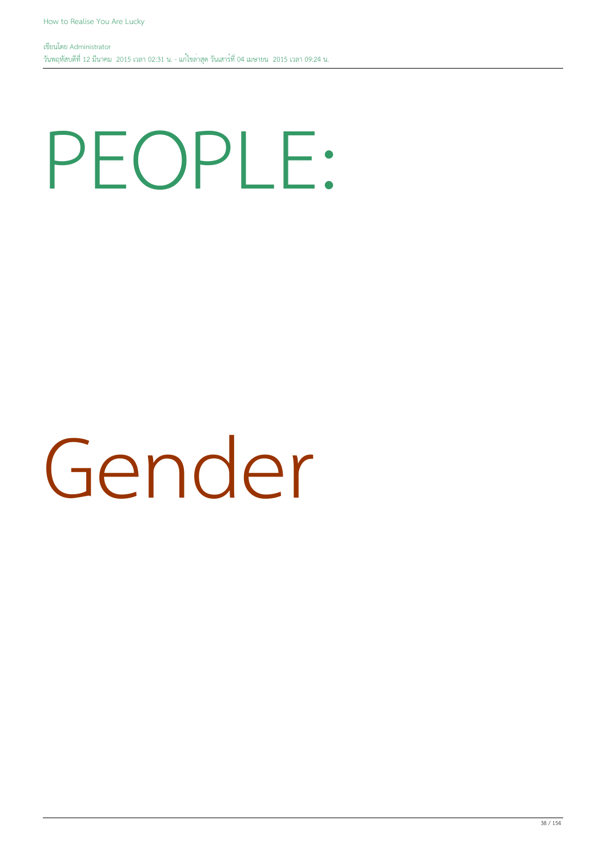เขียนโดย Administrator วันพฤหัสบดีที่ 12 มีนาคม 2015 เวลา 02:31 น. - แก้ไขล่าสุด วันเสาร์ที่ 04 เมษายน 2015 เวลา 09:24 น.

#### PEOPLE:

#### Gender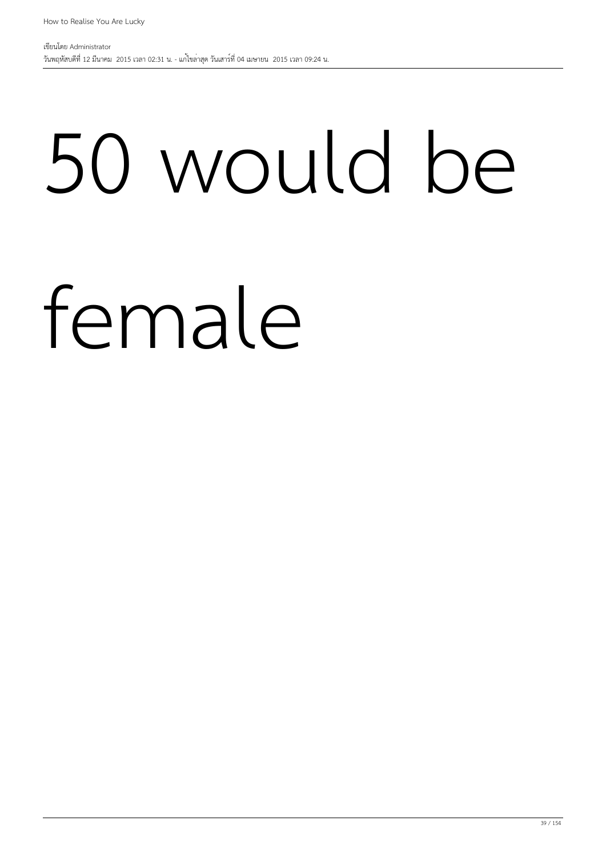#### female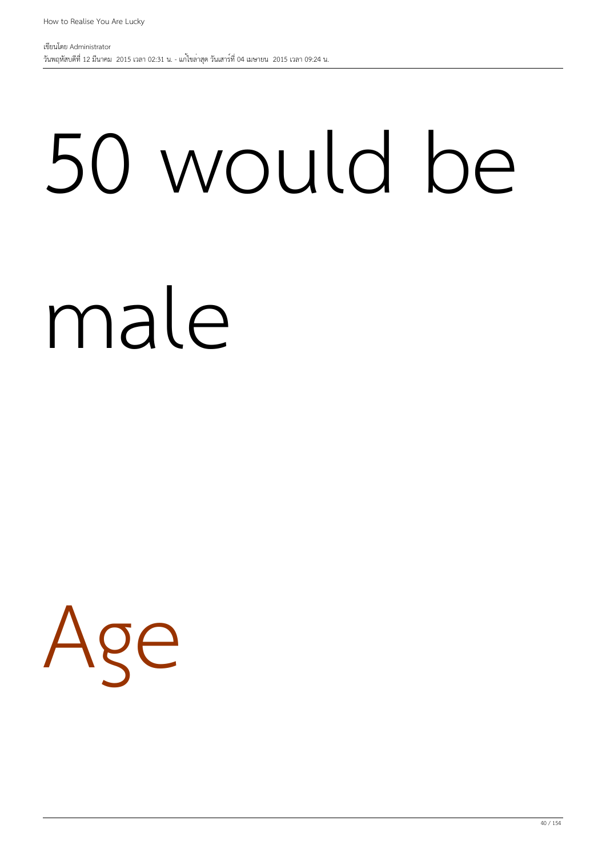#### male

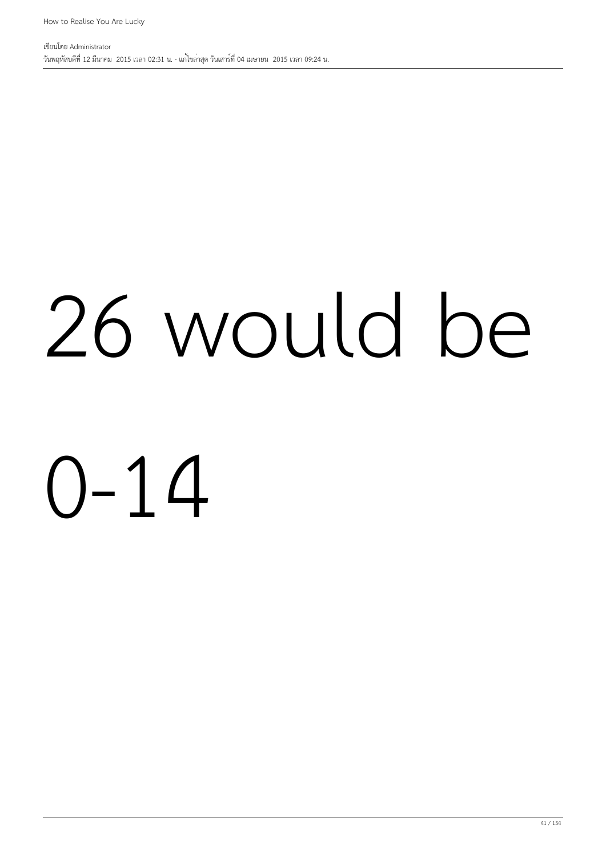#### 0-14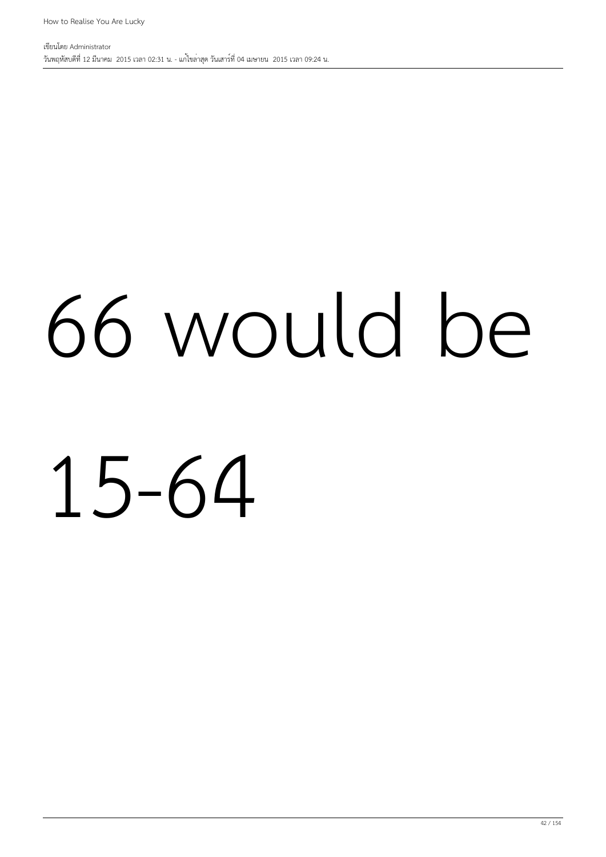#### 15-64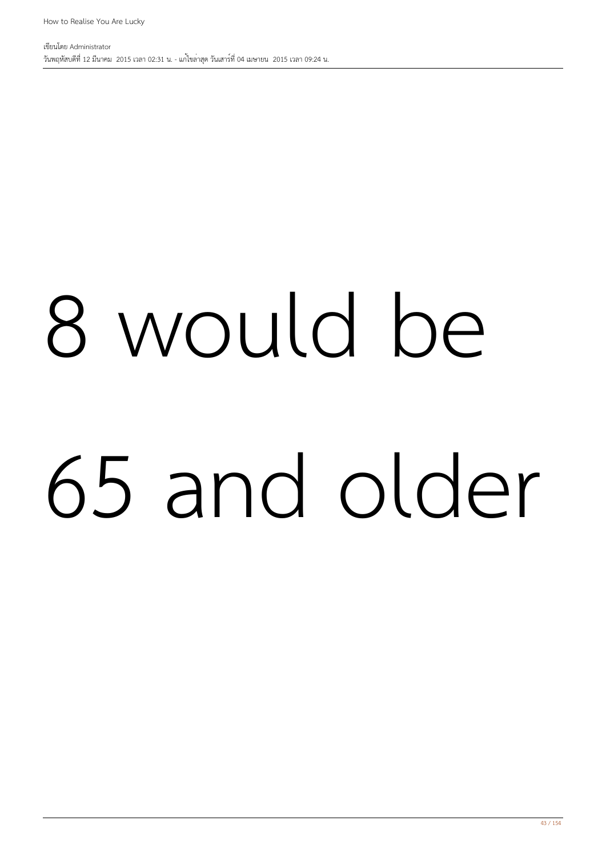## 8 would be 65 and older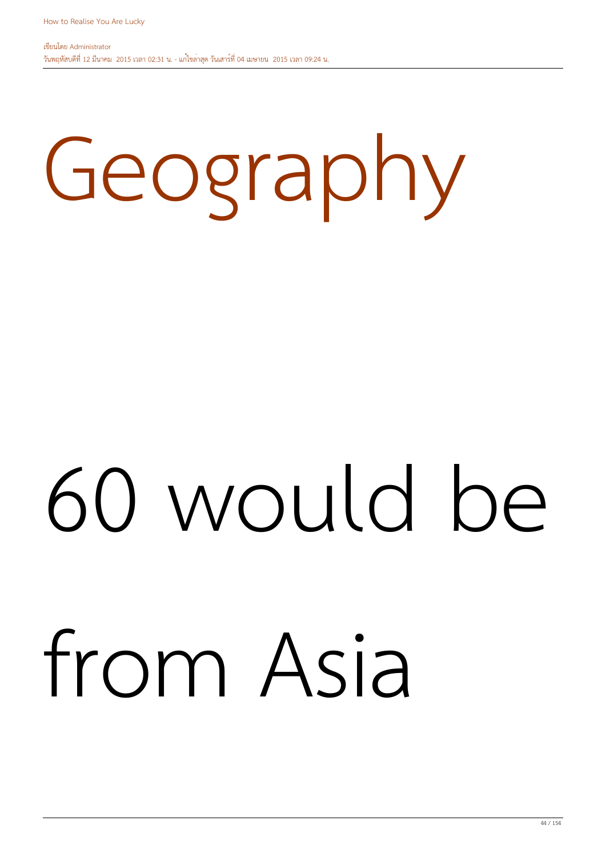### Geography

## 60 would be from Asia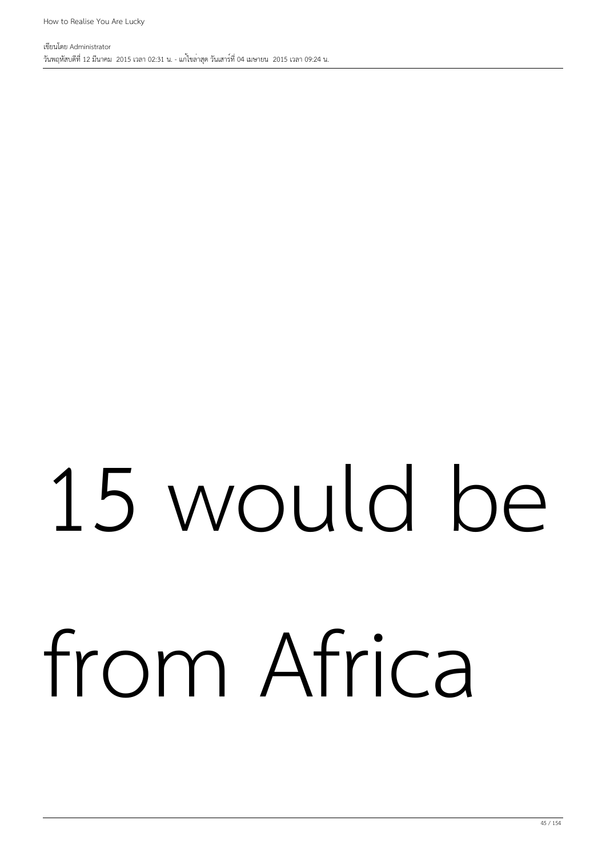## 15 would be from Africa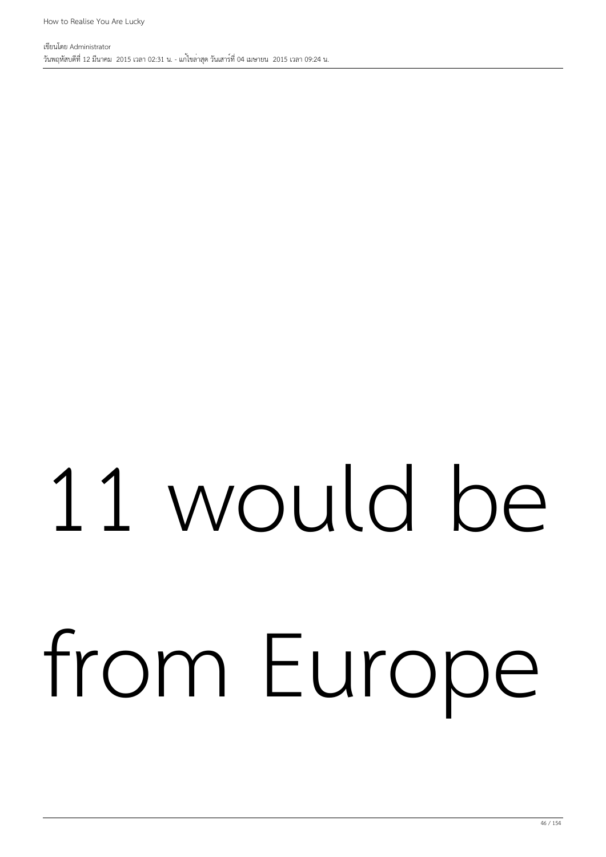# 11 would be from Europe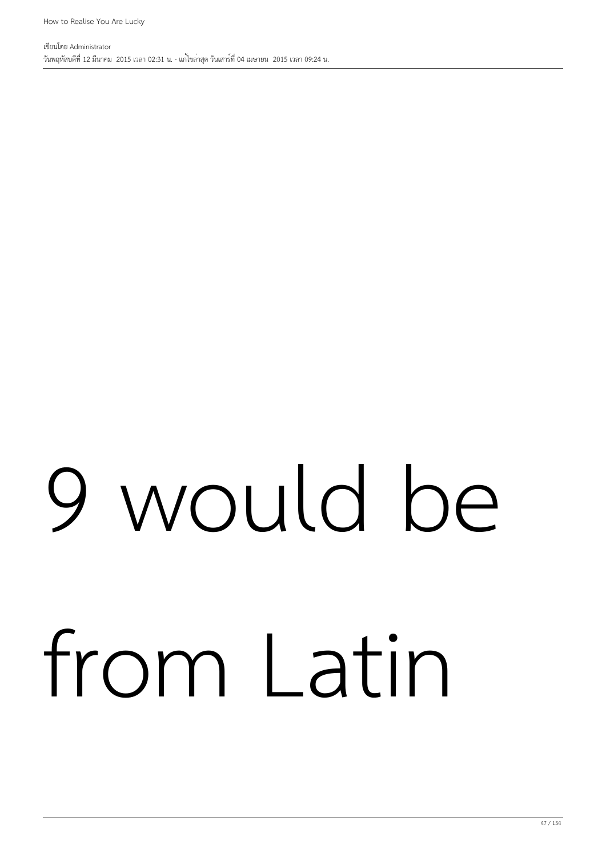## 9 would be from Latin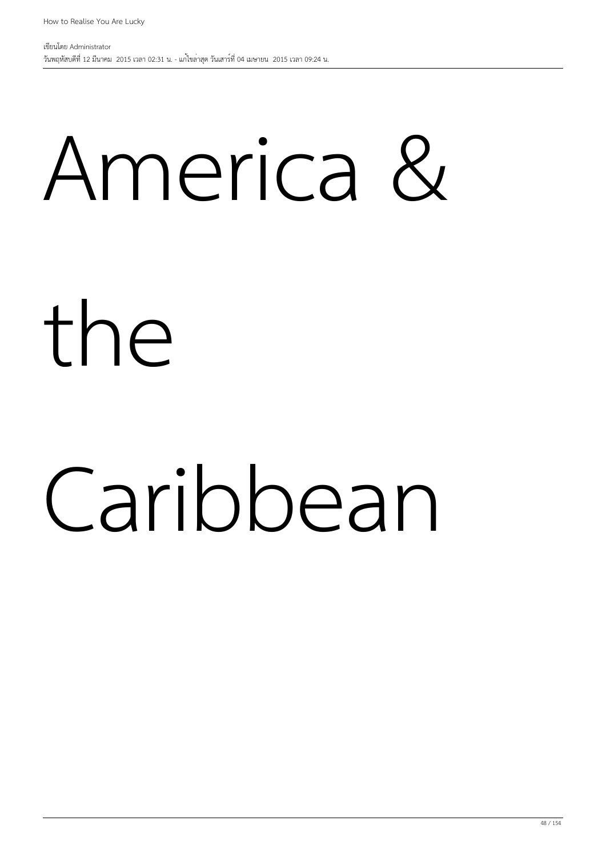### America &

#### the

### Caribbean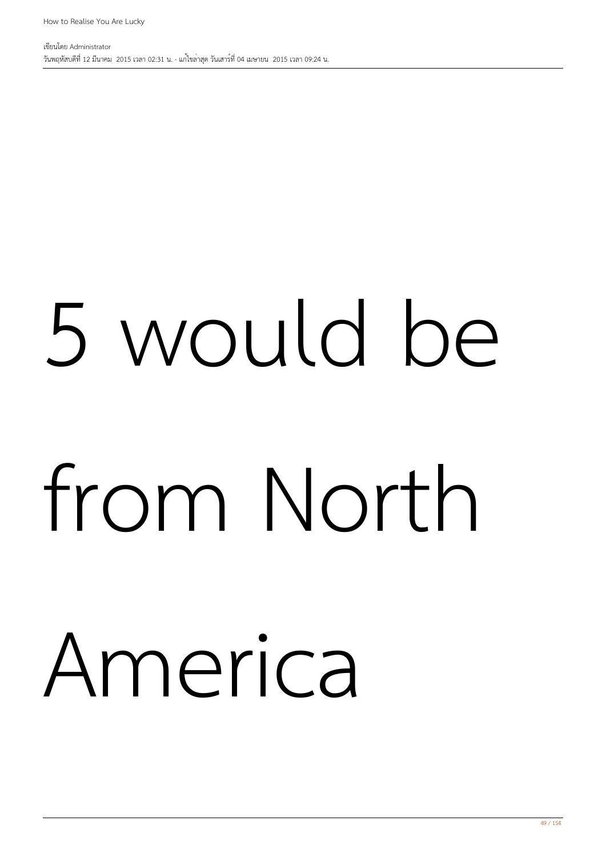# 5 would be from North America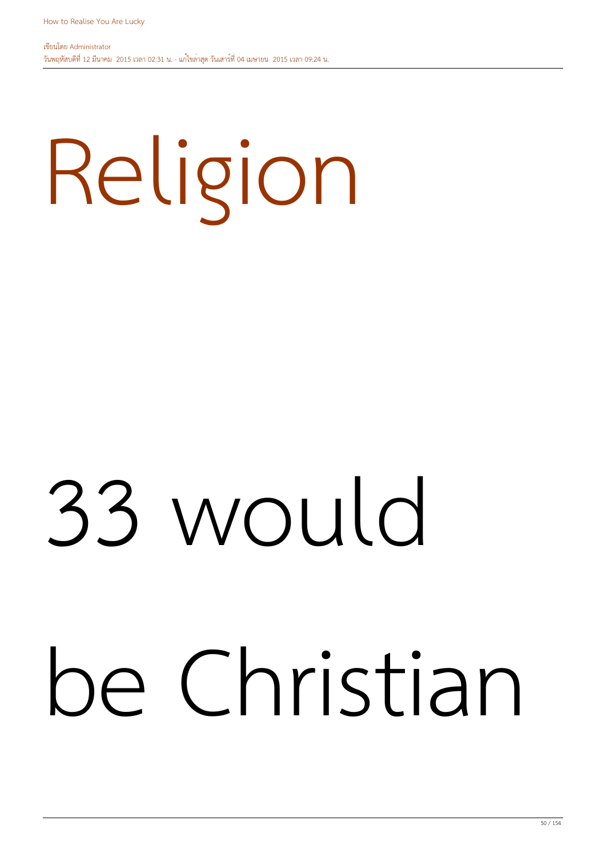## Religion

# 33 would be Christian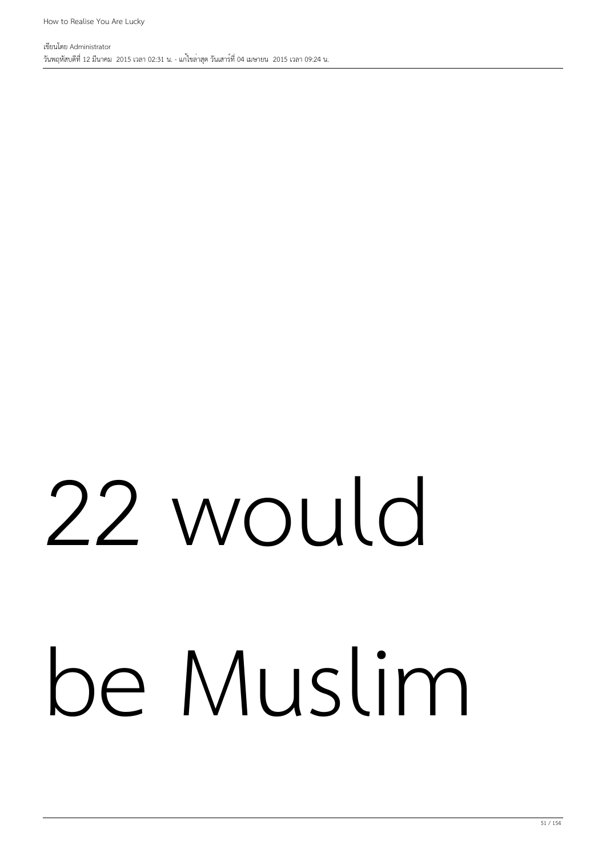# 22 would be Muslim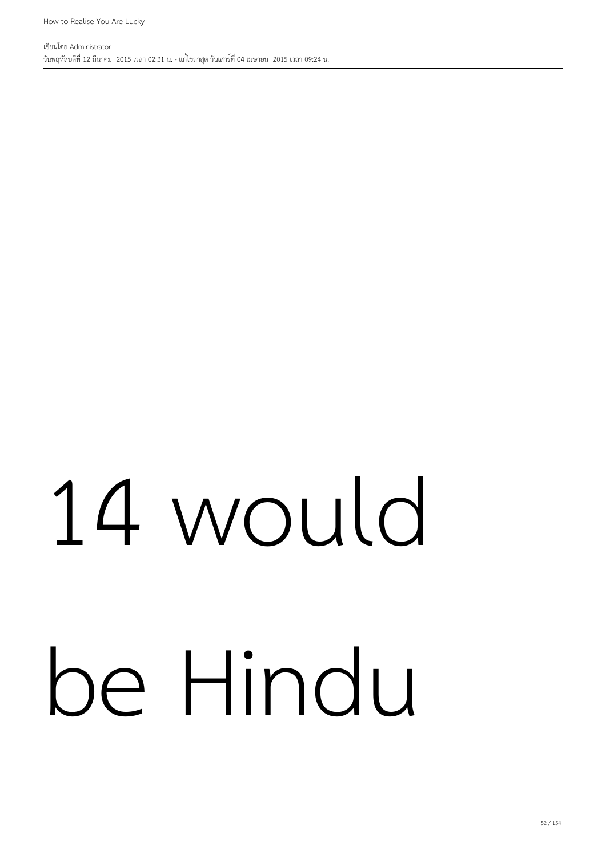# 14 would be Hindu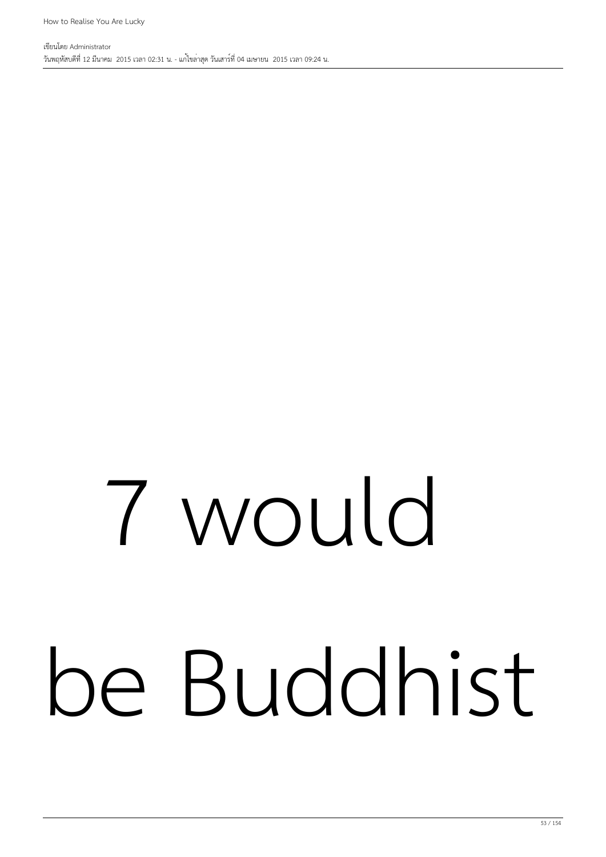# 7 would be Buddhist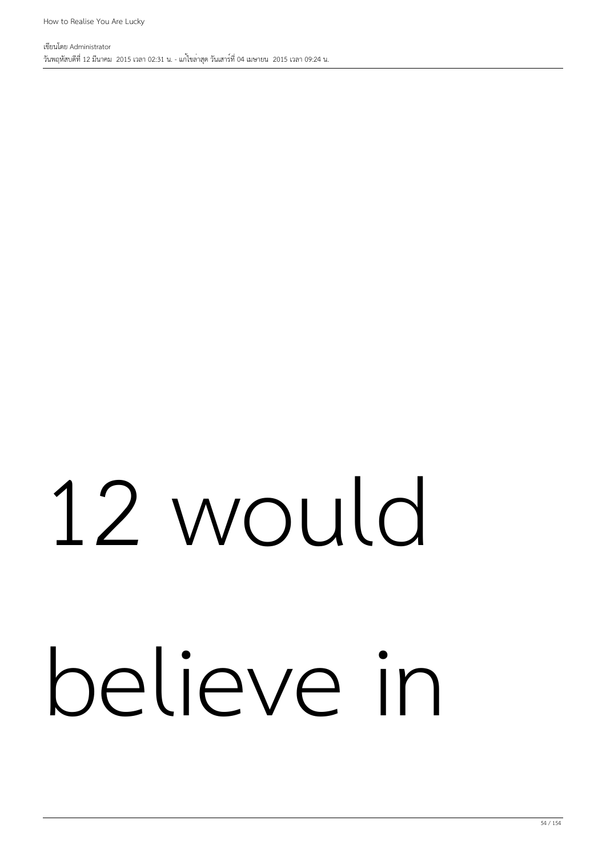## 12 would believe in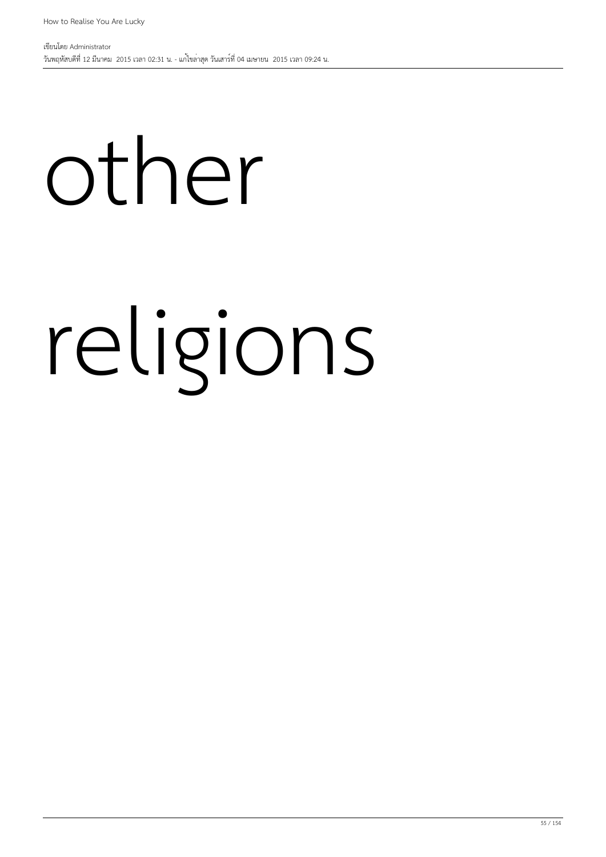# other religions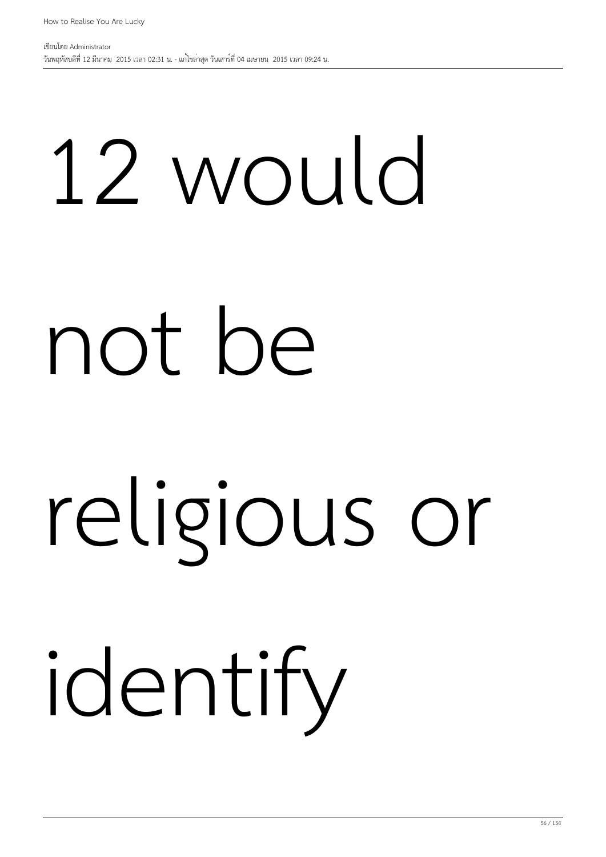# 12 would not be religious or identify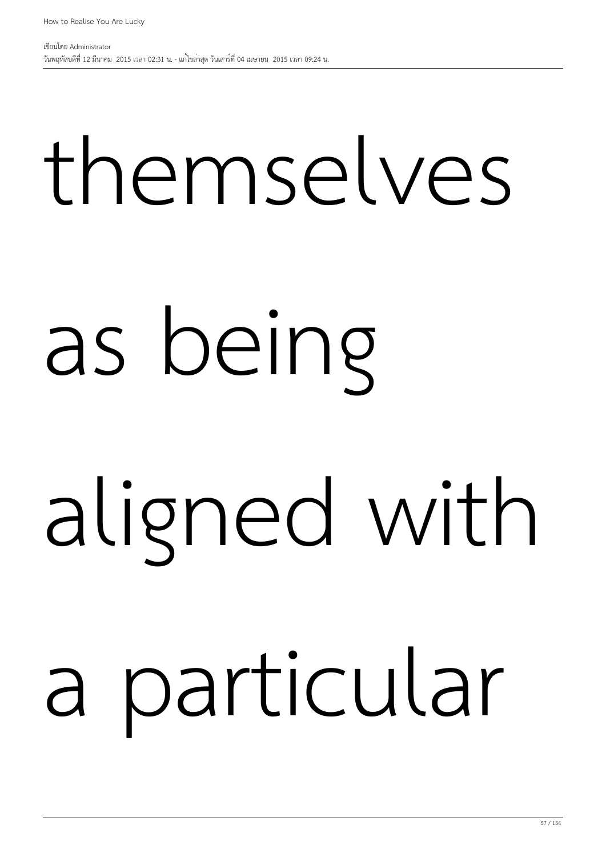# themselves as being aligned with a particular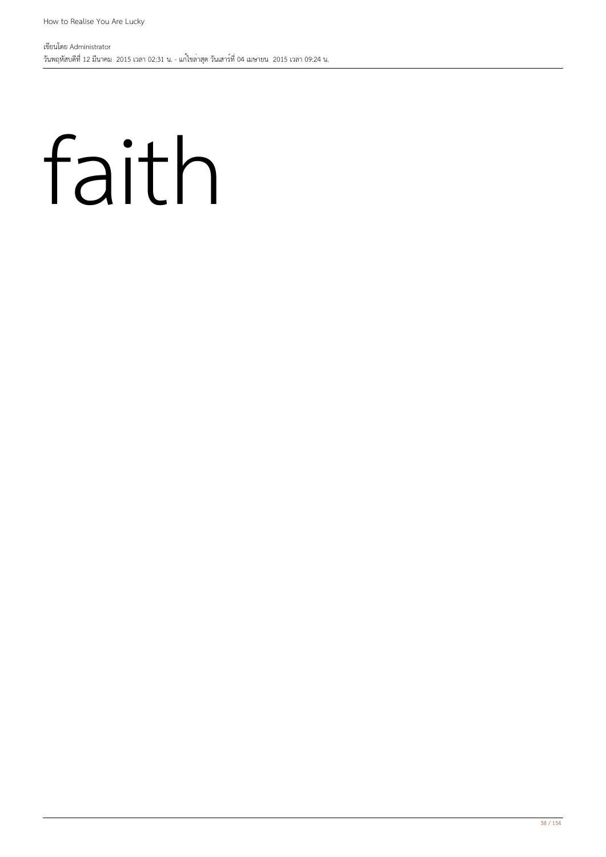### faith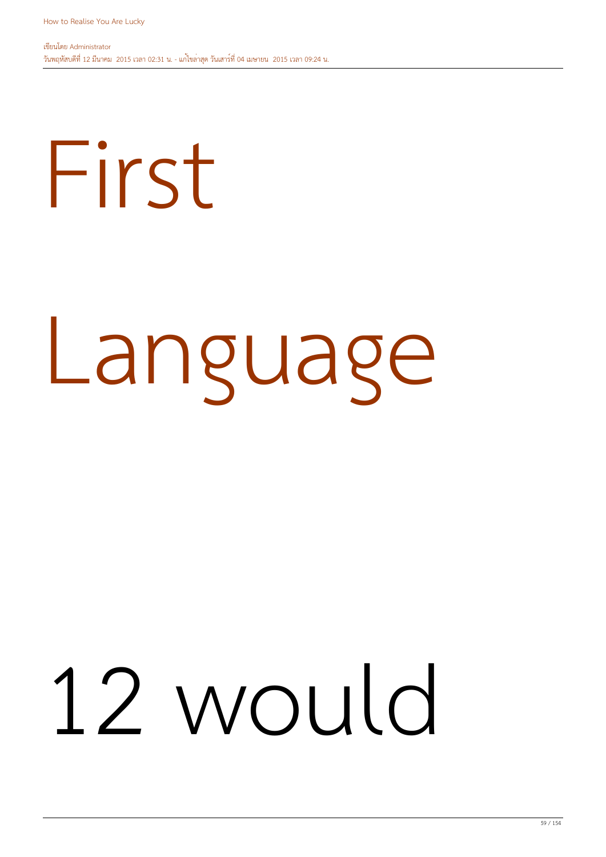#### First

### Language

## 12 would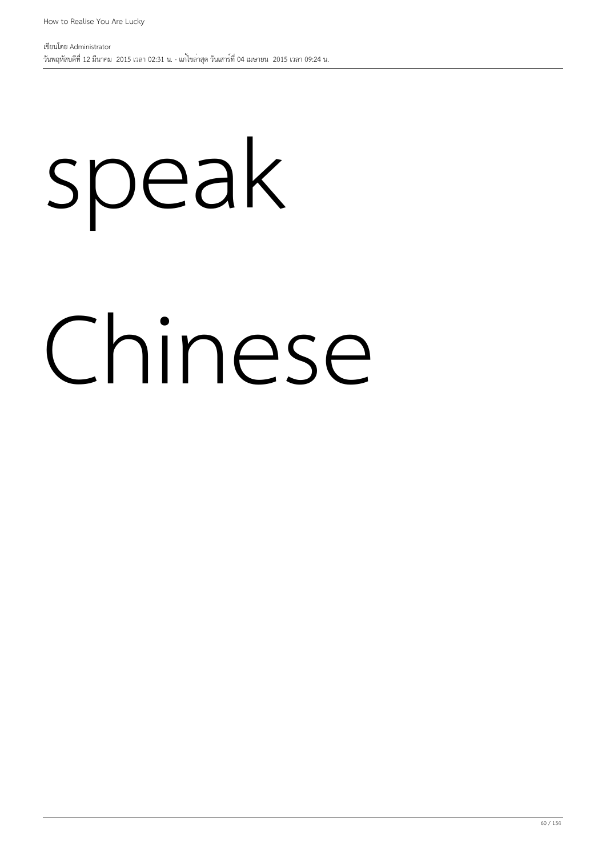# speak Chinese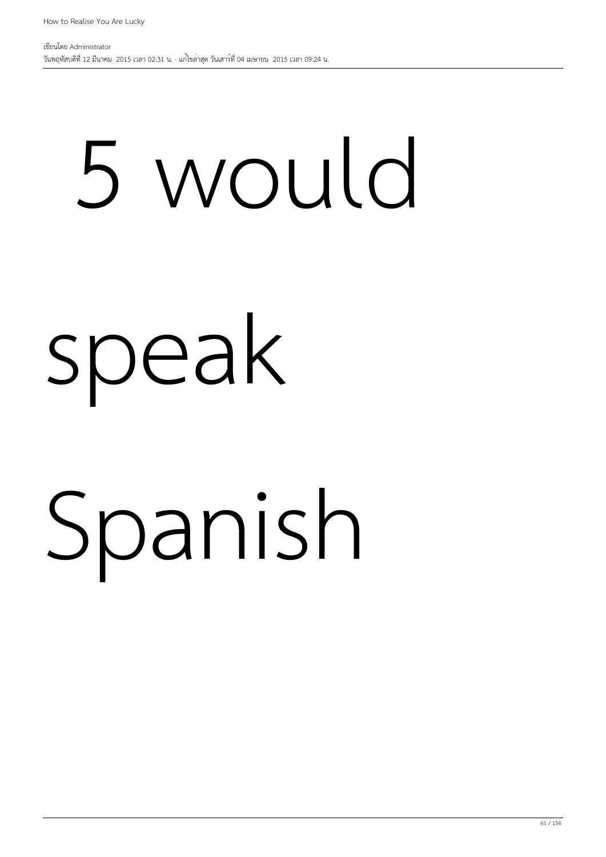# 5 would speak Spanish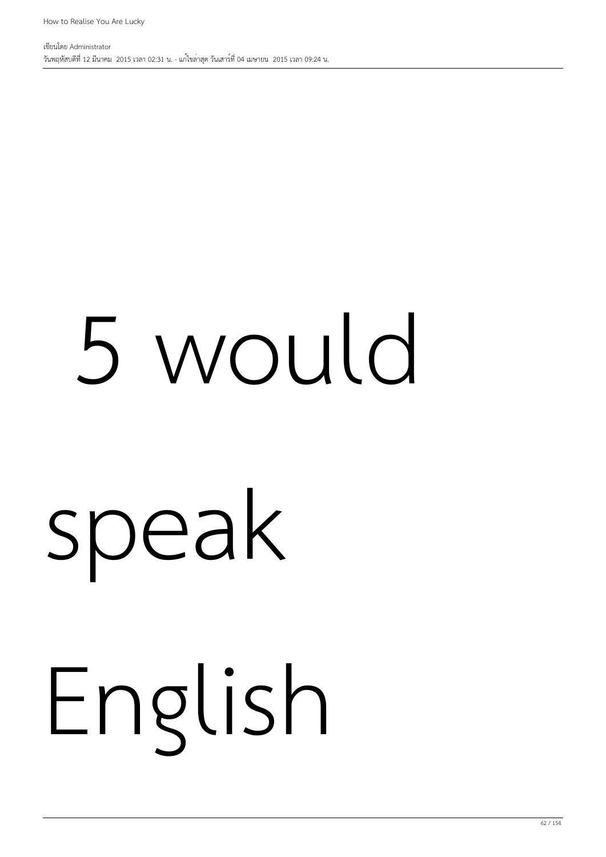# 5 would speak English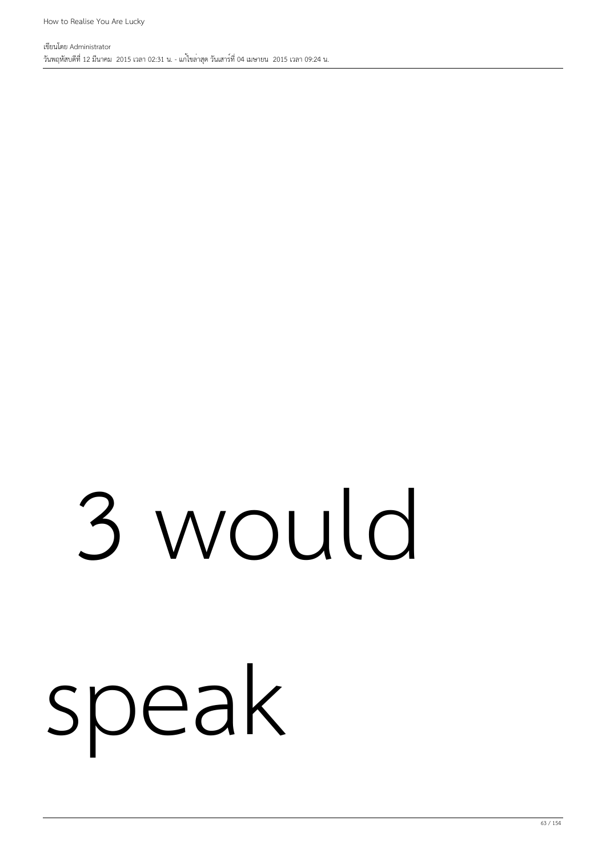# 3 would speak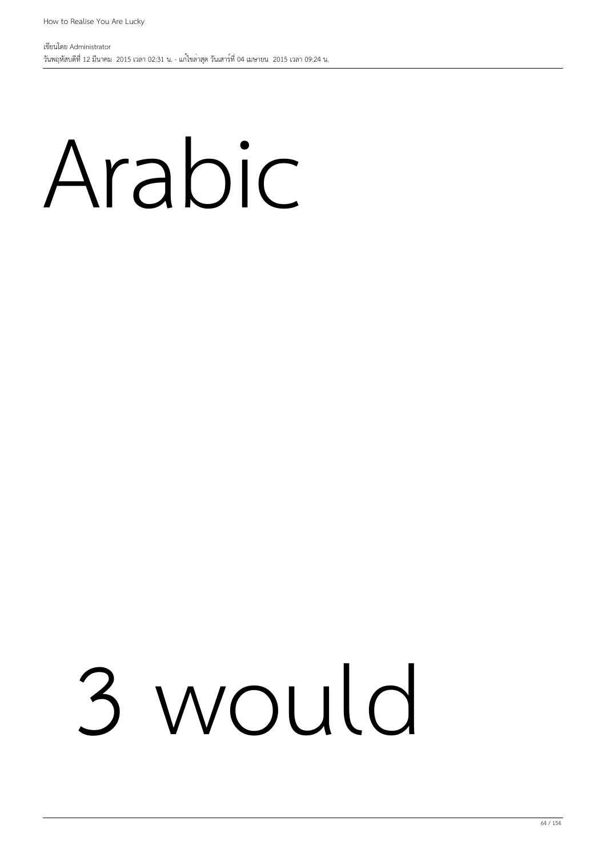### Arabic

## 3 would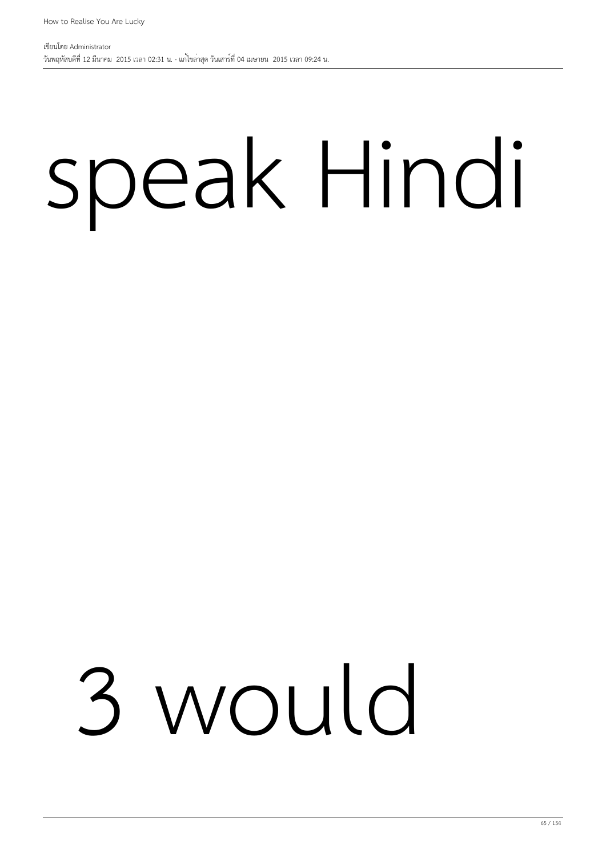## speak Hindi

## 3 would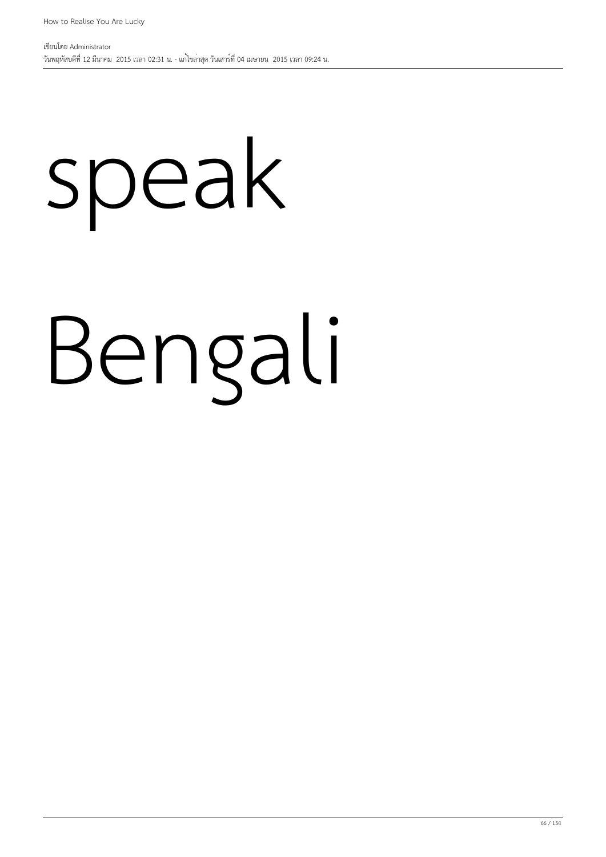# speak Bengali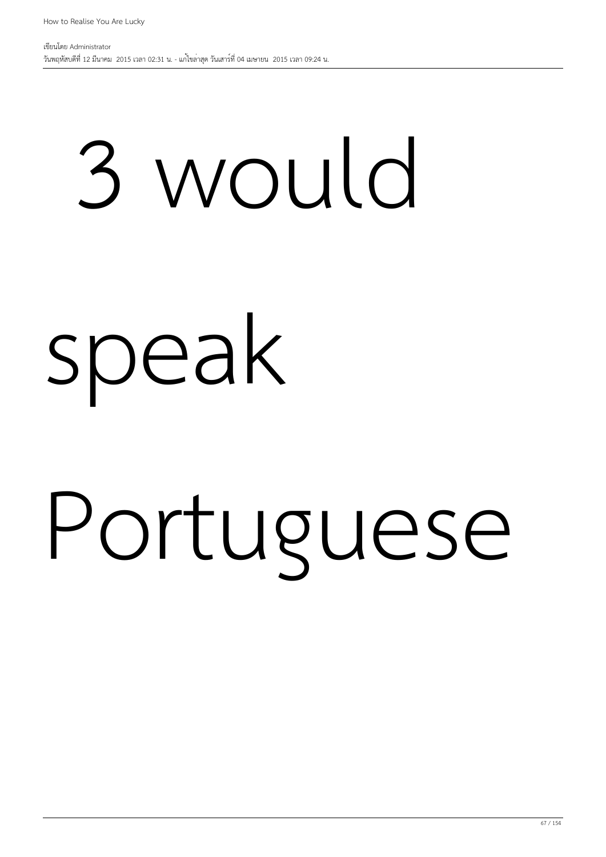# 3 would speak Portuguese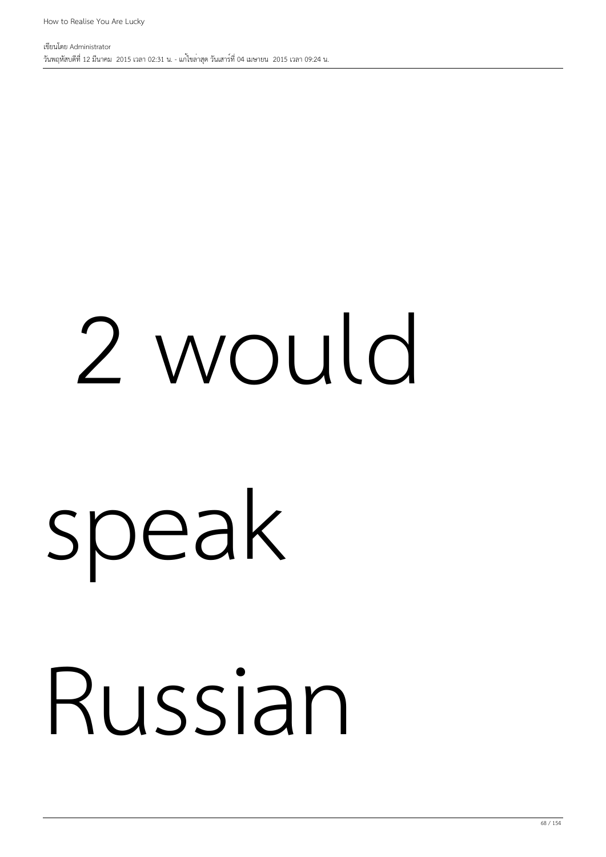# 2 would speak Russian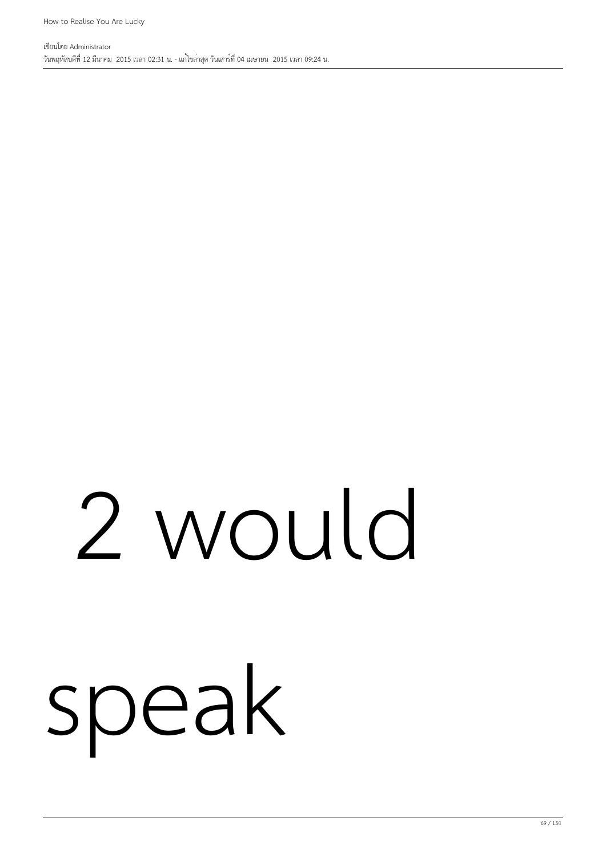# 2 would speak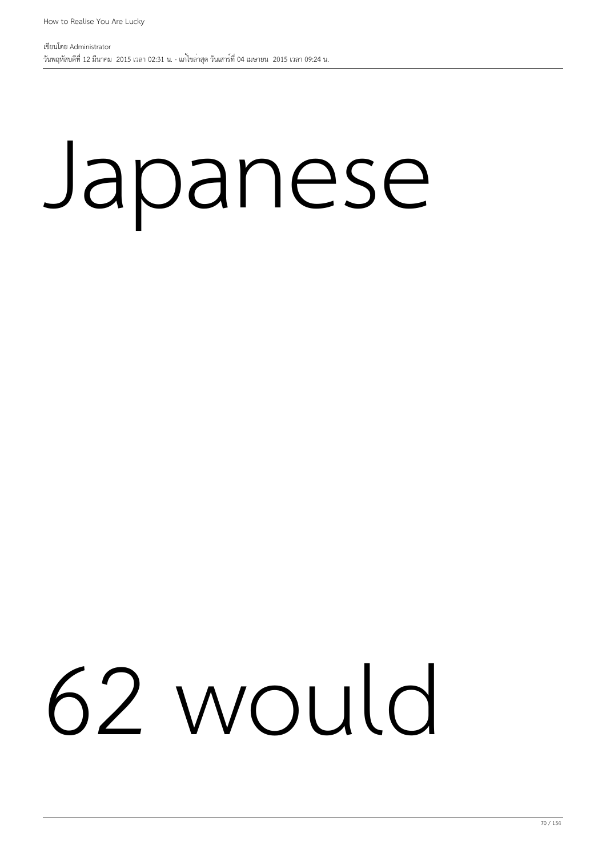### Japanese

## 62 would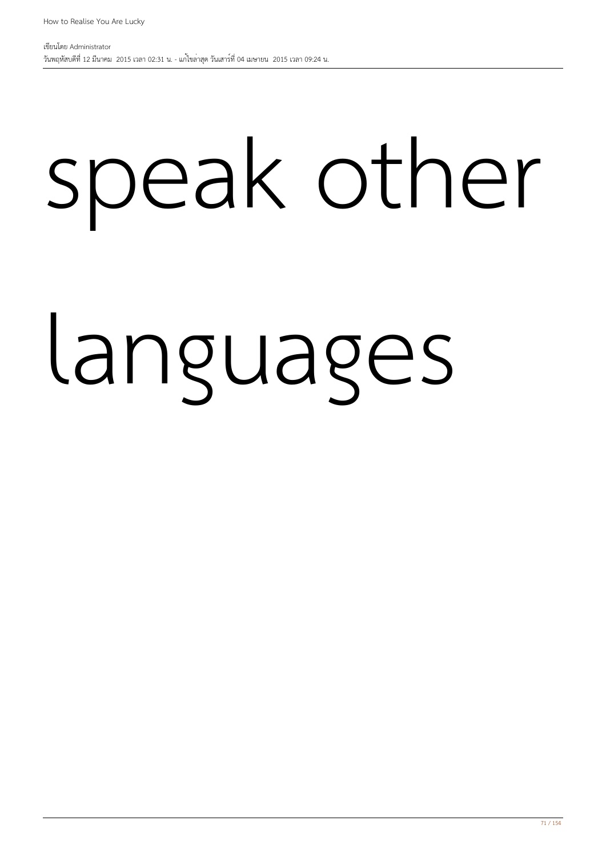# speak other languages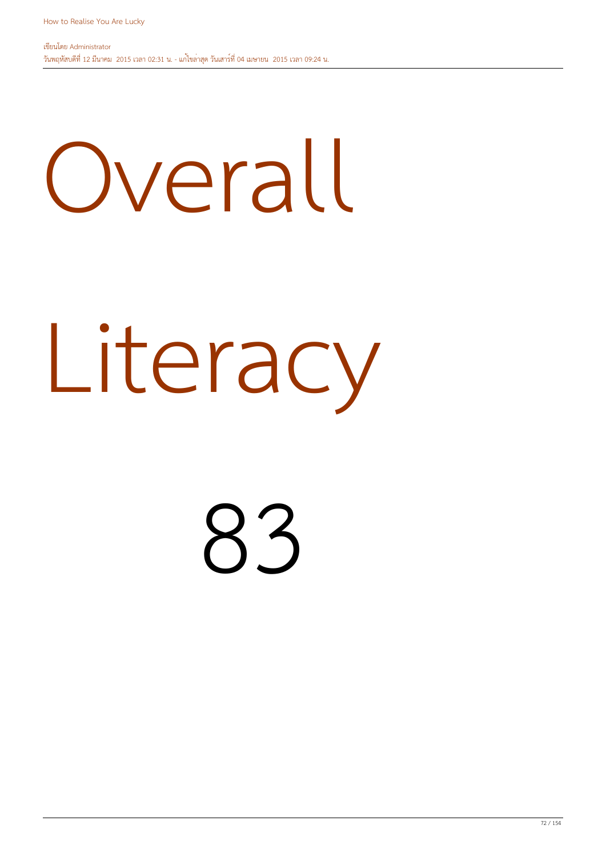เขียนโดย Administrator วันพฤหัสบดีที่ 12 มีนาคม 2015 เวลา 02:31 น. - แก้ไขล่าสุด วันเสาร์ที่ 04 เมษายน 2015 เวลา 09:24 น.

### Overall

## Literacy

### 83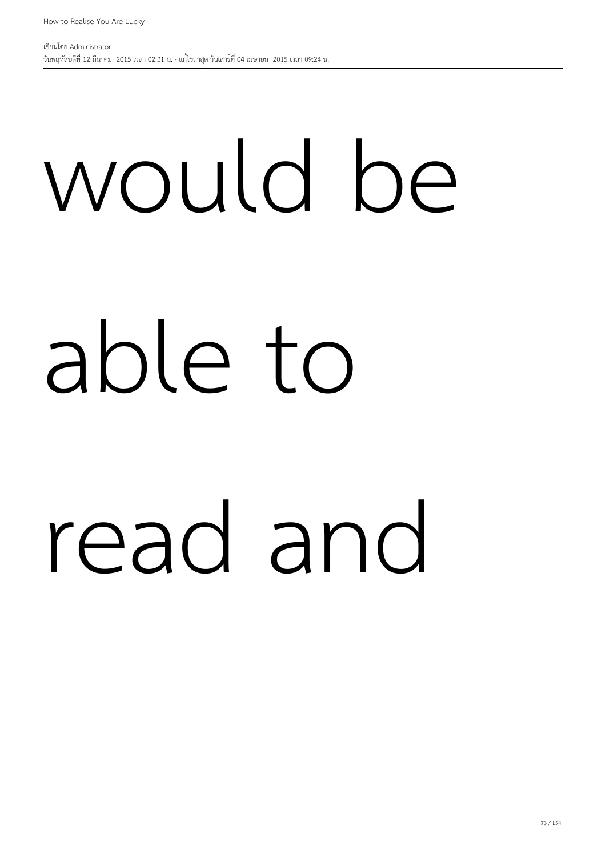## would be able to read and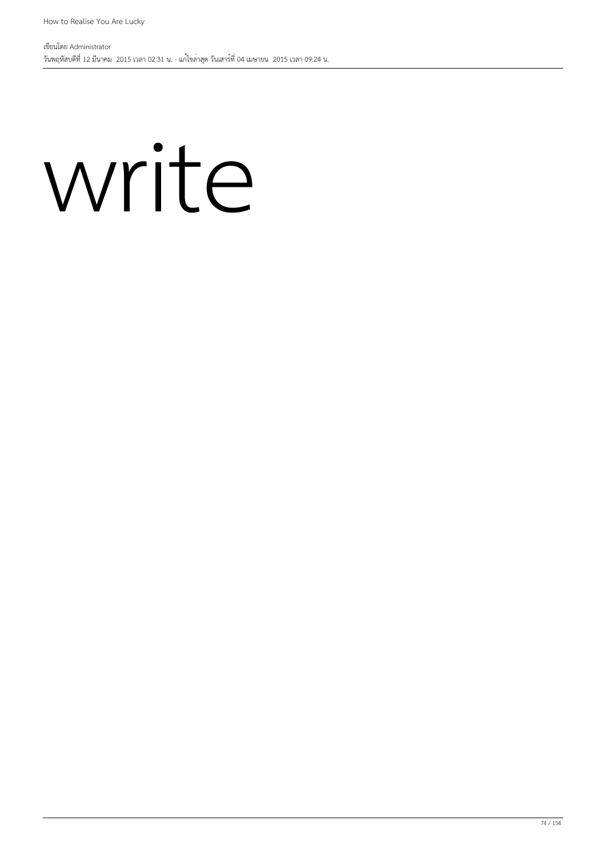#### write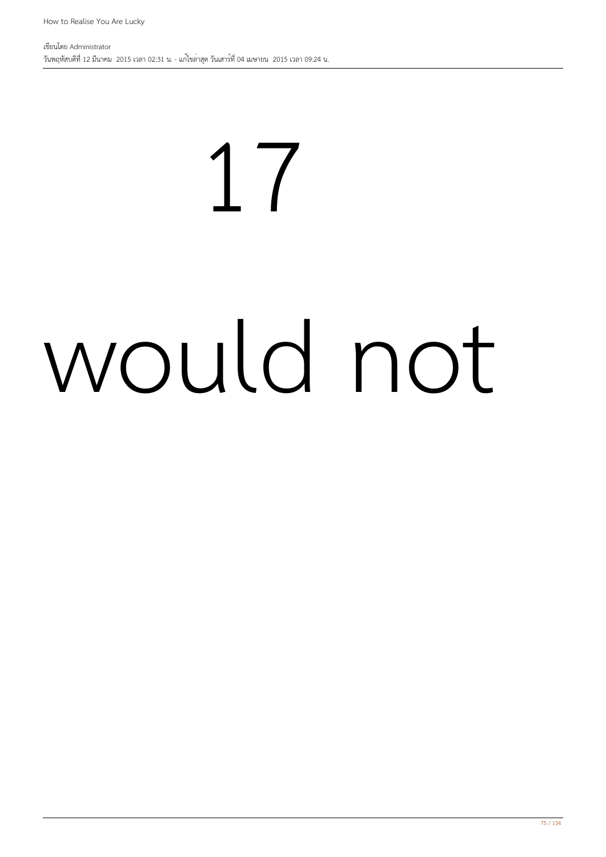## 17 would not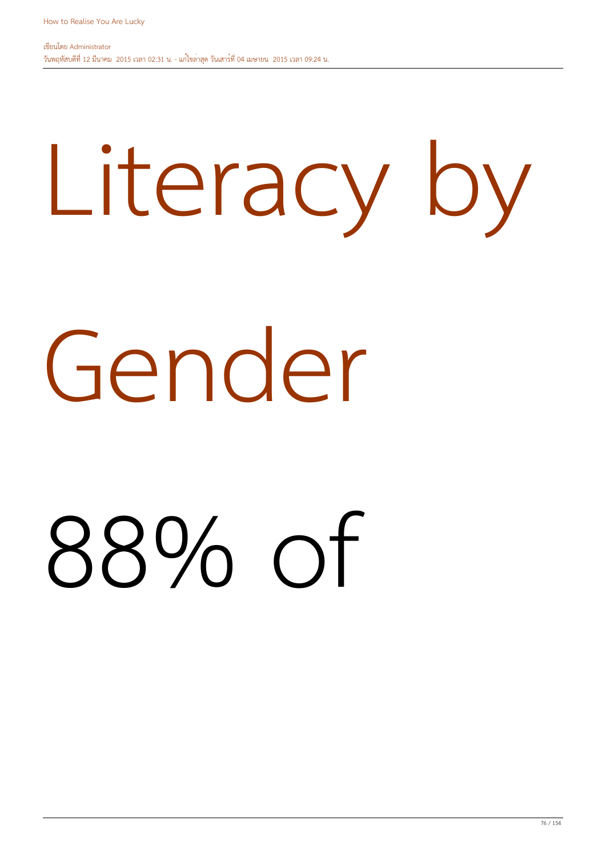### Literacy by

#### Gender

### 88% of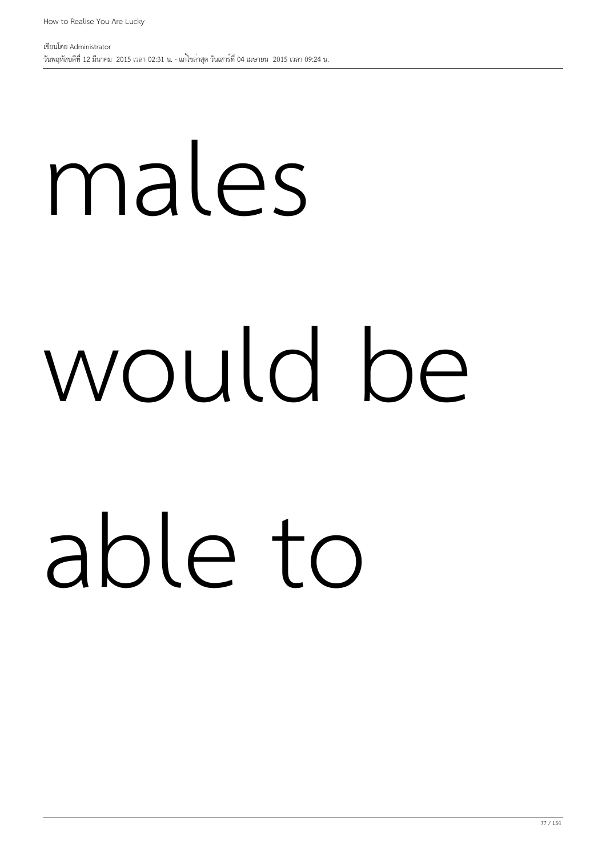# males would be able to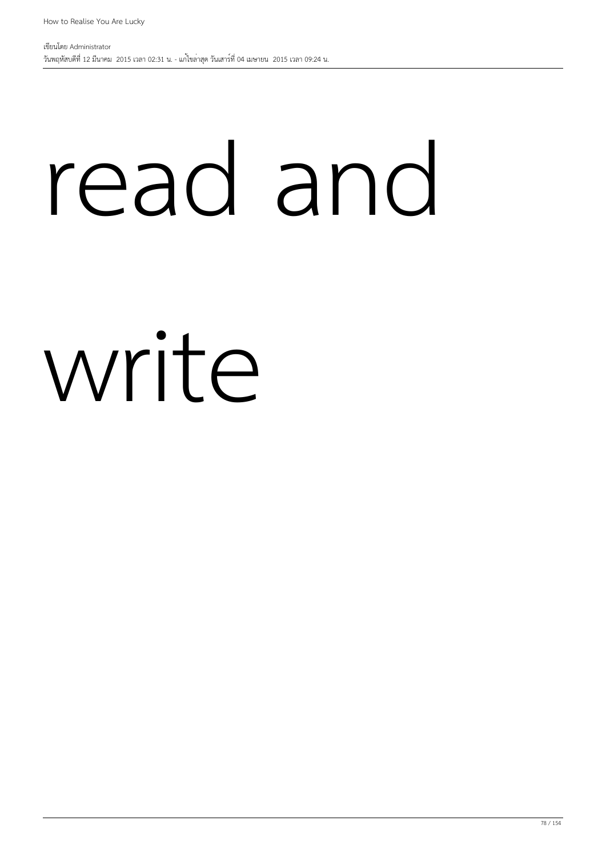### read and

#### write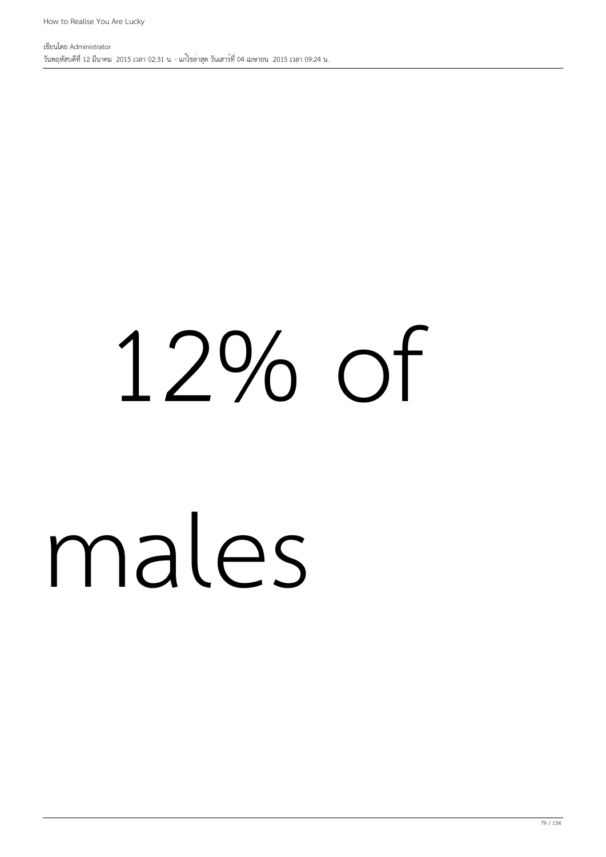## 12% of males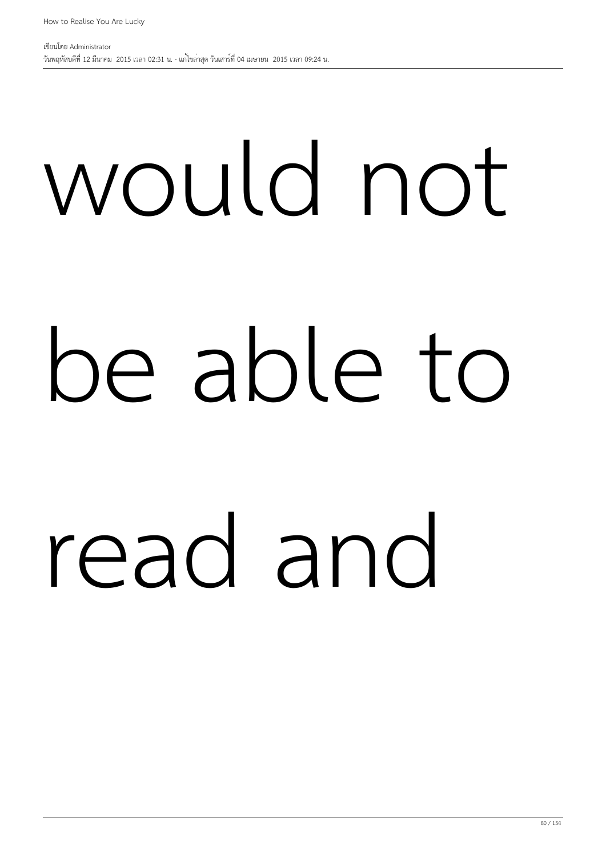# would not be able to read and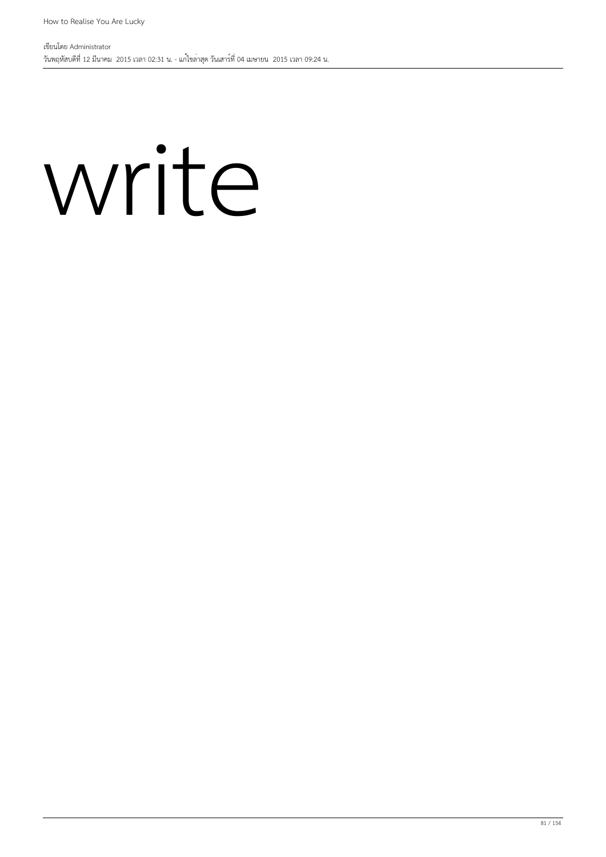#### write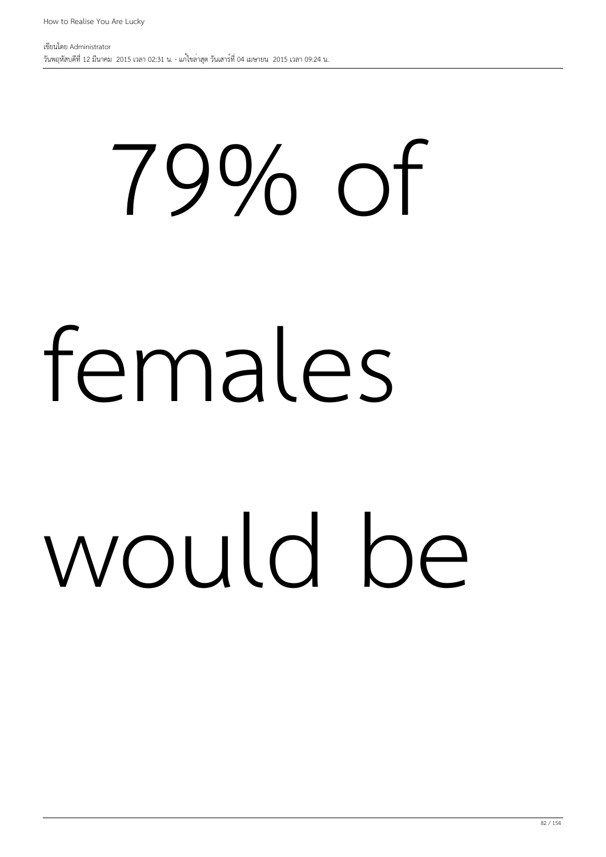# 79% of females would be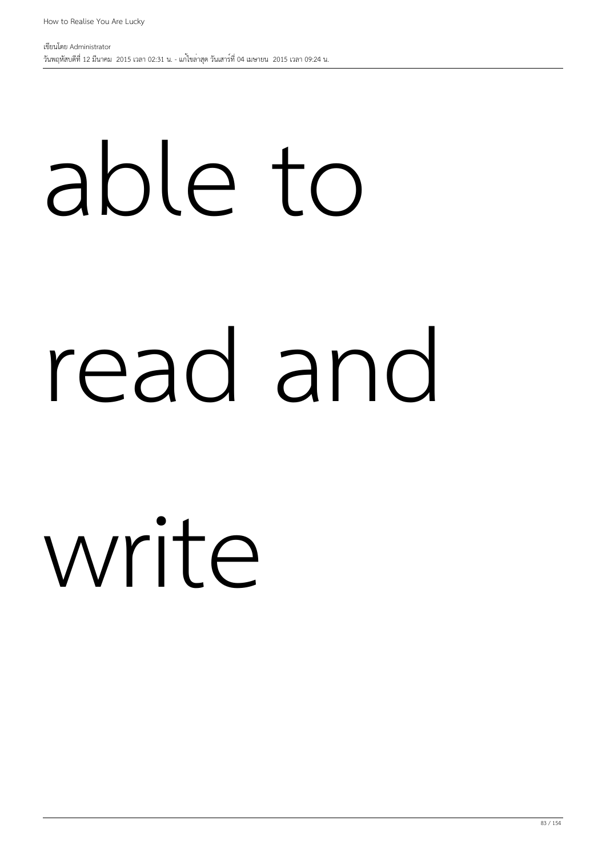# able to read and

write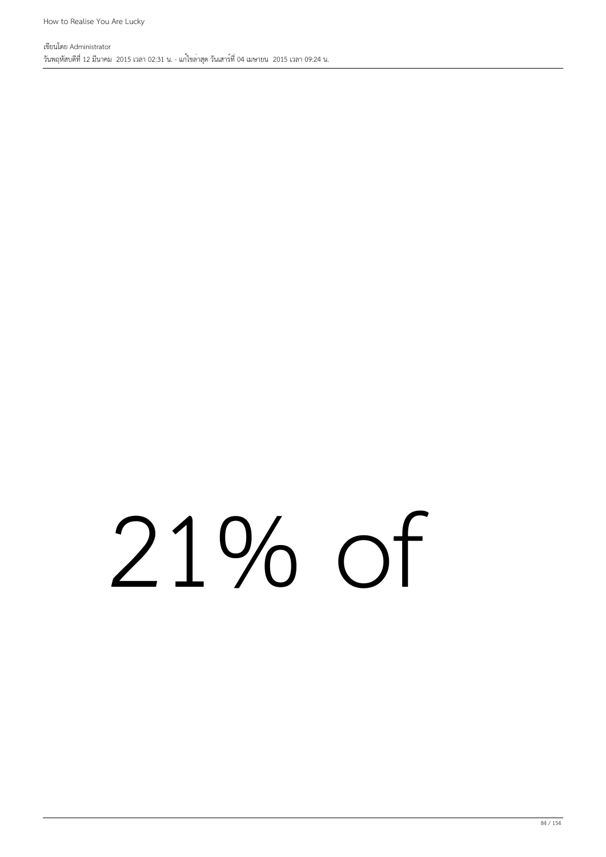### 21% of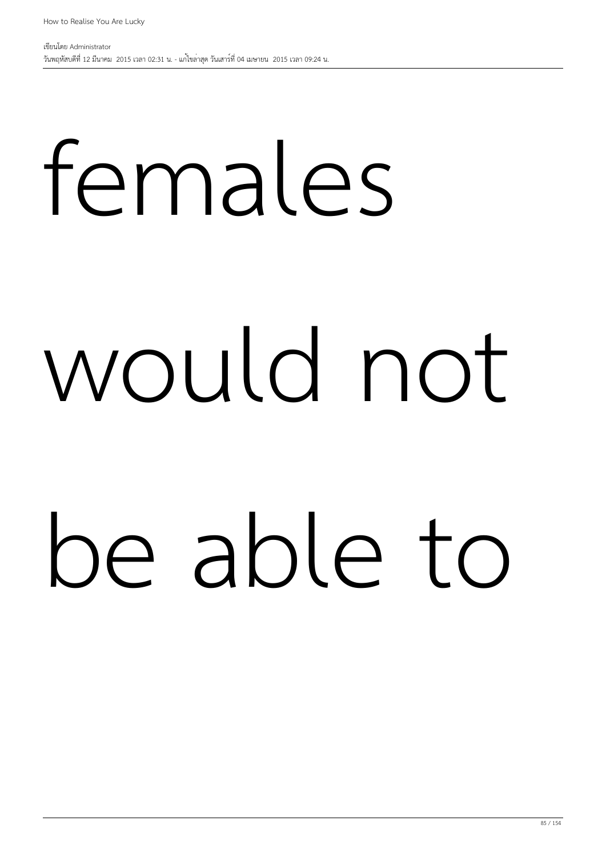# females would not be able to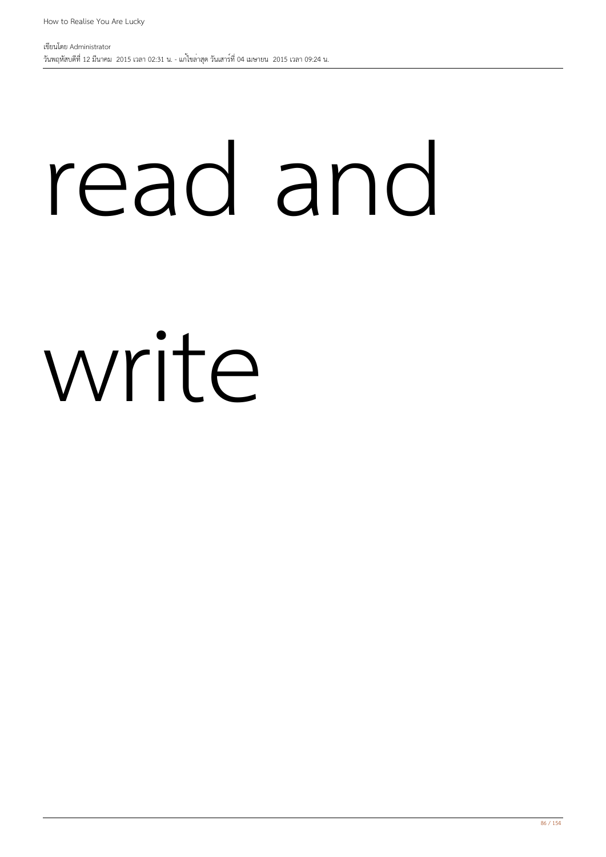### read and

#### write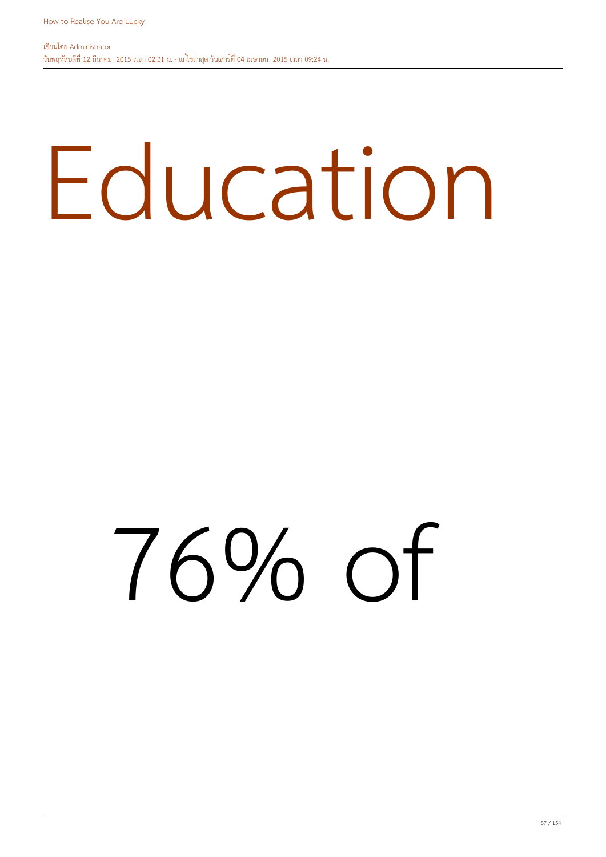#### Education

### 76% of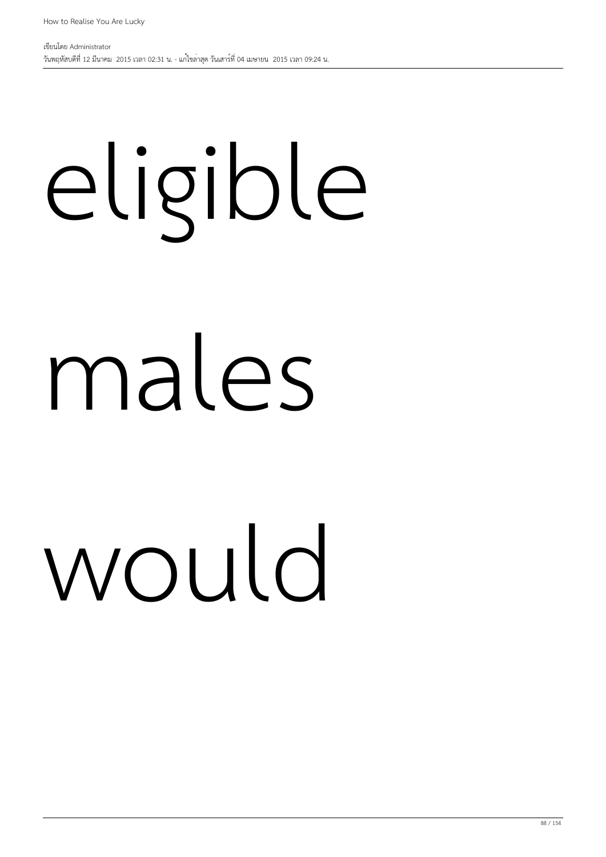# eligible males would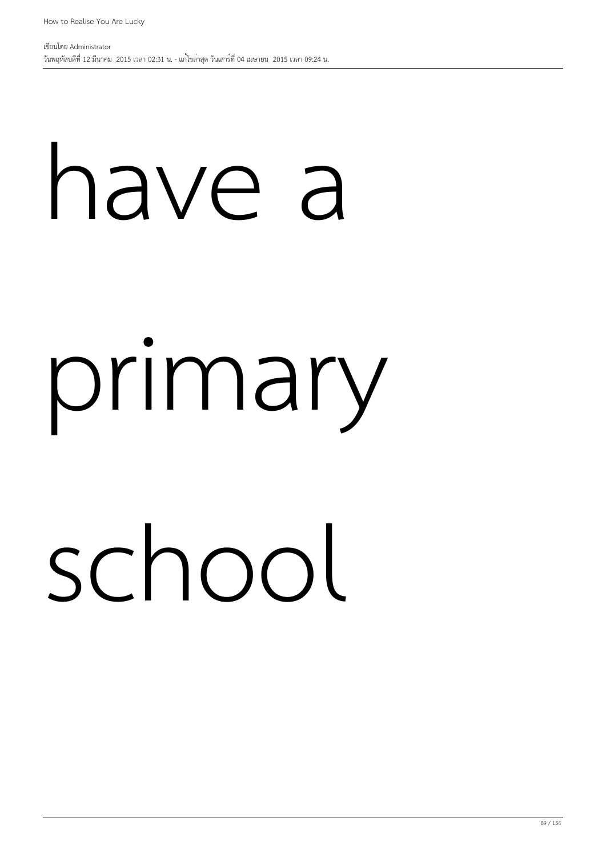### have a

## primary school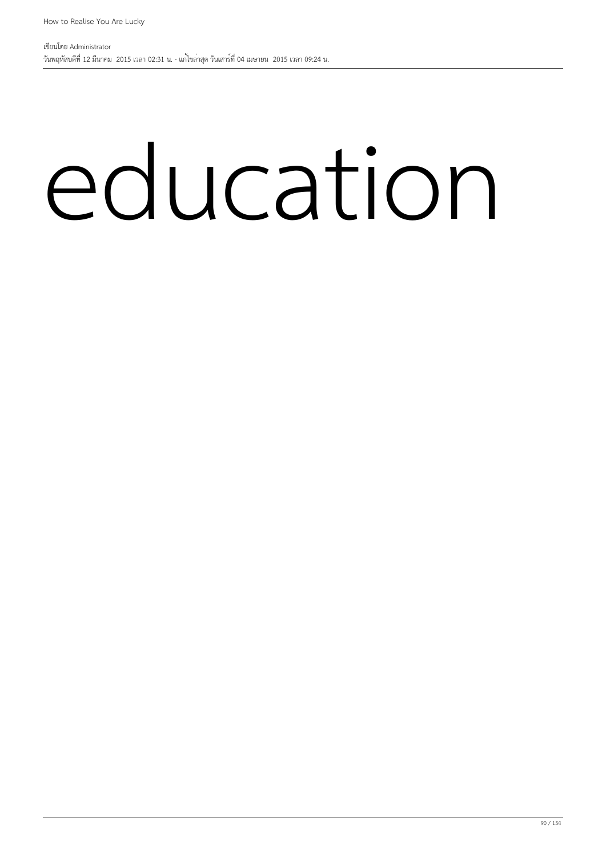### education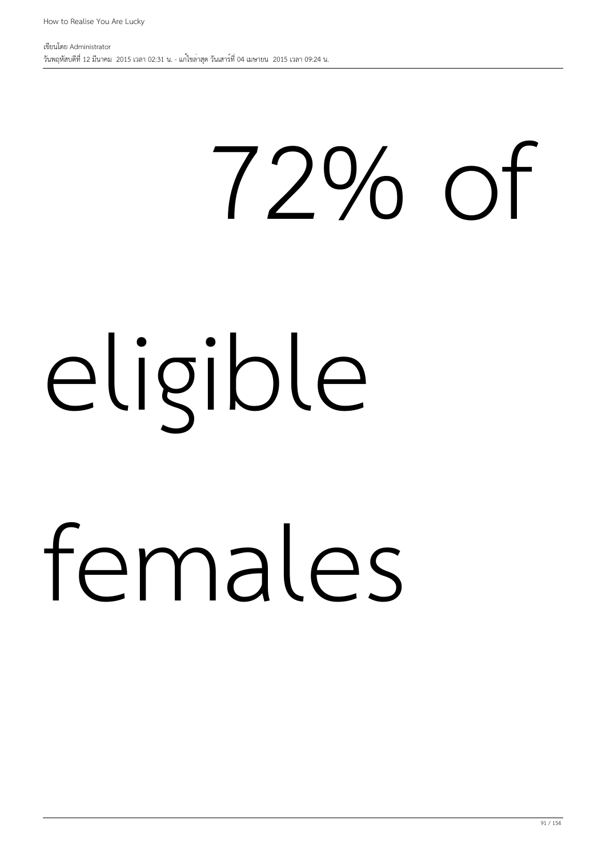## 72% of

### eligible

### females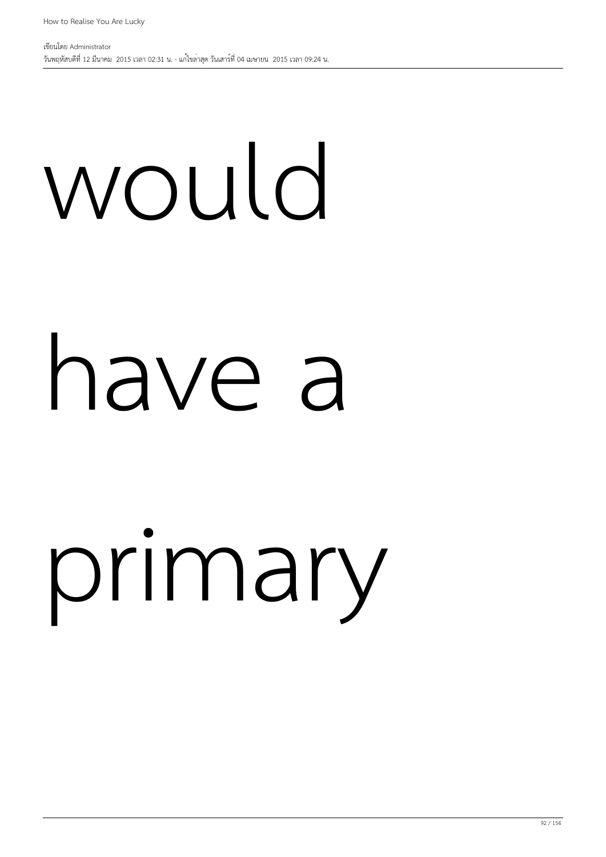# would have a primary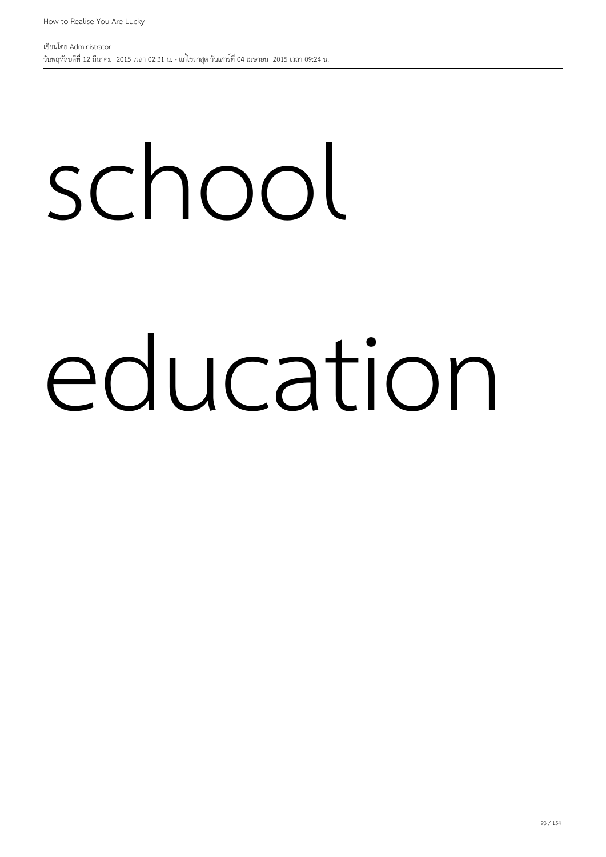## school education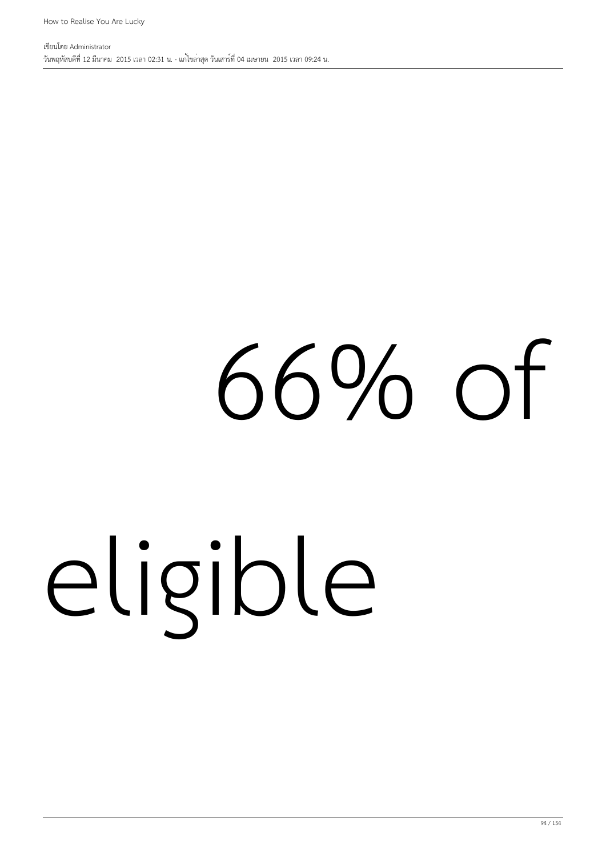# 66% of eligible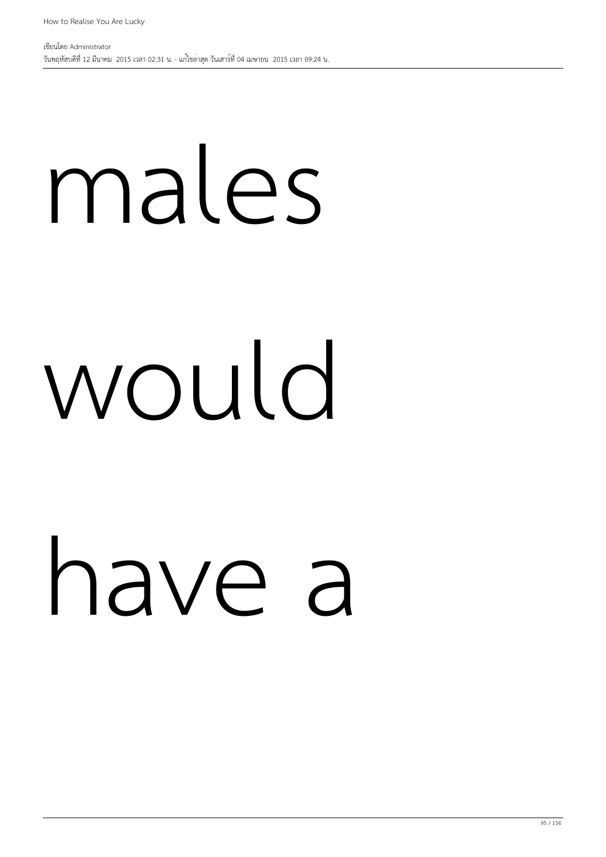# males would have a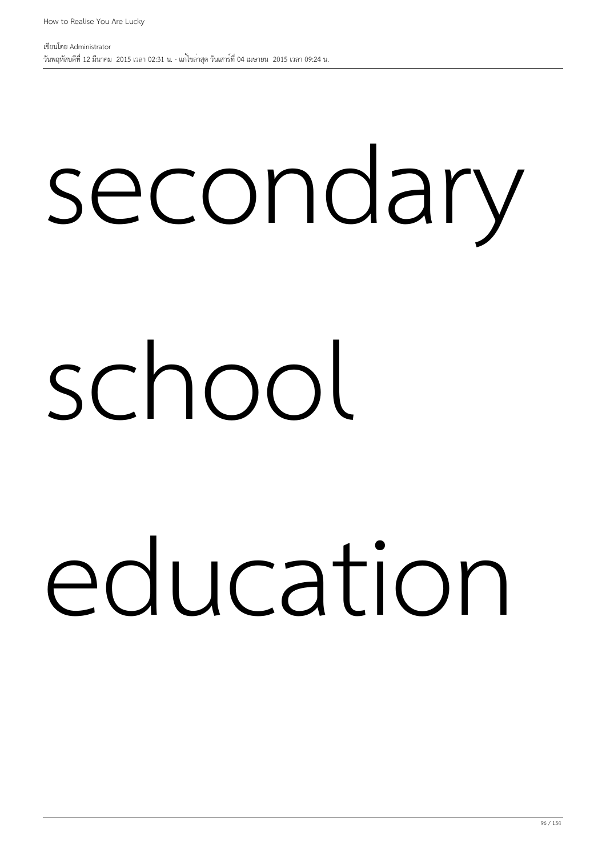# secondary school education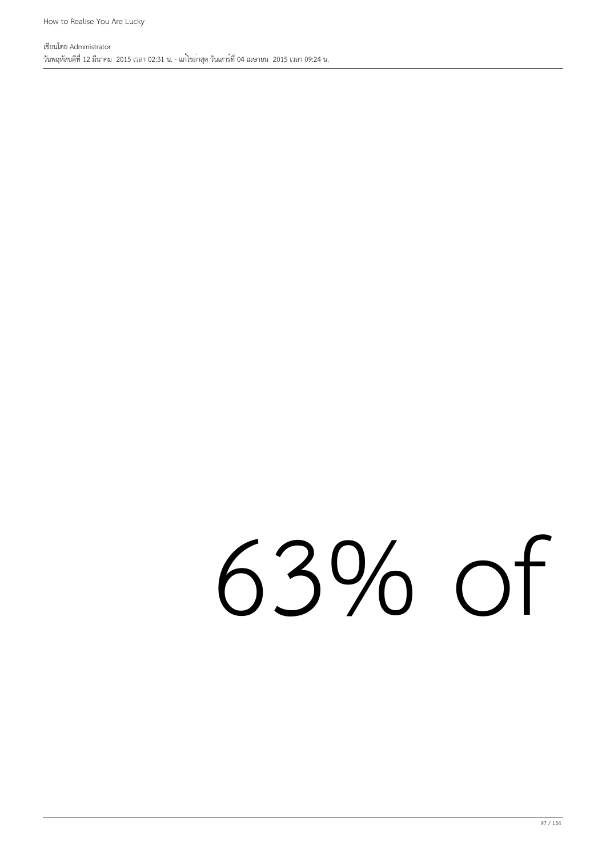### 63% of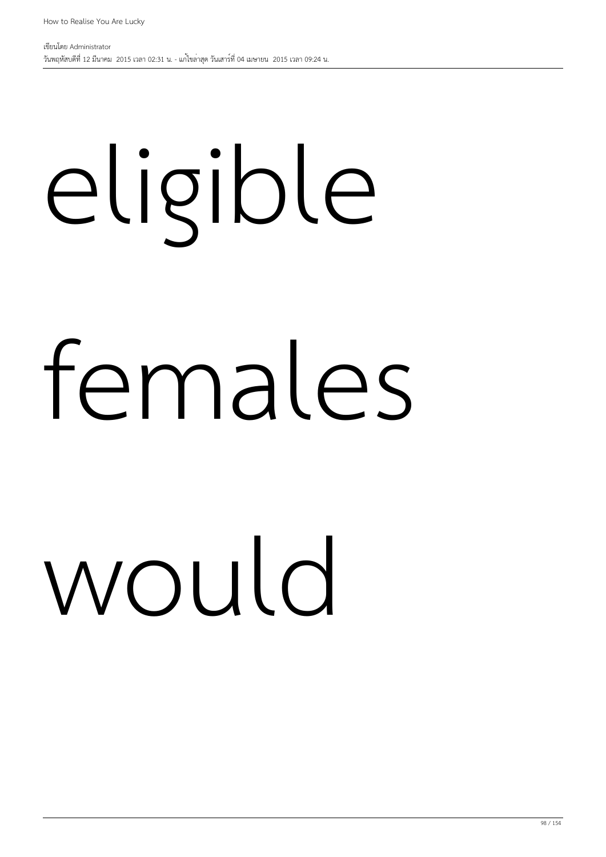# eligible females would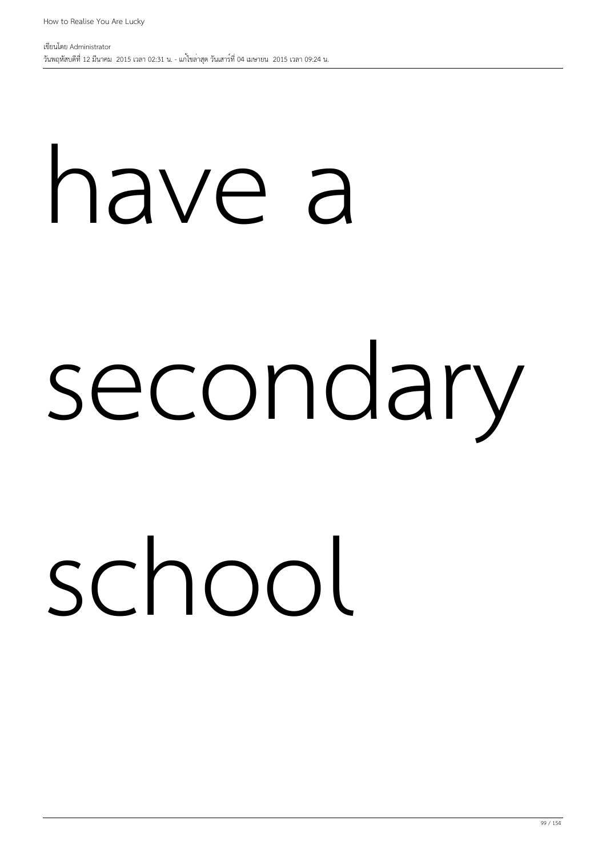# have a secondary school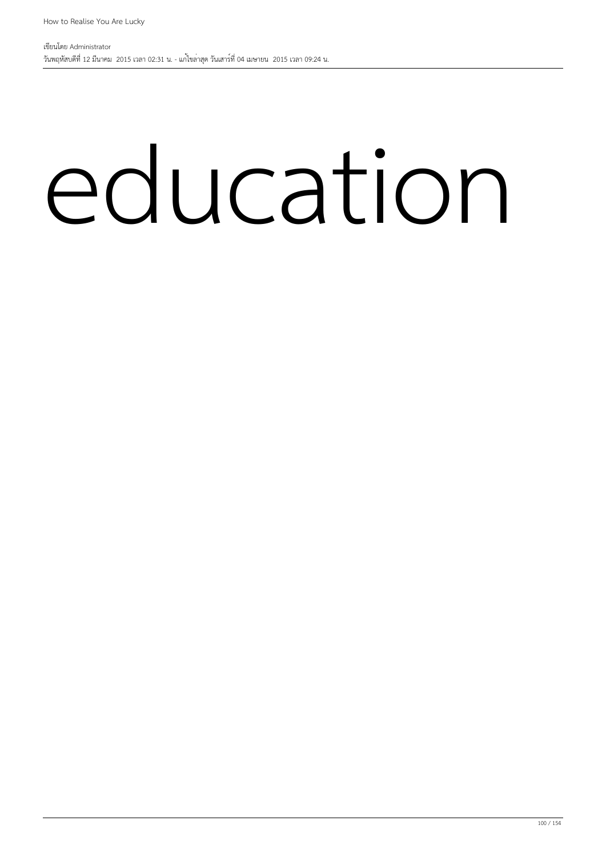### education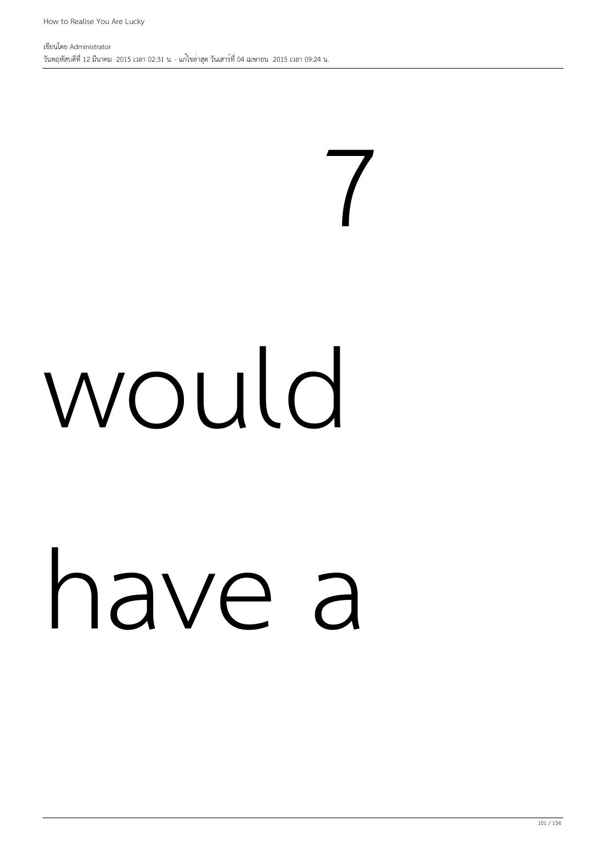7

## would have a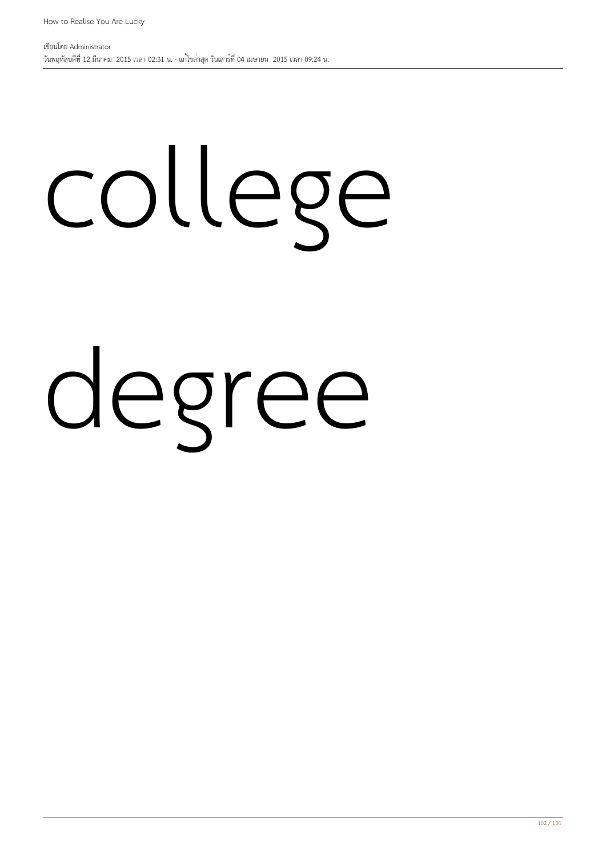## college degree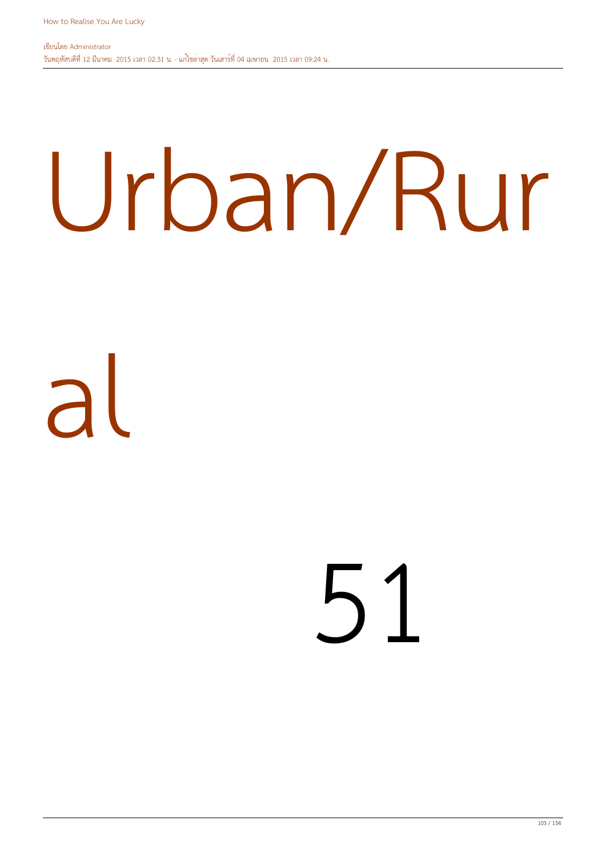### Urban/Rur



51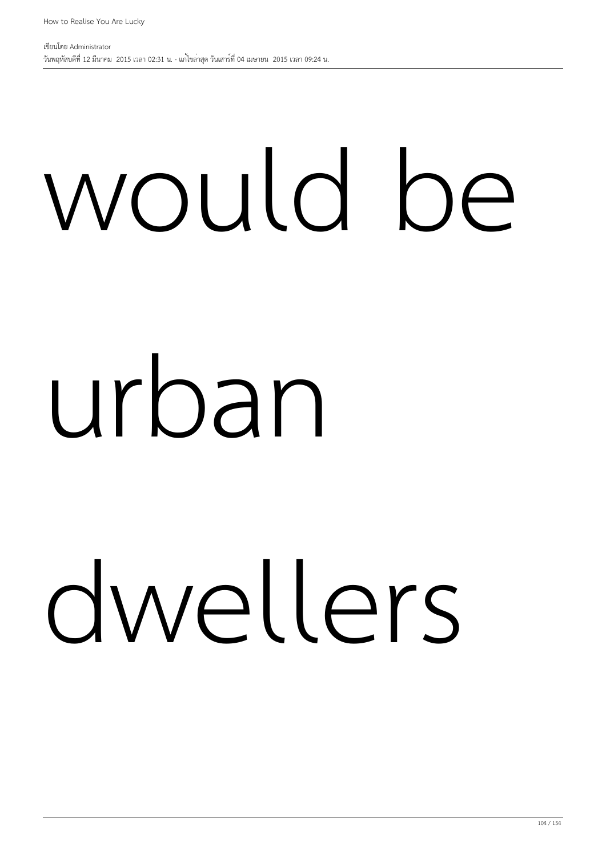# would be urban dwellers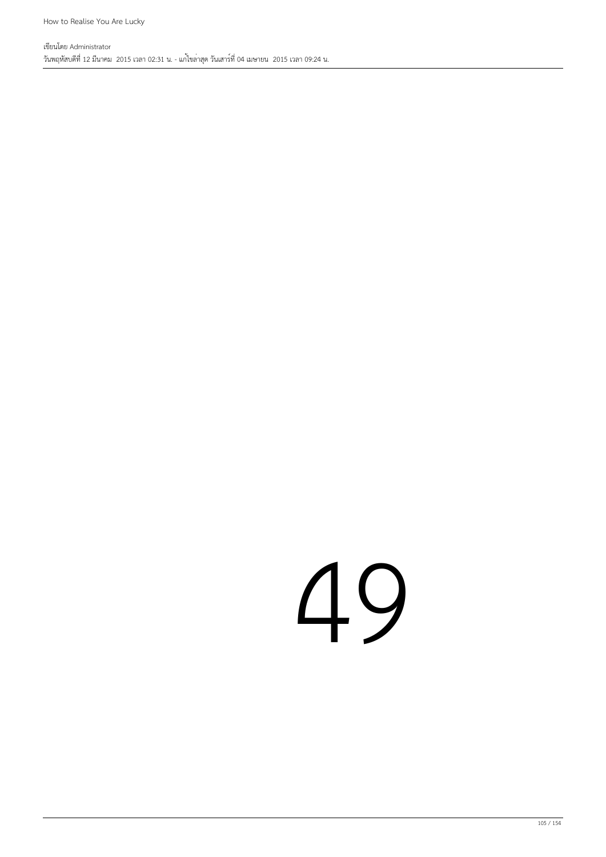### 49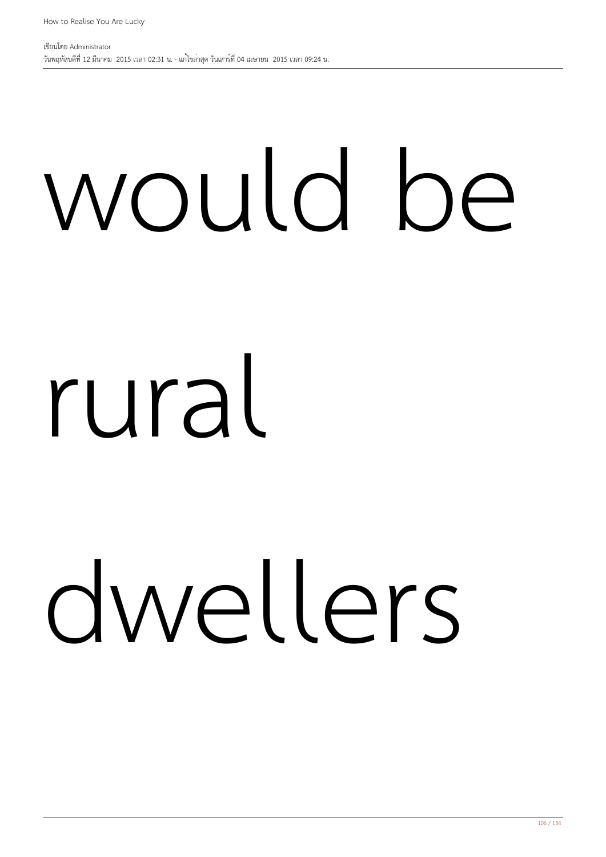## would be

#### rural

### dwellers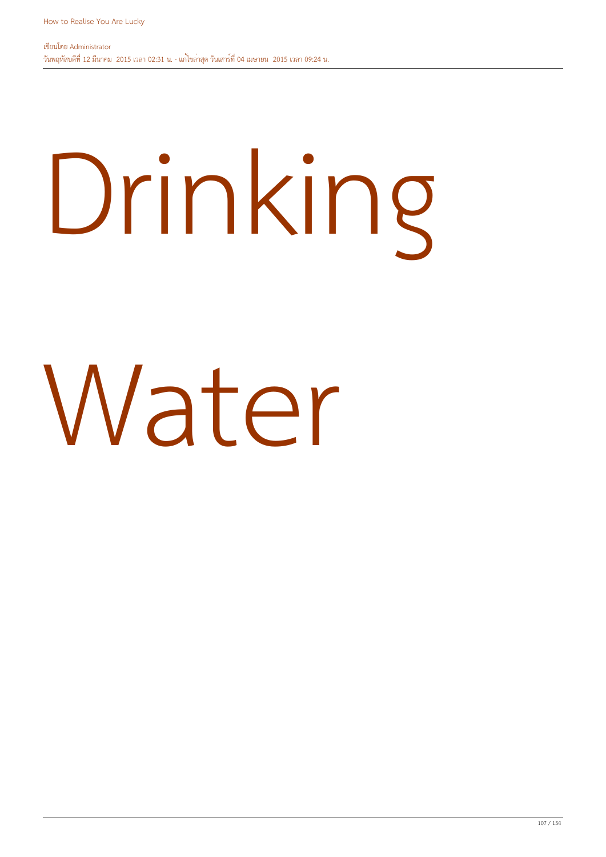## Drinking

Water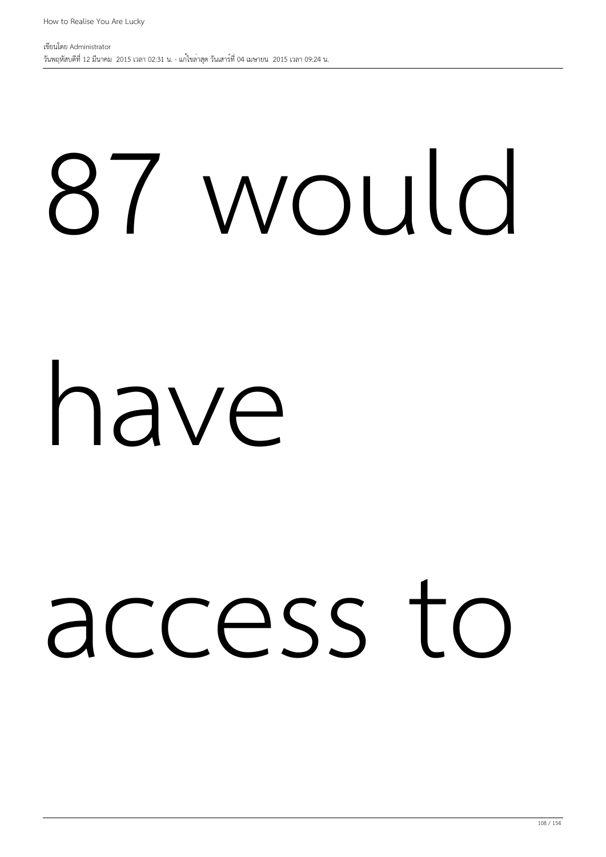## 87 would

#### have

#### access to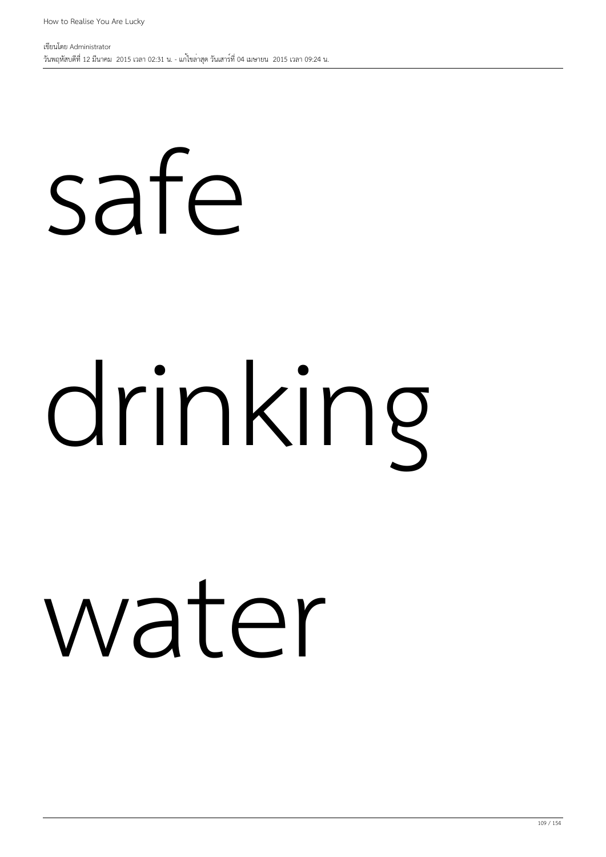# safe drinking

#### water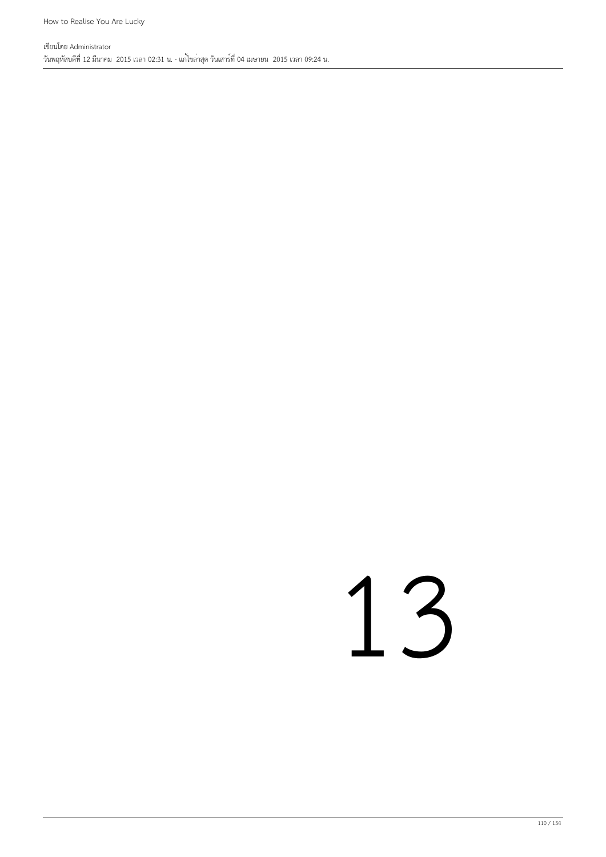#### 13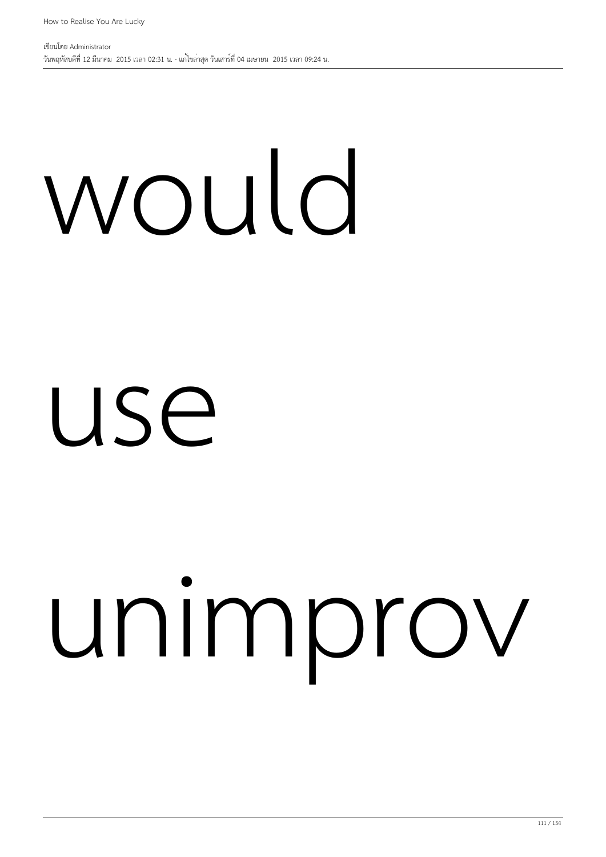#### use

# unimprov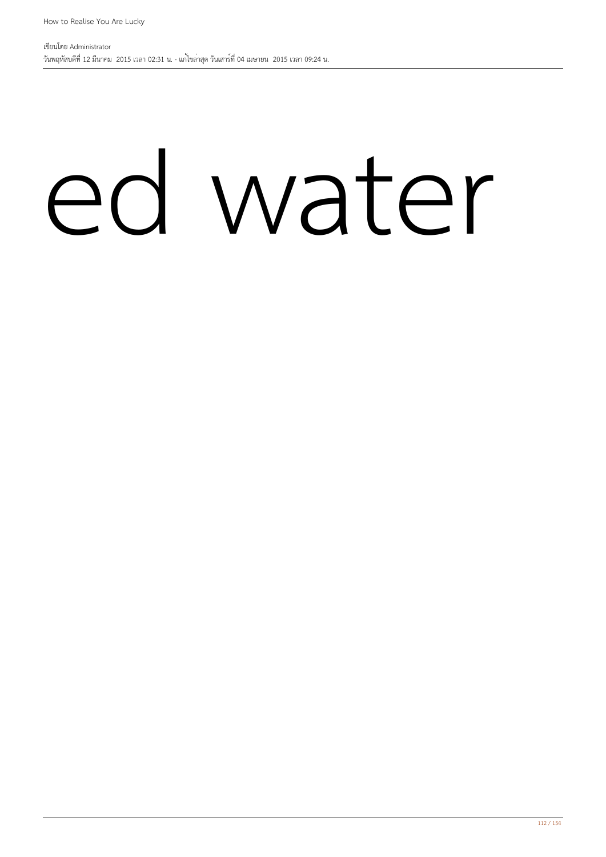### ed water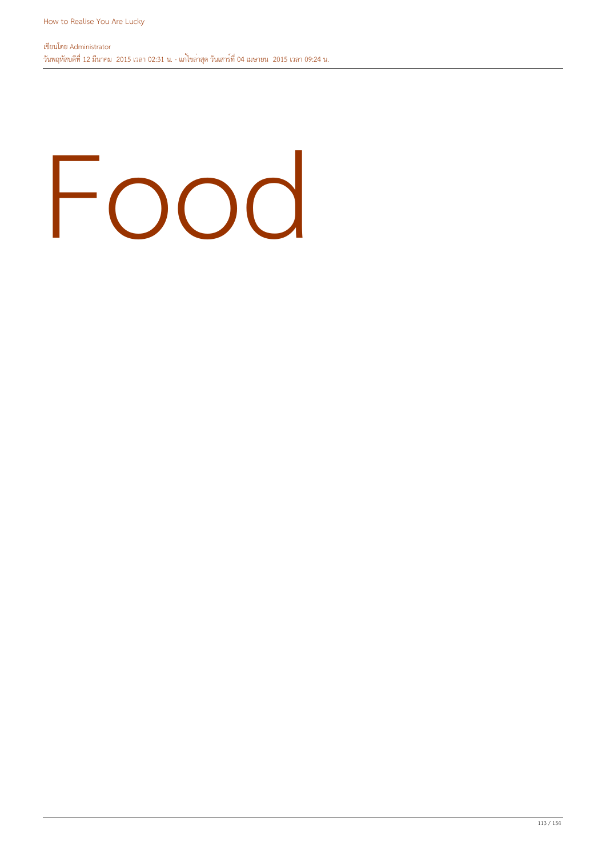#### Food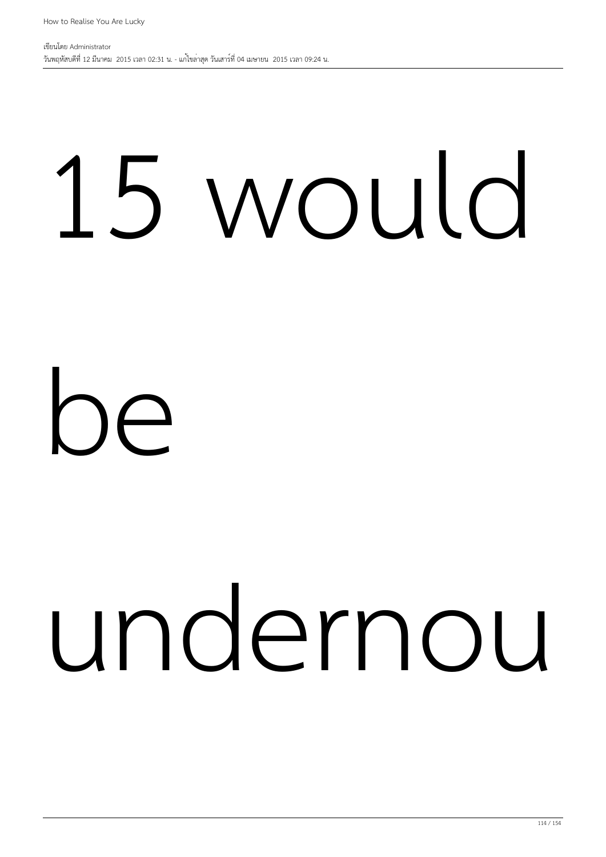be

#### undernou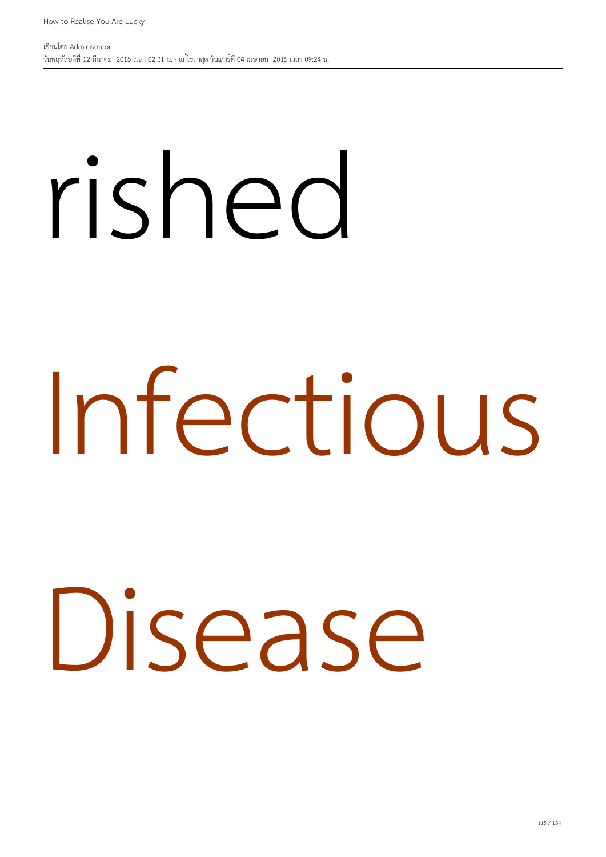# rished

#### Infectious

#### Disease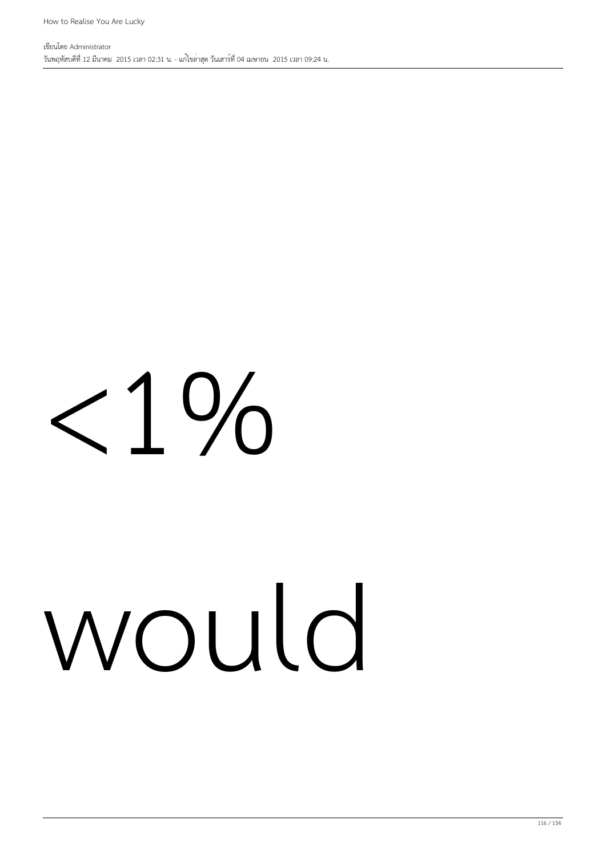#### $<1\%$

### would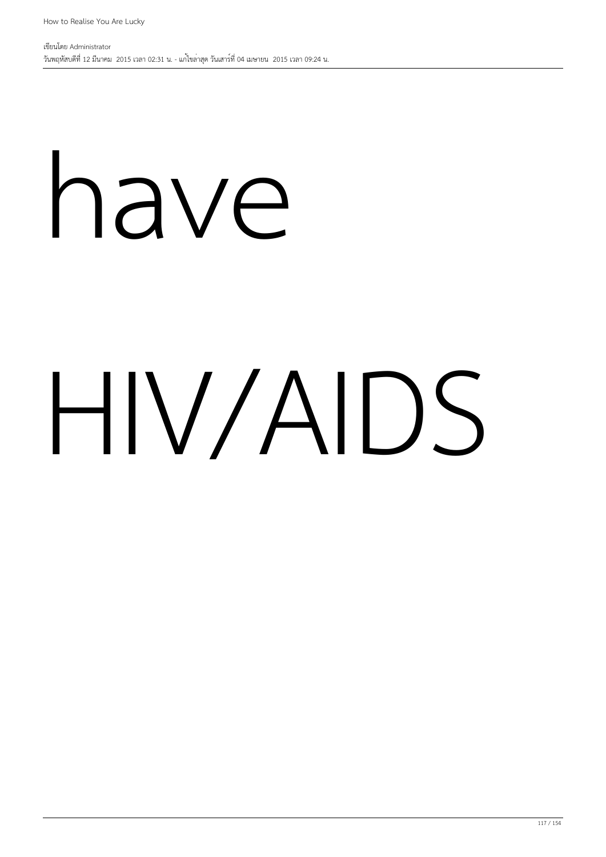# have HIV/AIDS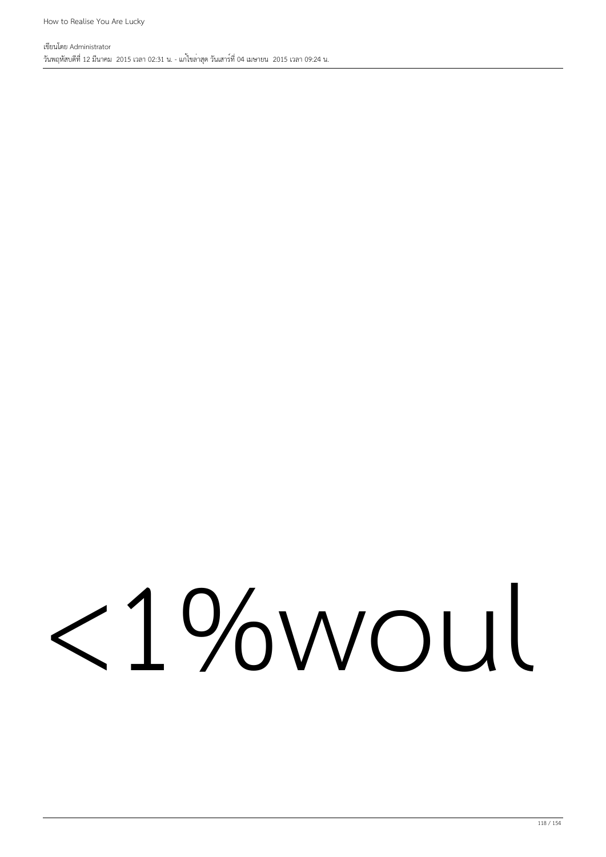#### <1%woul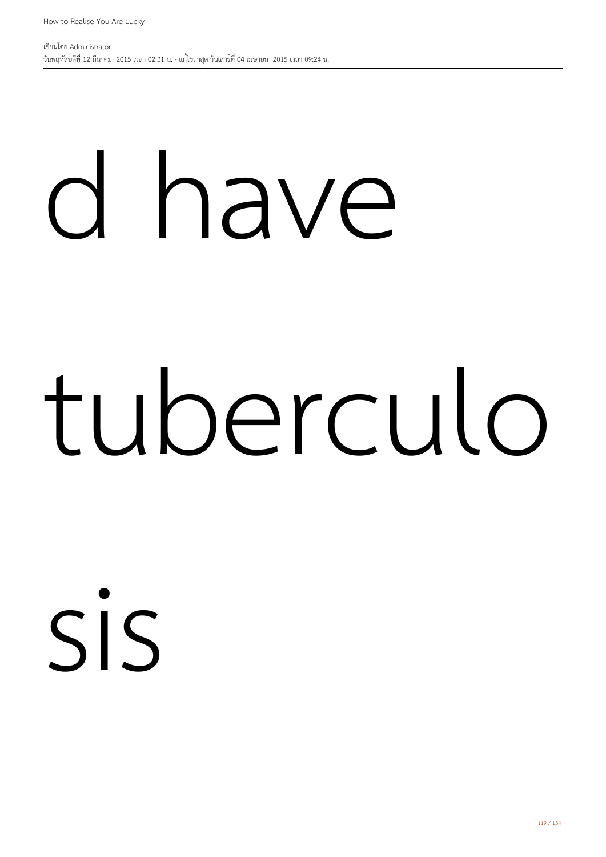# d have tuberculo

sis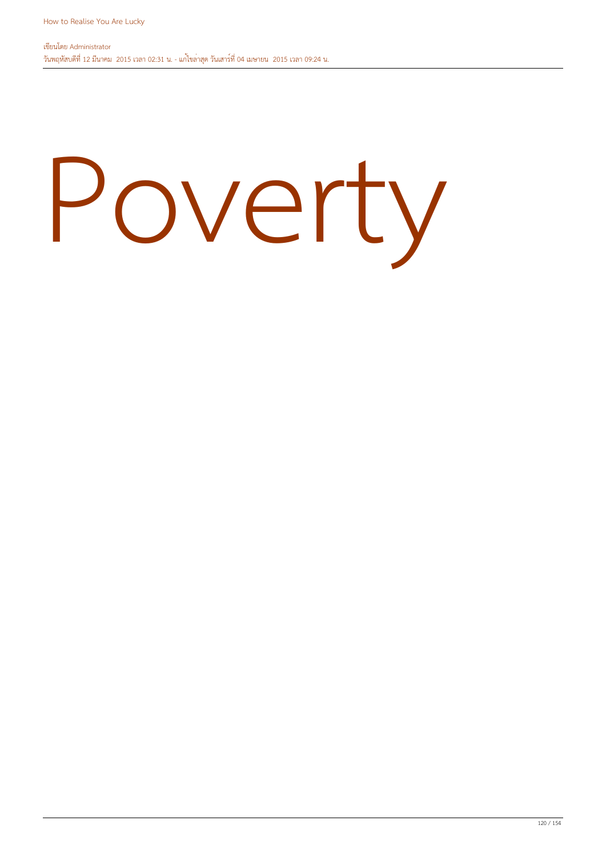# Poverty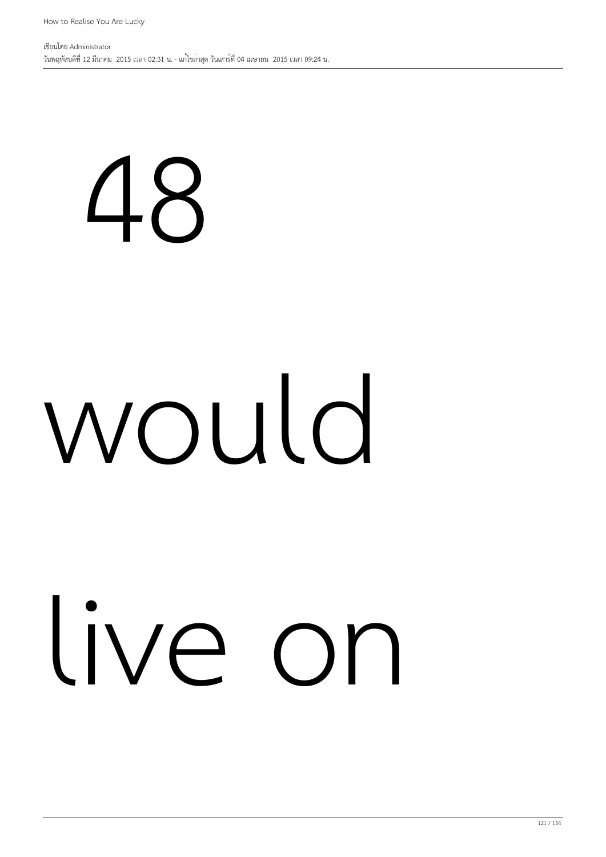# 48 would live on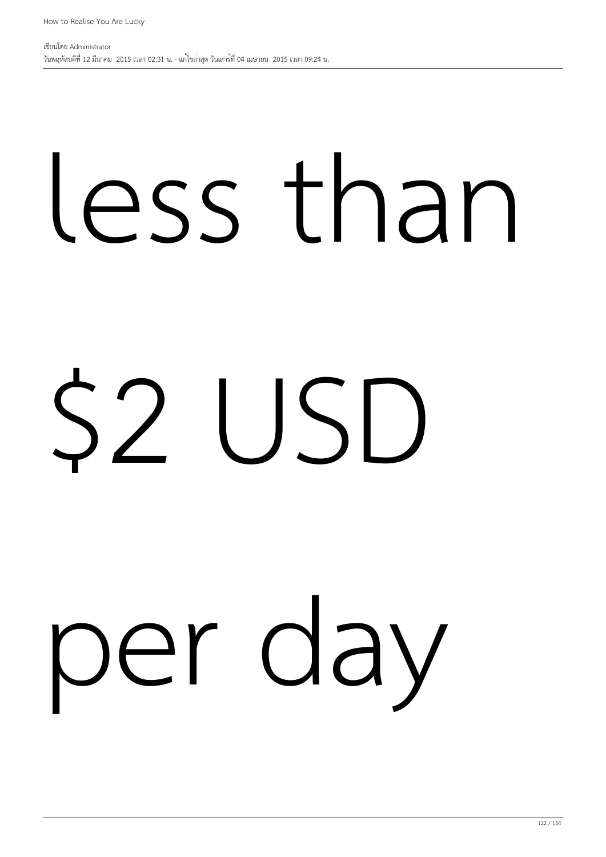# less than \$2 USD

### per day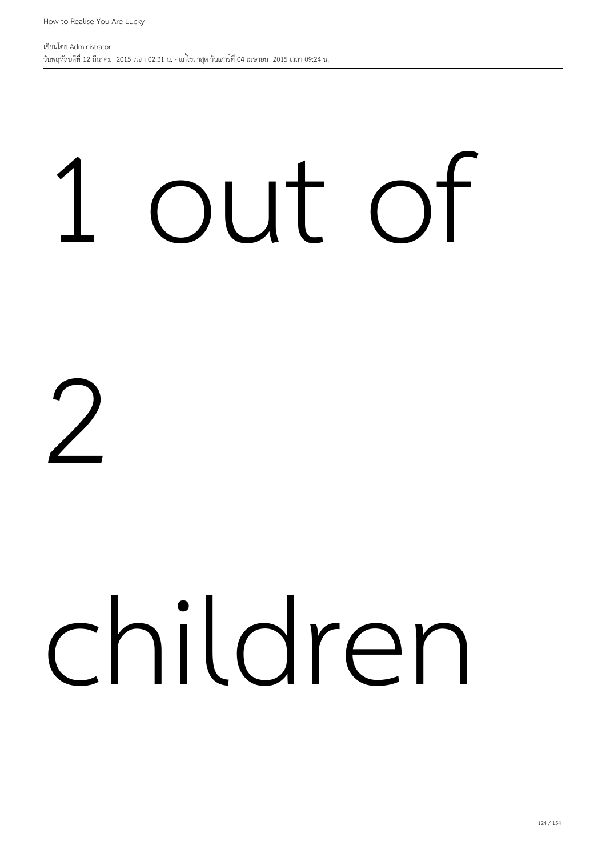# out of

2

### children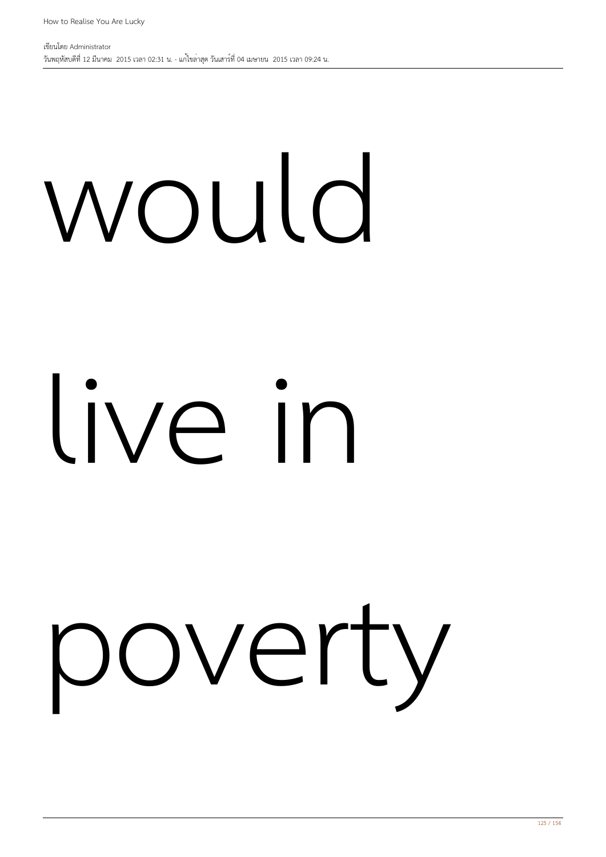### live in

### poverty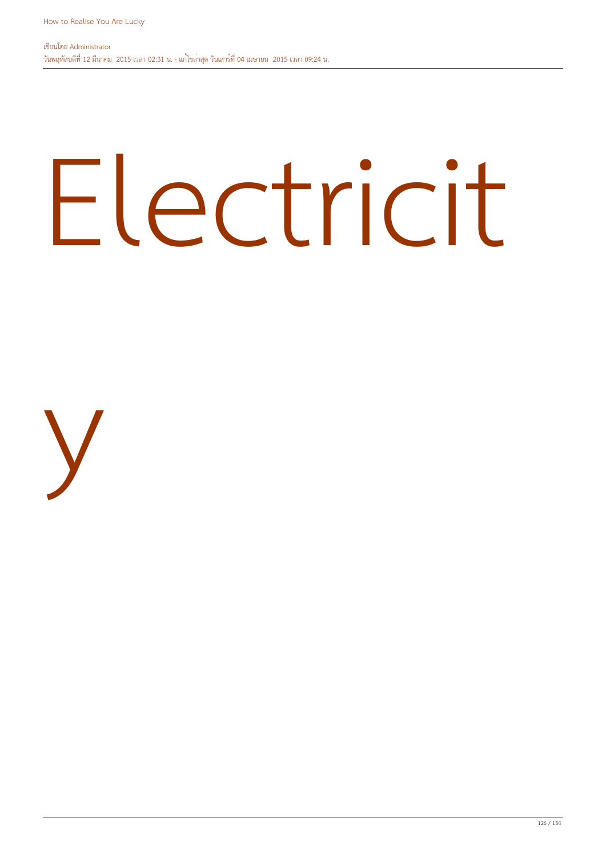### Electricit

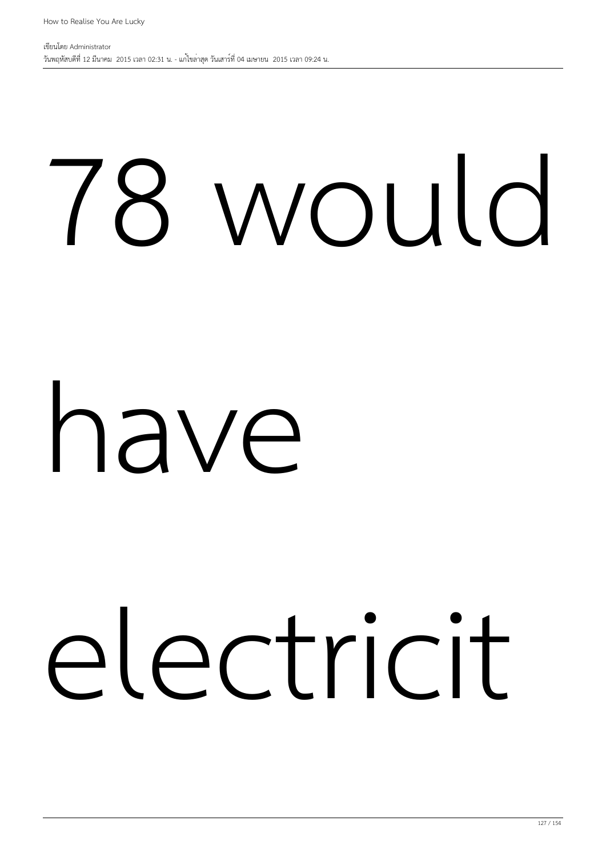#### have

### electricit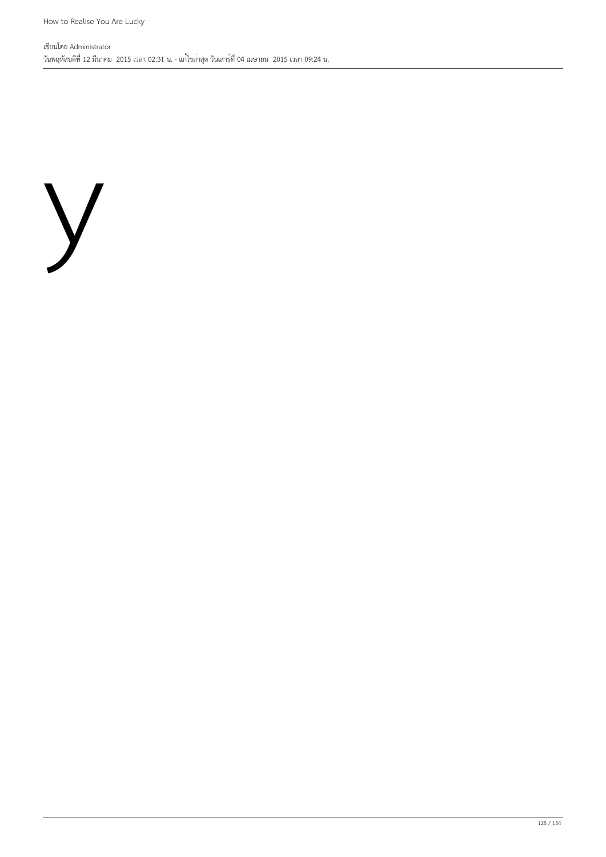y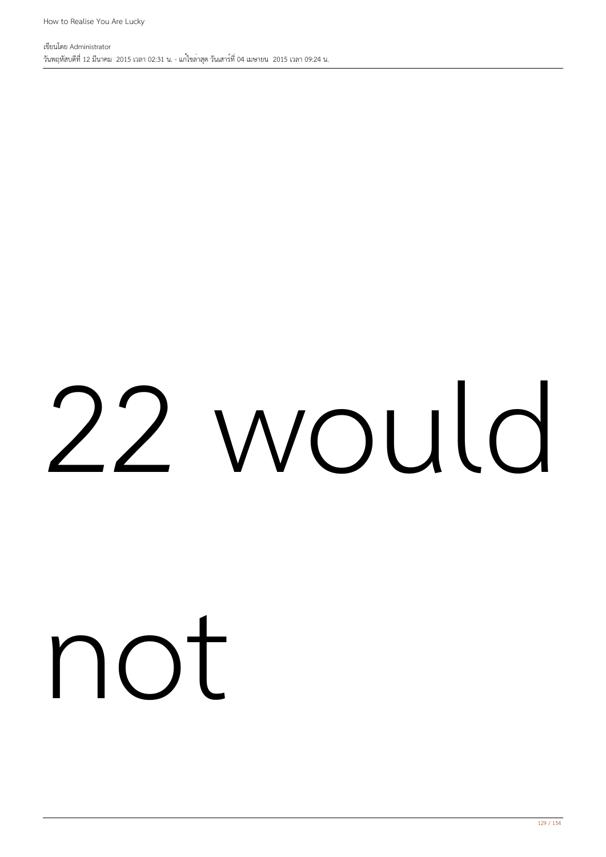#### not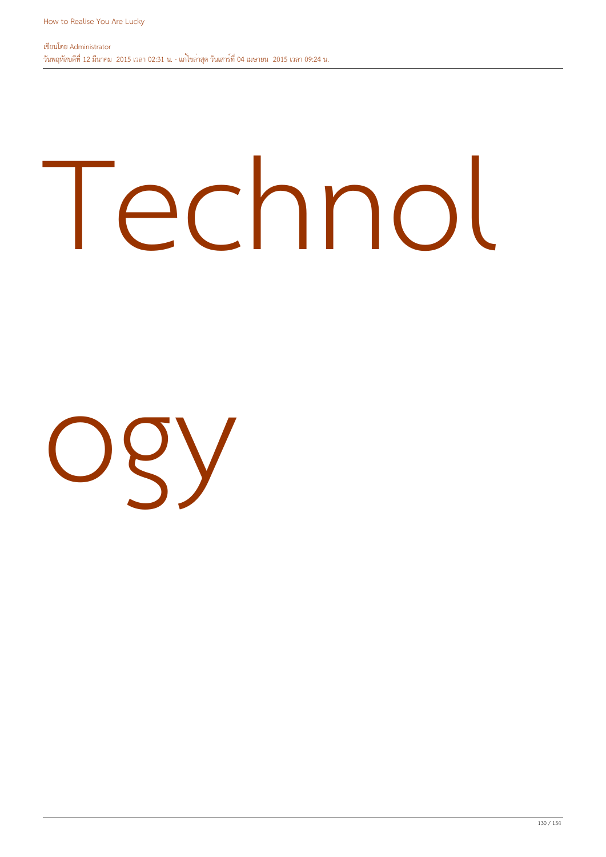# Technol

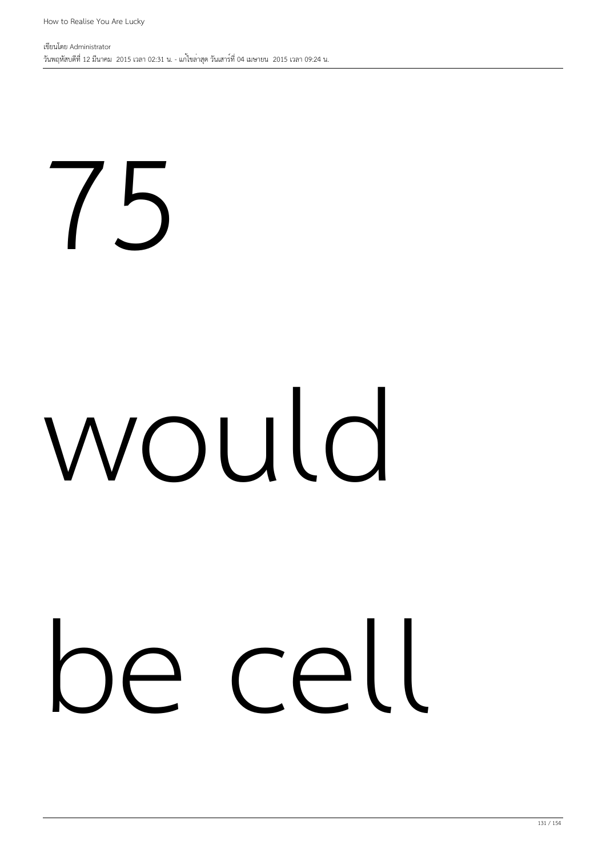# 75 would be cell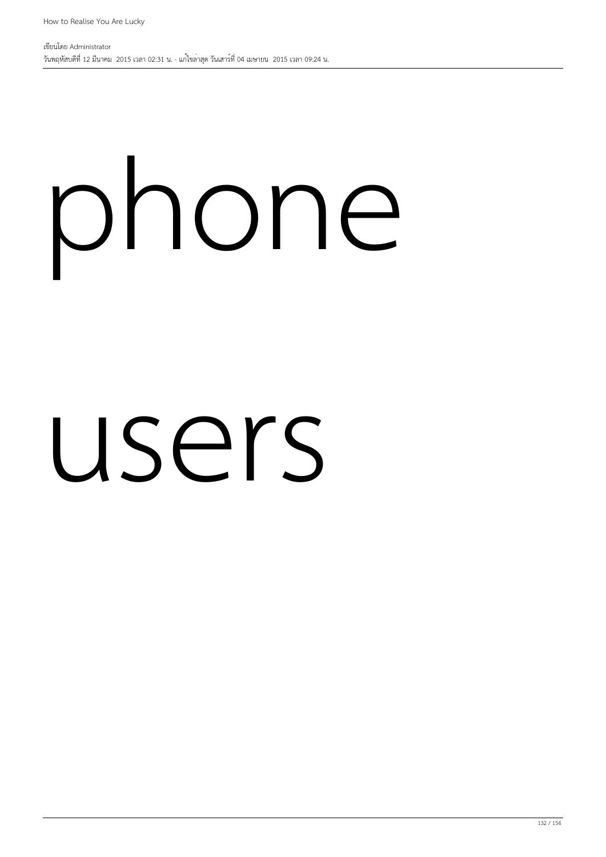# phone

#### users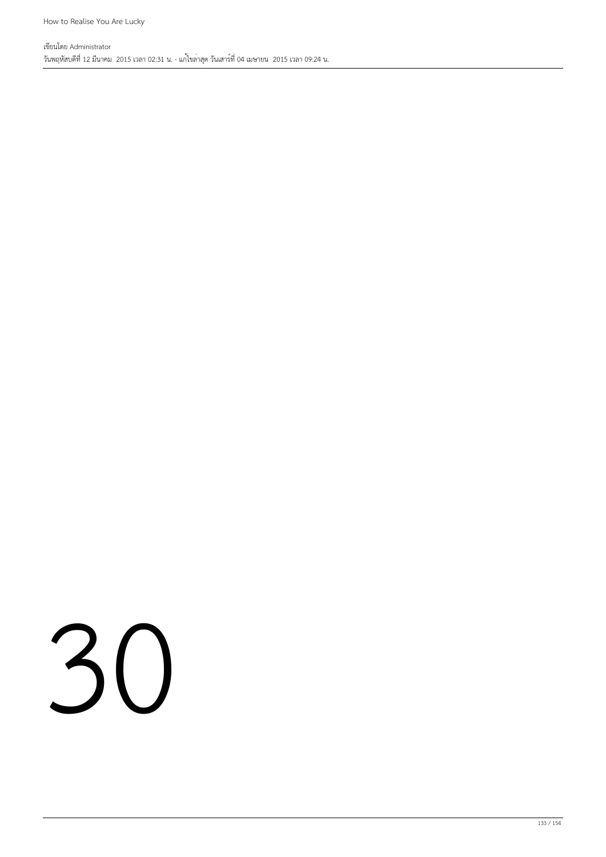### 30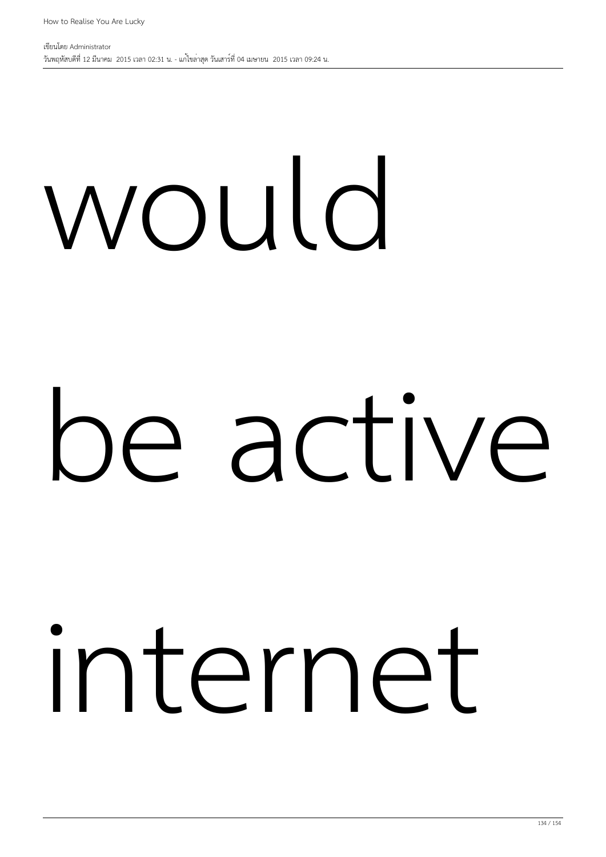# be active

### internet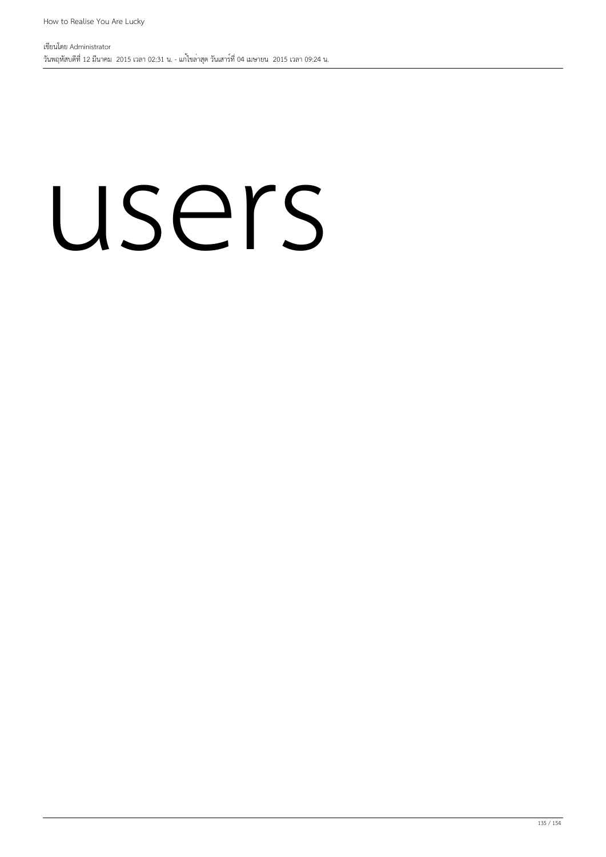#### users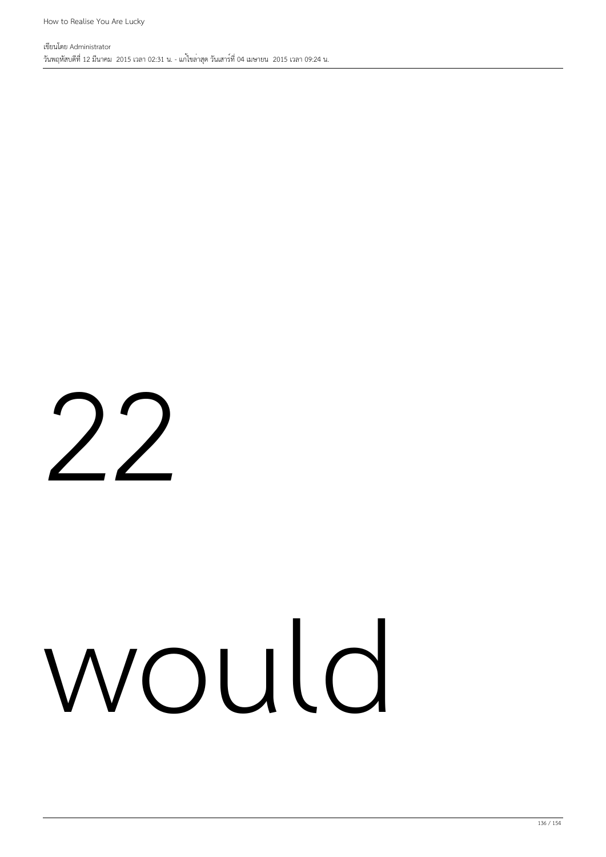#### 22

### would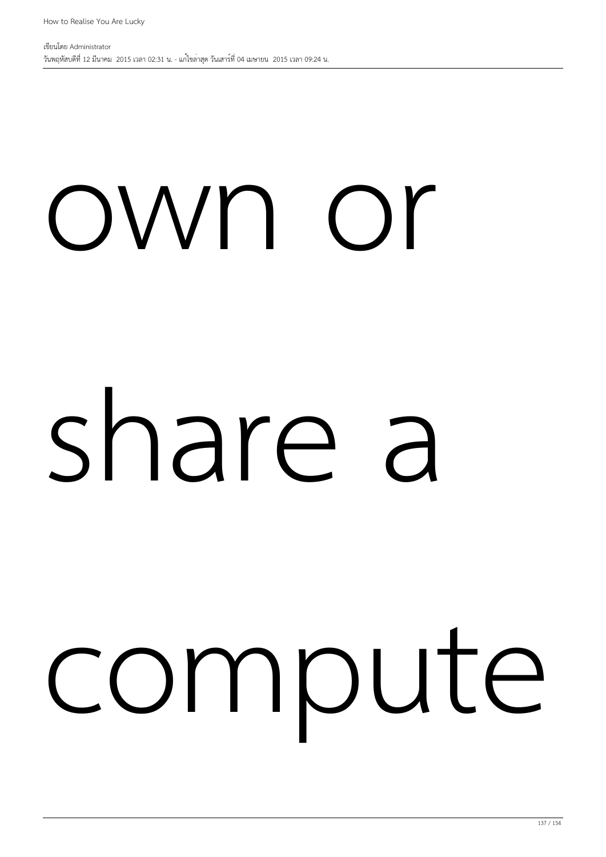# own or share a

# compute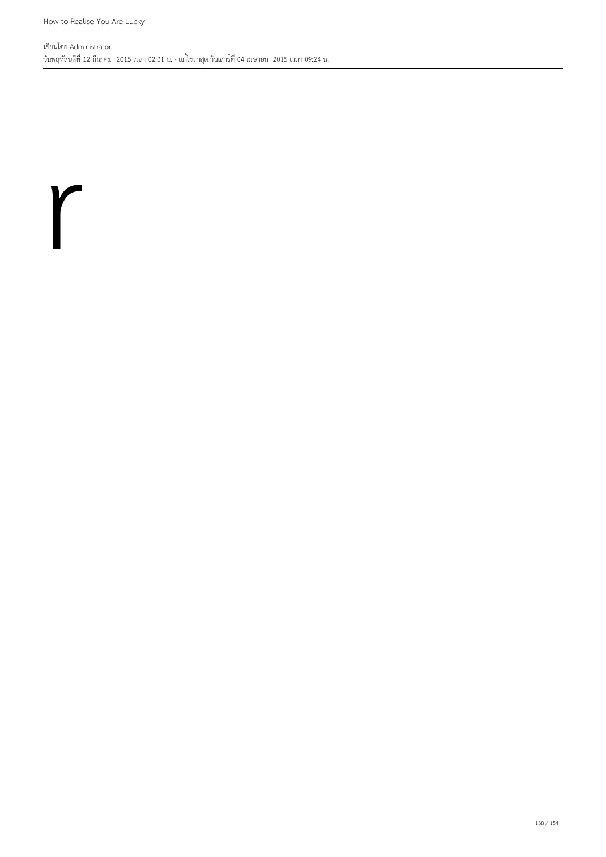r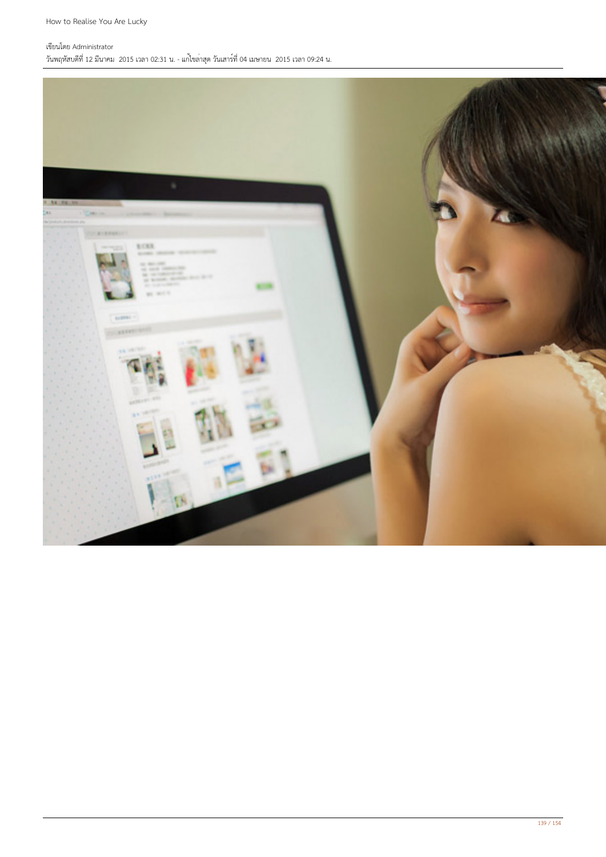#### เขียนโดย Administrator

วันพฤหัสบดีที่ 12 มีนาคม 2015 เวลา 02:31 น. - แก้ไขล่าสุด วันเสาร์ที่ 04 เมษายน 2015 เวลา 09:24 น.

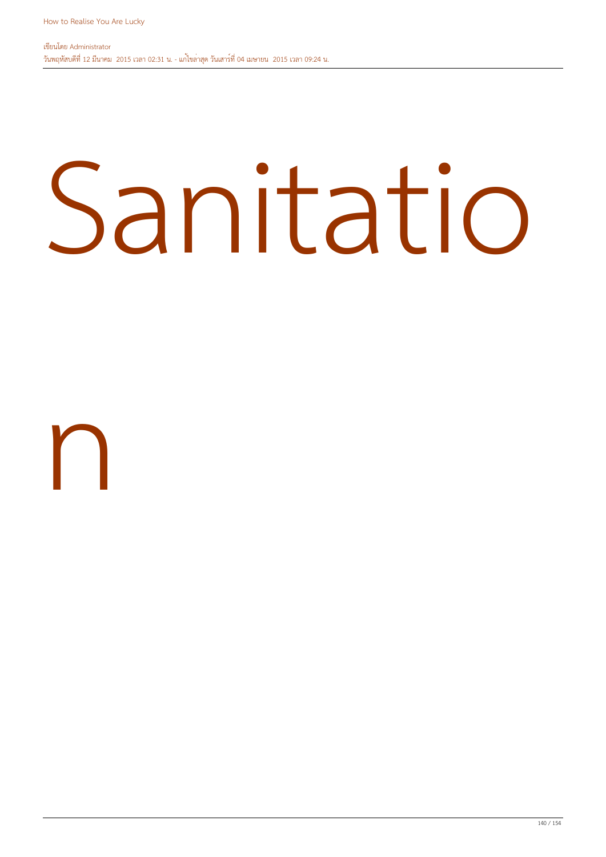# Sanitatio

n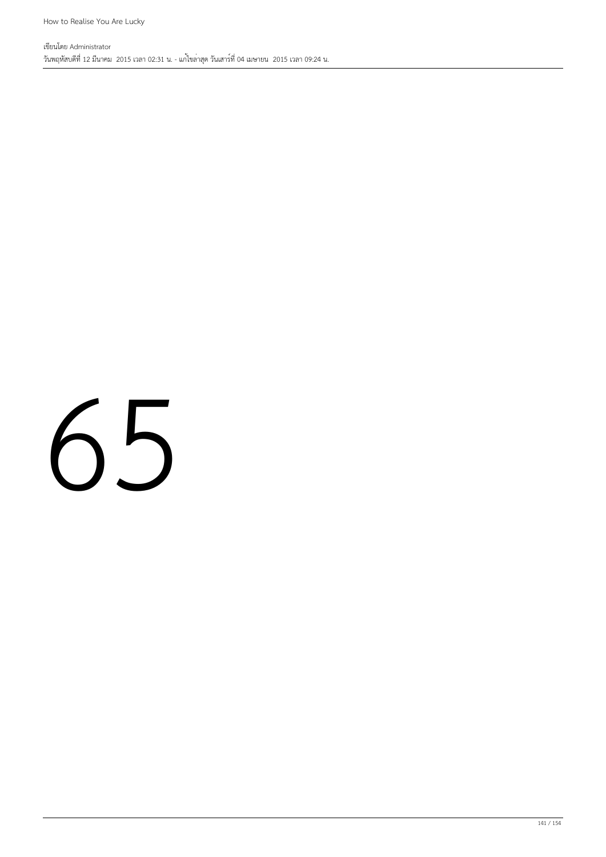### 65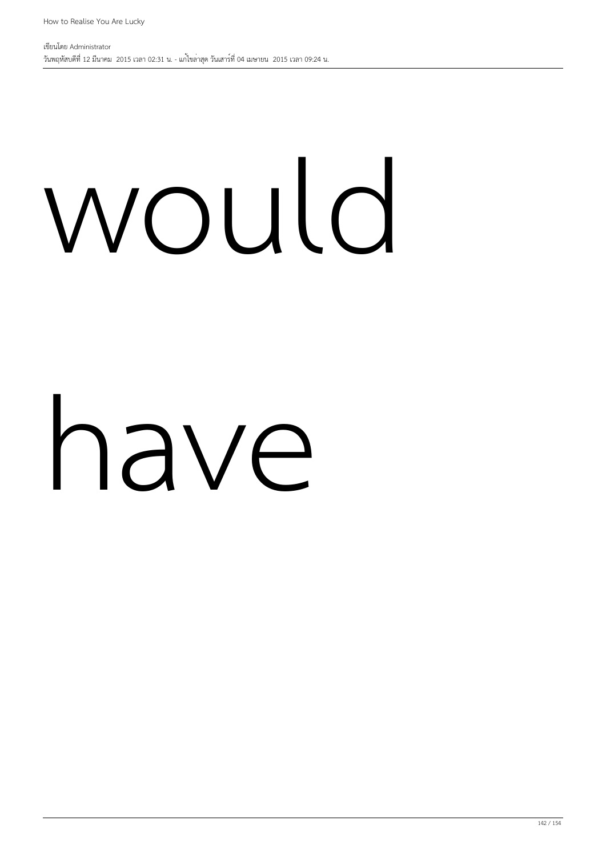### have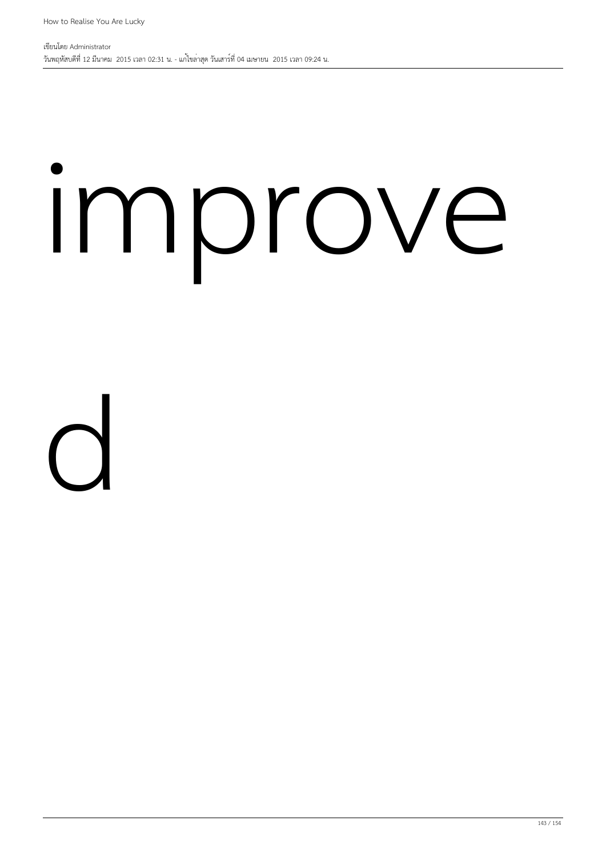# improve

# d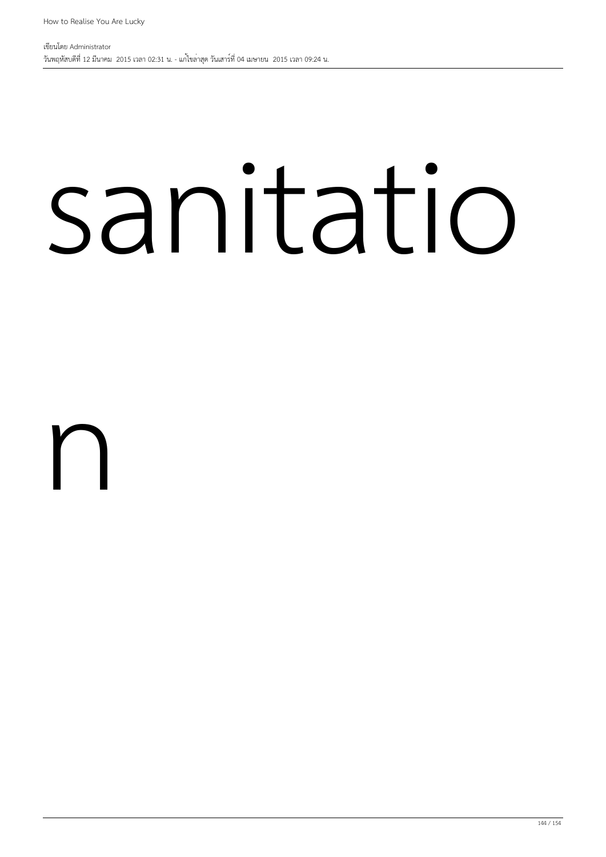# sanitatio

n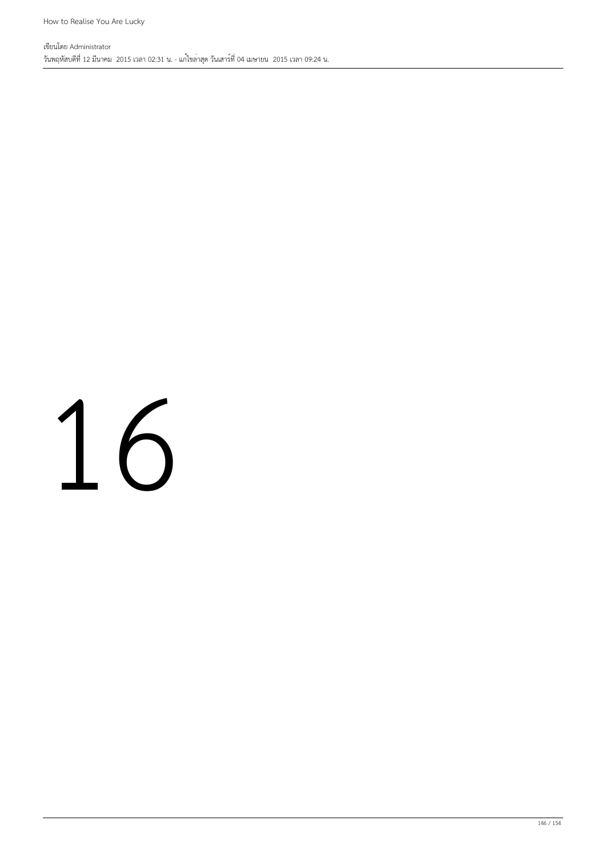#### 16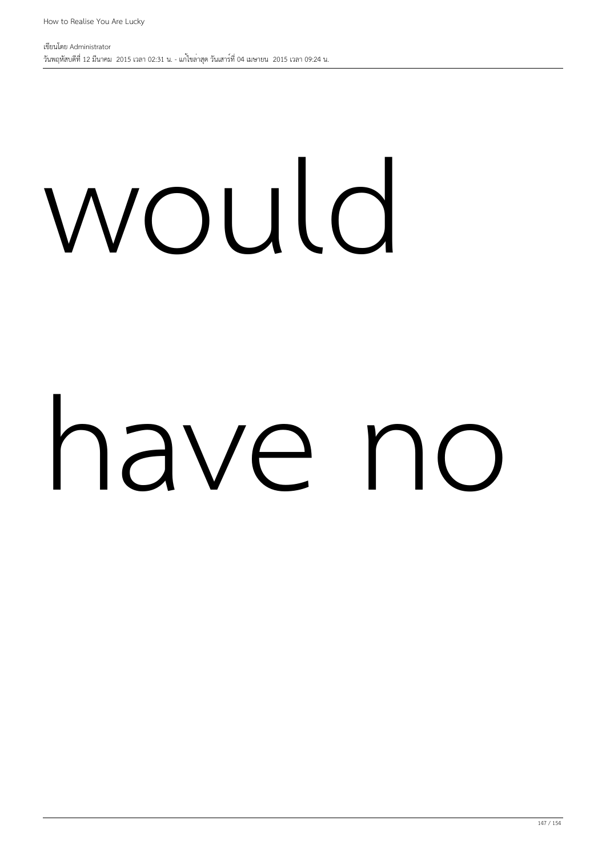## would

#### have no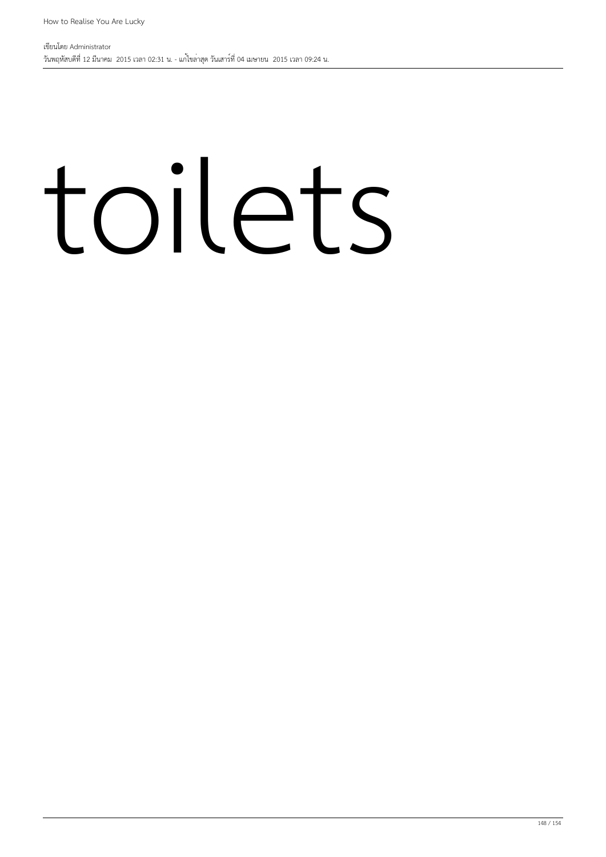#### toilets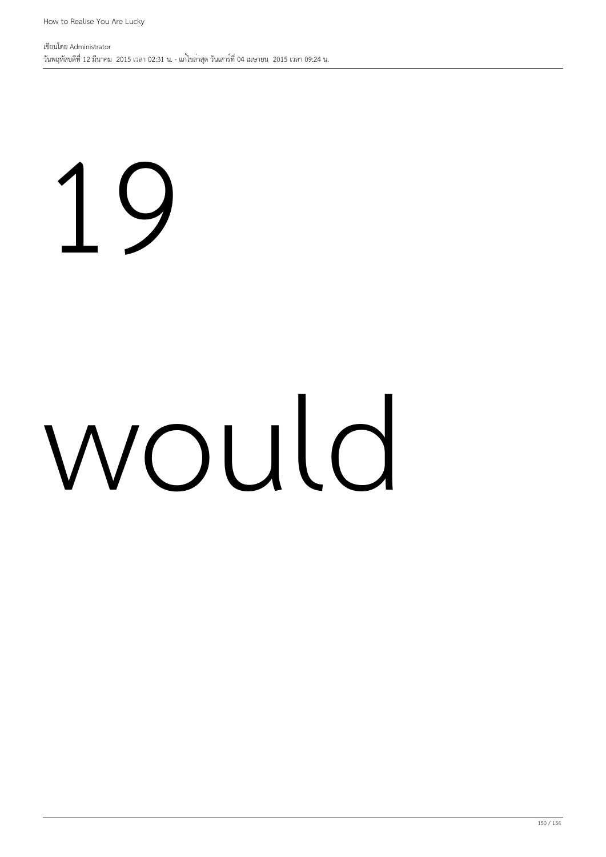## 19 would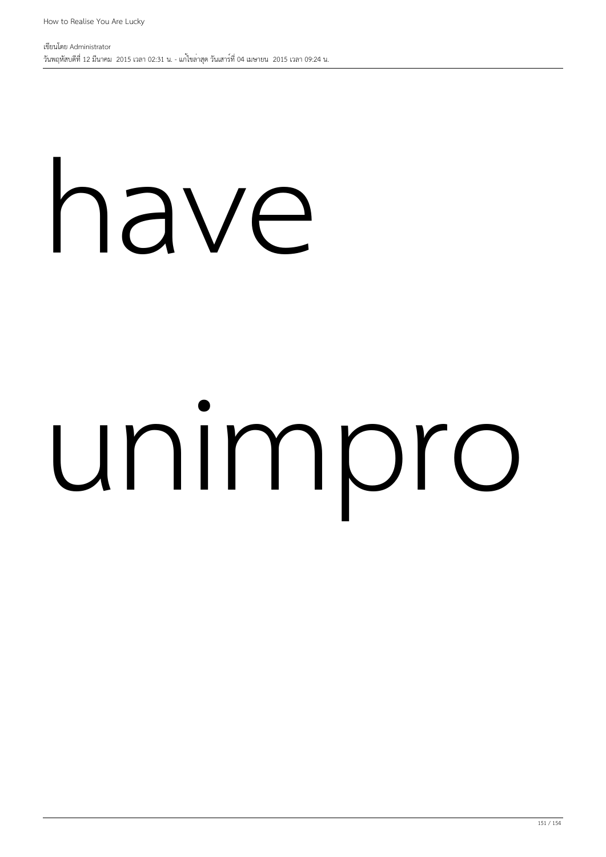# have

#### unimpro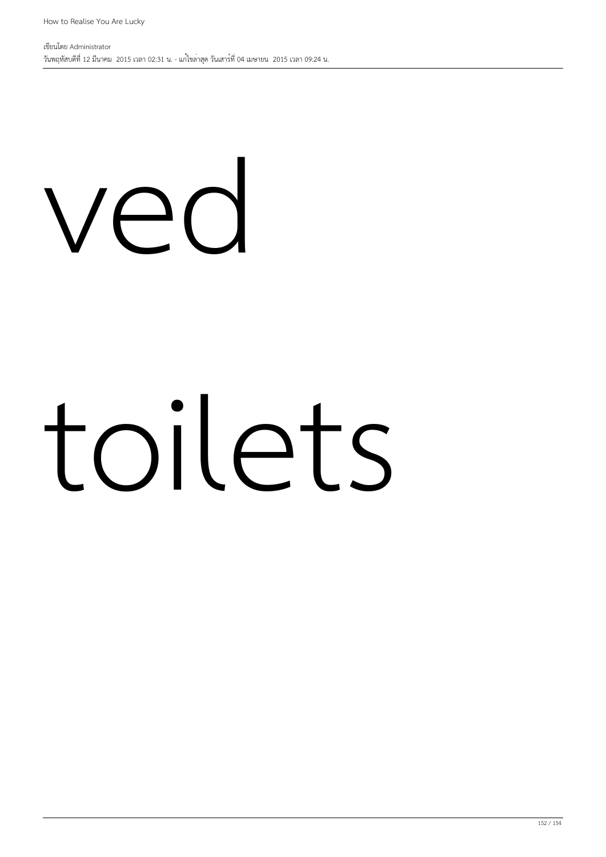### ved

#### toilets